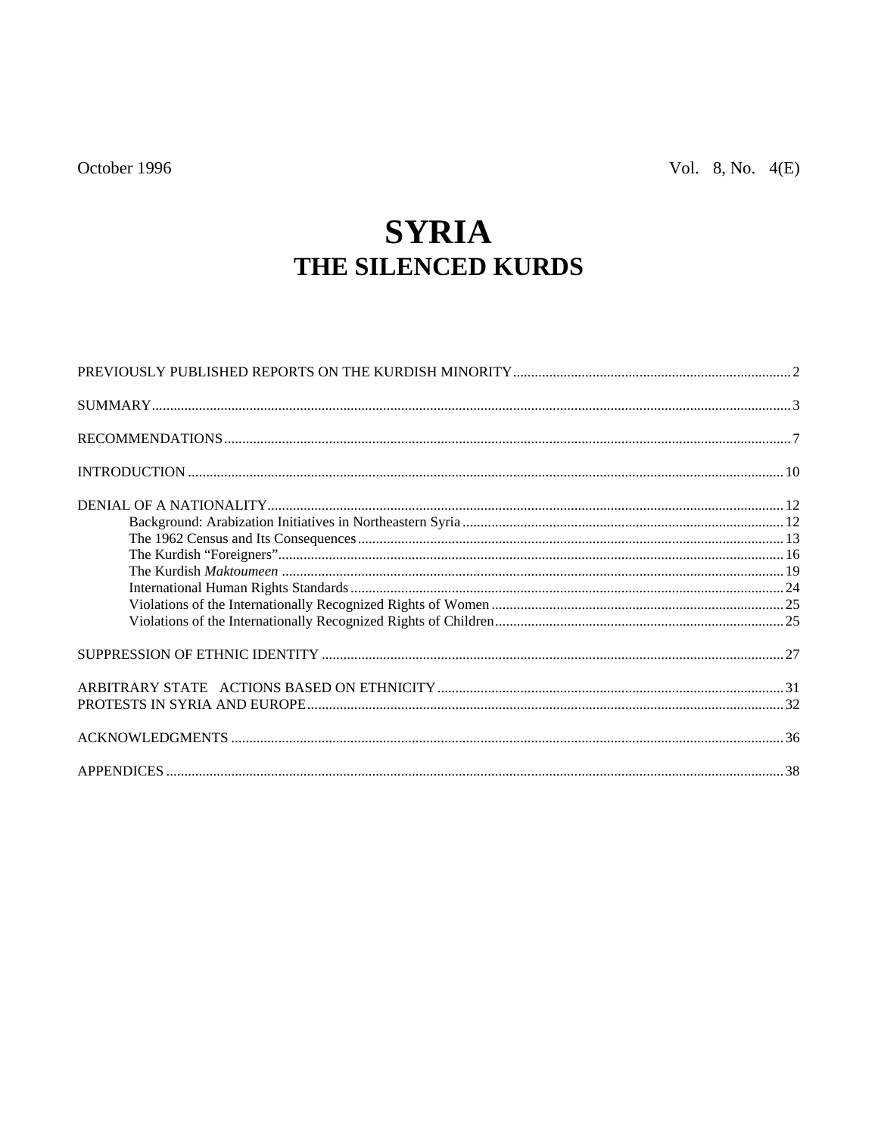# **SYRIA** THE SILENCED KURDS

| $\texttt{SUMMARY} \texttt{} \texttt{} \texttt{} \texttt{} \texttt{} \texttt{} \texttt{} \texttt{} \texttt{} \texttt{} \texttt{} \texttt{} \texttt{} \texttt{} \texttt{} \texttt{} \texttt{} \texttt{} \texttt{} \texttt{} \texttt{} \texttt{} \texttt{} \texttt{} \texttt{} \texttt{} \texttt{} \texttt{} \texttt{} \texttt{} \texttt{} \texttt{} \texttt{} \texttt{} \texttt{} \texttt$ |  |
|------------------------------------------------------------------------------------------------------------------------------------------------------------------------------------------------------------------------------------------------------------------------------------------------------------------------------------------------------------------------------------------|--|
|                                                                                                                                                                                                                                                                                                                                                                                          |  |
|                                                                                                                                                                                                                                                                                                                                                                                          |  |
|                                                                                                                                                                                                                                                                                                                                                                                          |  |
|                                                                                                                                                                                                                                                                                                                                                                                          |  |
|                                                                                                                                                                                                                                                                                                                                                                                          |  |
|                                                                                                                                                                                                                                                                                                                                                                                          |  |
|                                                                                                                                                                                                                                                                                                                                                                                          |  |
|                                                                                                                                                                                                                                                                                                                                                                                          |  |
|                                                                                                                                                                                                                                                                                                                                                                                          |  |
|                                                                                                                                                                                                                                                                                                                                                                                          |  |
|                                                                                                                                                                                                                                                                                                                                                                                          |  |
|                                                                                                                                                                                                                                                                                                                                                                                          |  |
|                                                                                                                                                                                                                                                                                                                                                                                          |  |
|                                                                                                                                                                                                                                                                                                                                                                                          |  |
|                                                                                                                                                                                                                                                                                                                                                                                          |  |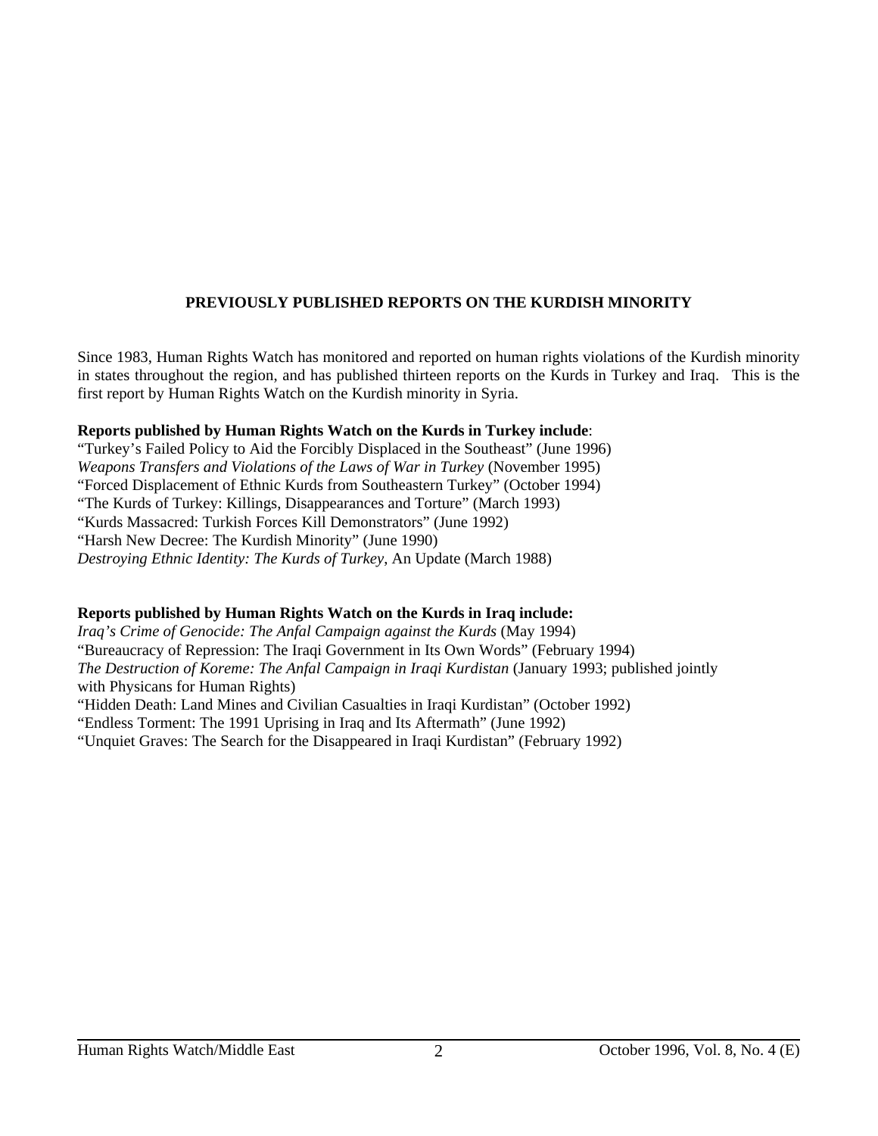# **PREVIOUSLY PUBLISHED REPORTS ON THE KURDISH MINORITY**

Since 1983, Human Rights Watch has monitored and reported on human rights violations of the Kurdish minority in states throughout the region, and has published thirteen reports on the Kurds in Turkey and Iraq. This is the first report by Human Rights Watch on the Kurdish minority in Syria.

#### **Reports published by Human Rights Watch on the Kurds in Turkey include**:

"Turkey's Failed Policy to Aid the Forcibly Displaced in the Southeast" (June 1996) *Weapons Transfers and Violations of the Laws of War in Turkey* (November 1995) "Forced Displacement of Ethnic Kurds from Southeastern Turkey" (October 1994) "The Kurds of Turkey: Killings, Disappearances and Torture" (March 1993) "Kurds Massacred: Turkish Forces Kill Demonstrators" (June 1992) "Harsh New Decree: The Kurdish Minority" (June 1990) *Destroying Ethnic Identity: The Kurds of Turkey*, An Update (March 1988)

# **Reports published by Human Rights Watch on the Kurds in Iraq include:**

*Iraq's Crime of Genocide: The Anfal Campaign against the Kurds* (May 1994) "Bureaucracy of Repression: The Iraqi Government in Its Own Words" (February 1994) *The Destruction of Koreme: The Anfal Campaign in Iraqi Kurdistan* (January 1993; published jointly with Physicans for Human Rights) "Hidden Death: Land Mines and Civilian Casualties in Iraqi Kurdistan" (October 1992) "Endless Torment: The 1991 Uprising in Iraq and Its Aftermath" (June 1992) "Unquiet Graves: The Search for the Disappeared in Iraqi Kurdistan" (February 1992)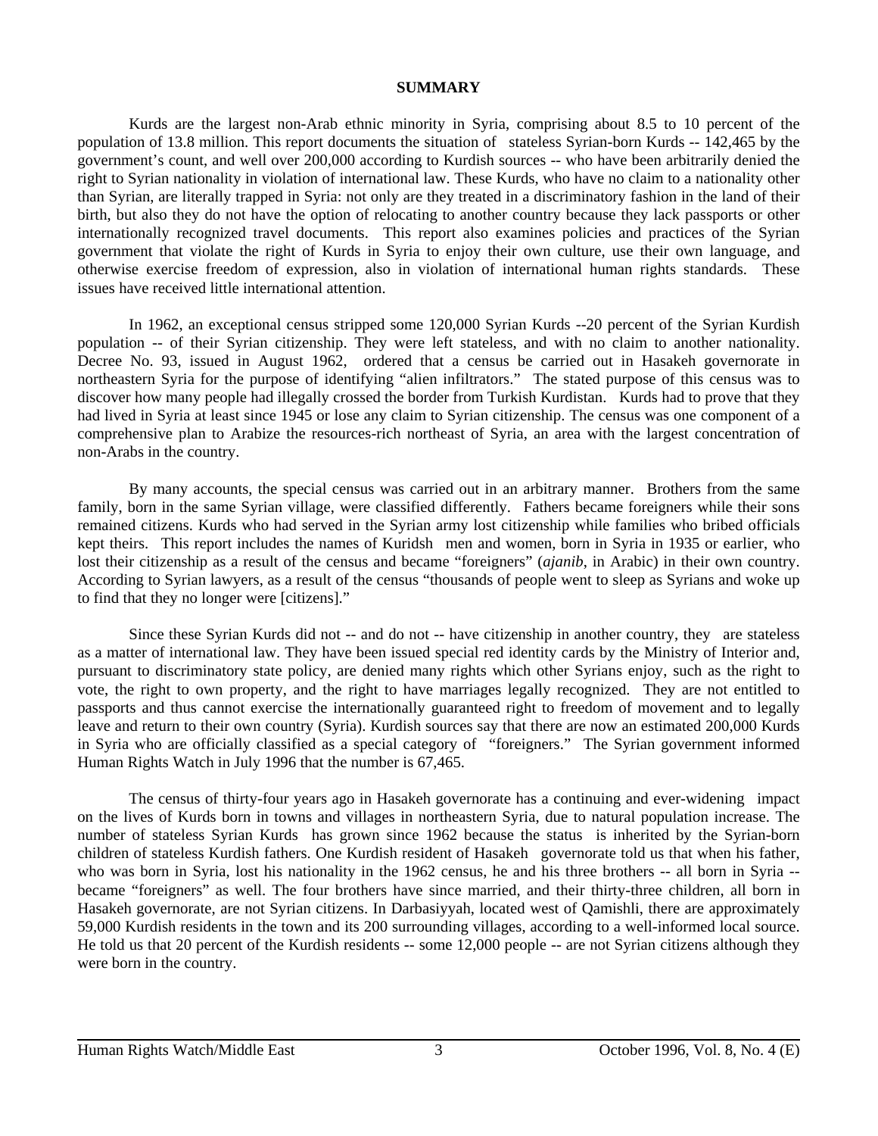#### **SUMMARY**

Kurds are the largest non-Arab ethnic minority in Syria, comprising about 8.5 to 10 percent of the population of 13.8 million. This report documents the situation of stateless Syrian-born Kurds -- 142,465 by the government's count, and well over 200,000 according to Kurdish sources -- who have been arbitrarily denied the right to Syrian nationality in violation of international law. These Kurds, who have no claim to a nationality other than Syrian, are literally trapped in Syria: not only are they treated in a discriminatory fashion in the land of their birth, but also they do not have the option of relocating to another country because they lack passports or other internationally recognized travel documents. This report also examines policies and practices of the Syrian government that violate the right of Kurds in Syria to enjoy their own culture, use their own language, and otherwise exercise freedom of expression, also in violation of international human rights standards. These issues have received little international attention.

In 1962, an exceptional census stripped some 120,000 Syrian Kurds --20 percent of the Syrian Kurdish population -- of their Syrian citizenship. They were left stateless, and with no claim to another nationality. Decree No. 93, issued in August 1962, ordered that a census be carried out in Hasakeh governorate in northeastern Syria for the purpose of identifying "alien infiltrators." The stated purpose of this census was to discover how many people had illegally crossed the border from Turkish Kurdistan. Kurds had to prove that they had lived in Syria at least since 1945 or lose any claim to Syrian citizenship. The census was one component of a comprehensive plan to Arabize the resources-rich northeast of Syria, an area with the largest concentration of non-Arabs in the country.

By many accounts, the special census was carried out in an arbitrary manner. Brothers from the same family, born in the same Syrian village, were classified differently. Fathers became foreigners while their sons remained citizens. Kurds who had served in the Syrian army lost citizenship while families who bribed officials kept theirs. This report includes the names of Kuridsh men and women, born in Syria in 1935 or earlier, who lost their citizenship as a result of the census and became "foreigners" (*ajanib*, in Arabic) in their own country. According to Syrian lawyers, as a result of the census "thousands of people went to sleep as Syrians and woke up to find that they no longer were [citizens]."

Since these Syrian Kurds did not -- and do not -- have citizenship in another country, they are stateless as a matter of international law. They have been issued special red identity cards by the Ministry of Interior and, pursuant to discriminatory state policy, are denied many rights which other Syrians enjoy, such as the right to vote, the right to own property, and the right to have marriages legally recognized. They are not entitled to passports and thus cannot exercise the internationally guaranteed right to freedom of movement and to legally leave and return to their own country (Syria). Kurdish sources say that there are now an estimated 200,000 Kurds in Syria who are officially classified as a special category of "foreigners." The Syrian government informed Human Rights Watch in July 1996 that the number is 67,465.

The census of thirty-four years ago in Hasakeh governorate has a continuing and ever-widening impact on the lives of Kurds born in towns and villages in northeastern Syria, due to natural population increase. The number of stateless Syrian Kurds has grown since 1962 because the status is inherited by the Syrian-born children of stateless Kurdish fathers. One Kurdish resident of Hasakeh governorate told us that when his father, who was born in Syria, lost his nationality in the 1962 census, he and his three brothers -- all born in Syria -became "foreigners" as well. The four brothers have since married, and their thirty-three children, all born in Hasakeh governorate, are not Syrian citizens. In Darbasiyyah, located west of Qamishli, there are approximately 59,000 Kurdish residents in the town and its 200 surrounding villages, according to a well-informed local source. He told us that 20 percent of the Kurdish residents -- some 12,000 people -- are not Syrian citizens although they were born in the country.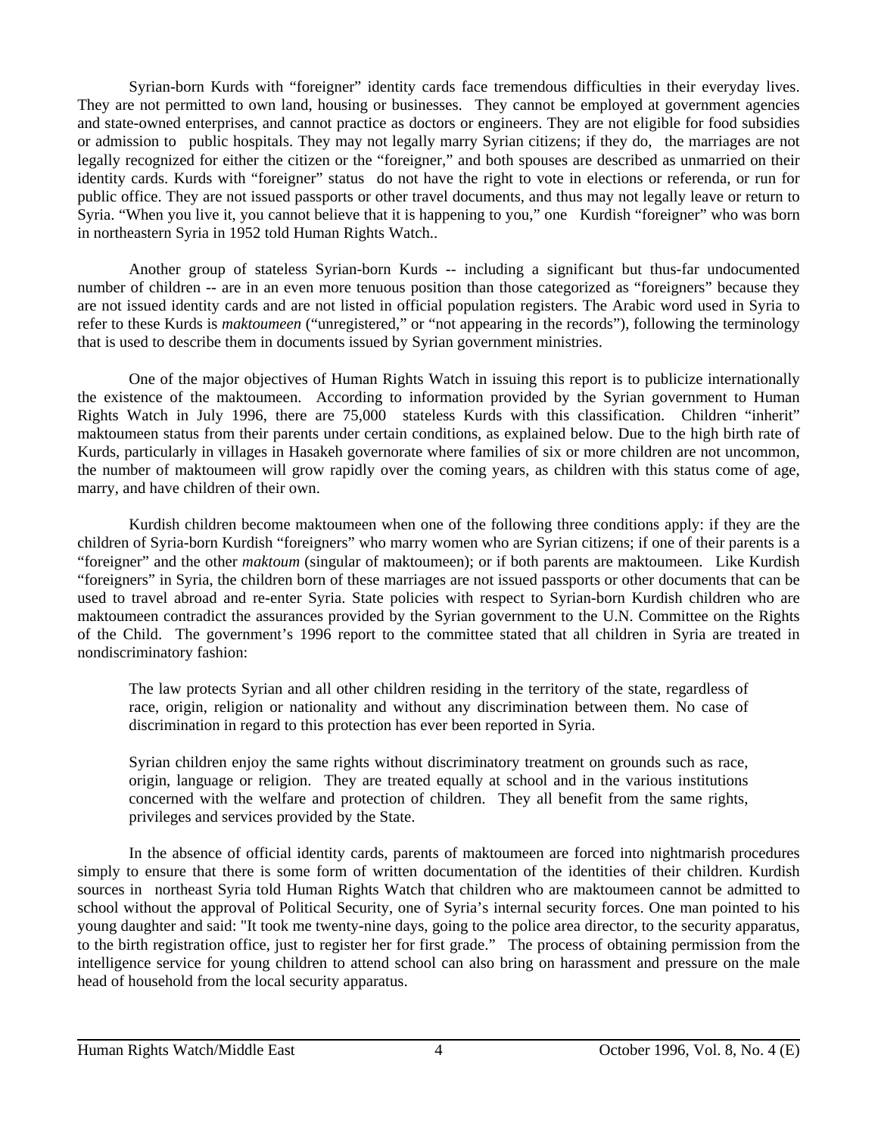Syrian-born Kurds with "foreigner" identity cards face tremendous difficulties in their everyday lives. They are not permitted to own land, housing or businesses. They cannot be employed at government agencies and state-owned enterprises, and cannot practice as doctors or engineers. They are not eligible for food subsidies or admission to public hospitals. They may not legally marry Syrian citizens; if they do, the marriages are not legally recognized for either the citizen or the "foreigner," and both spouses are described as unmarried on their identity cards. Kurds with "foreigner" status do not have the right to vote in elections or referenda, or run for public office. They are not issued passports or other travel documents, and thus may not legally leave or return to Syria. "When you live it, you cannot believe that it is happening to you," one Kurdish "foreigner" who was born in northeastern Syria in 1952 told Human Rights Watch..

Another group of stateless Syrian-born Kurds -- including a significant but thus-far undocumented number of children -- are in an even more tenuous position than those categorized as "foreigners" because they are not issued identity cards and are not listed in official population registers. The Arabic word used in Syria to refer to these Kurds is *maktoumeen* ("unregistered," or "not appearing in the records"), following the terminology that is used to describe them in documents issued by Syrian government ministries.

One of the major objectives of Human Rights Watch in issuing this report is to publicize internationally the existence of the maktoumeen. According to information provided by the Syrian government to Human Rights Watch in July 1996, there are 75,000 stateless Kurds with this classification. Children "inherit" maktoumeen status from their parents under certain conditions, as explained below. Due to the high birth rate of Kurds, particularly in villages in Hasakeh governorate where families of six or more children are not uncommon, the number of maktoumeen will grow rapidly over the coming years, as children with this status come of age, marry, and have children of their own.

Kurdish children become maktoumeen when one of the following three conditions apply: if they are the children of Syria-born Kurdish "foreigners" who marry women who are Syrian citizens; if one of their parents is a "foreigner" and the other *maktoum* (singular of maktoumeen); or if both parents are maktoumeen. Like Kurdish "foreigners" in Syria, the children born of these marriages are not issued passports or other documents that can be used to travel abroad and re-enter Syria. State policies with respect to Syrian-born Kurdish children who are maktoumeen contradict the assurances provided by the Syrian government to the U.N. Committee on the Rights of the Child. The government's 1996 report to the committee stated that all children in Syria are treated in nondiscriminatory fashion:

The law protects Syrian and all other children residing in the territory of the state, regardless of race, origin, religion or nationality and without any discrimination between them. No case of discrimination in regard to this protection has ever been reported in Syria.

Syrian children enjoy the same rights without discriminatory treatment on grounds such as race, origin, language or religion. They are treated equally at school and in the various institutions concerned with the welfare and protection of children. They all benefit from the same rights, privileges and services provided by the State.

In the absence of official identity cards, parents of maktoumeen are forced into nightmarish procedures simply to ensure that there is some form of written documentation of the identities of their children. Kurdish sources in northeast Syria told Human Rights Watch that children who are maktoumeen cannot be admitted to school without the approval of Political Security, one of Syria's internal security forces. One man pointed to his young daughter and said: "It took me twenty-nine days, going to the police area director, to the security apparatus, to the birth registration office, just to register her for first grade." The process of obtaining permission from the intelligence service for young children to attend school can also bring on harassment and pressure on the male head of household from the local security apparatus.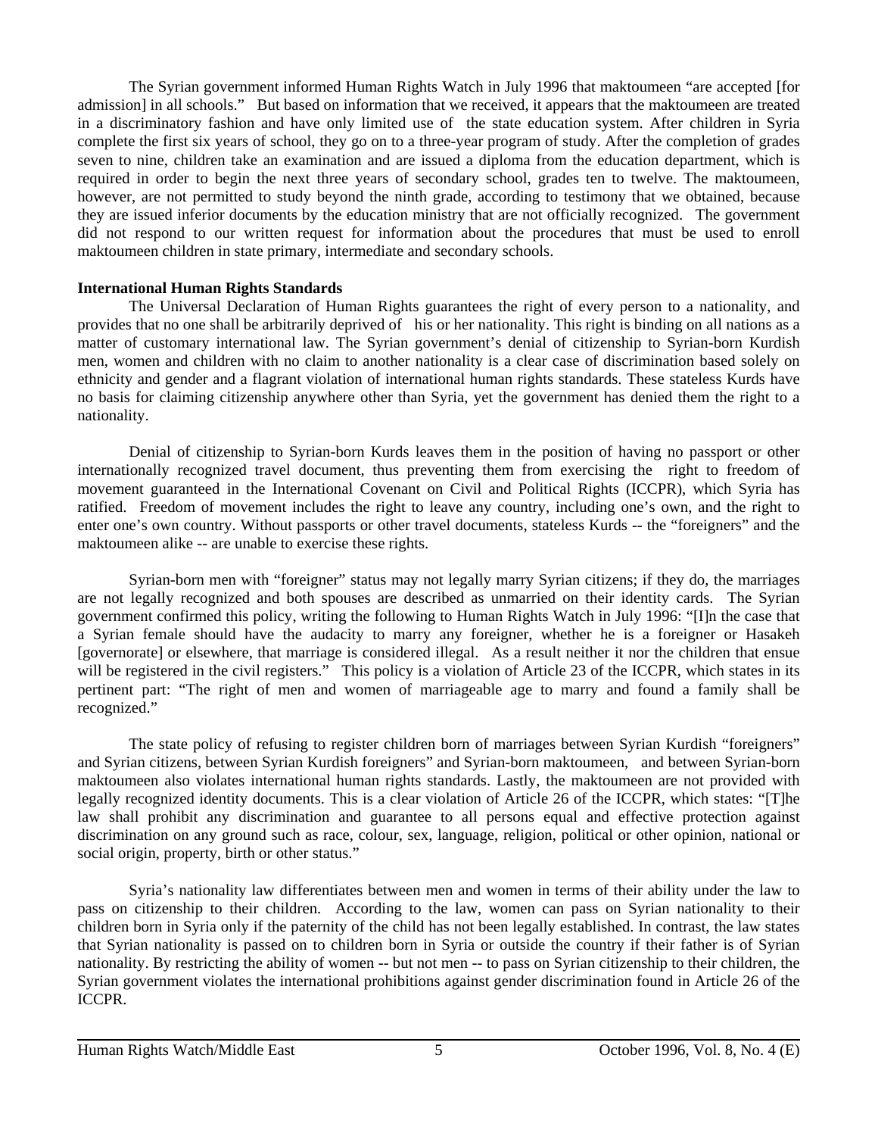The Syrian government informed Human Rights Watch in July 1996 that maktoumeen "are accepted [for admission] in all schools." But based on information that we received, it appears that the maktoumeen are treated in a discriminatory fashion and have only limited use of the state education system. After children in Syria complete the first six years of school, they go on to a three-year program of study. After the completion of grades seven to nine, children take an examination and are issued a diploma from the education department, which is required in order to begin the next three years of secondary school, grades ten to twelve. The maktoumeen, however, are not permitted to study beyond the ninth grade, according to testimony that we obtained, because they are issued inferior documents by the education ministry that are not officially recognized. The government did not respond to our written request for information about the procedures that must be used to enroll maktoumeen children in state primary, intermediate and secondary schools.

#### **International Human Rights Standards**

The Universal Declaration of Human Rights guarantees the right of every person to a nationality, and provides that no one shall be arbitrarily deprived of his or her nationality. This right is binding on all nations as a matter of customary international law. The Syrian government's denial of citizenship to Syrian-born Kurdish men, women and children with no claim to another nationality is a clear case of discrimination based solely on ethnicity and gender and a flagrant violation of international human rights standards. These stateless Kurds have no basis for claiming citizenship anywhere other than Syria, yet the government has denied them the right to a nationality.

Denial of citizenship to Syrian-born Kurds leaves them in the position of having no passport or other internationally recognized travel document, thus preventing them from exercising the right to freedom of movement guaranteed in the International Covenant on Civil and Political Rights (ICCPR), which Syria has ratified. Freedom of movement includes the right to leave any country, including one's own, and the right to enter one's own country. Without passports or other travel documents, stateless Kurds -- the "foreigners" and the maktoumeen alike -- are unable to exercise these rights.

Syrian-born men with "foreigner" status may not legally marry Syrian citizens; if they do, the marriages are not legally recognized and both spouses are described as unmarried on their identity cards. The Syrian government confirmed this policy, writing the following to Human Rights Watch in July 1996: "[I]n the case that a Syrian female should have the audacity to marry any foreigner, whether he is a foreigner or Hasakeh [governorate] or elsewhere, that marriage is considered illegal. As a result neither it nor the children that ensue will be registered in the civil registers." This policy is a violation of Article 23 of the ICCPR, which states in its pertinent part: "The right of men and women of marriageable age to marry and found a family shall be recognized."

The state policy of refusing to register children born of marriages between Syrian Kurdish "foreigners" and Syrian citizens, between Syrian Kurdish foreigners" and Syrian-born maktoumeen, and between Syrian-born maktoumeen also violates international human rights standards. Lastly, the maktoumeen are not provided with legally recognized identity documents. This is a clear violation of Article 26 of the ICCPR, which states: "[T]he law shall prohibit any discrimination and guarantee to all persons equal and effective protection against discrimination on any ground such as race, colour, sex, language, religion, political or other opinion, national or social origin, property, birth or other status."

Syria's nationality law differentiates between men and women in terms of their ability under the law to pass on citizenship to their children. According to the law, women can pass on Syrian nationality to their children born in Syria only if the paternity of the child has not been legally established. In contrast, the law states that Syrian nationality is passed on to children born in Syria or outside the country if their father is of Syrian nationality. By restricting the ability of women -- but not men -- to pass on Syrian citizenship to their children, the Syrian government violates the international prohibitions against gender discrimination found in Article 26 of the ICCPR.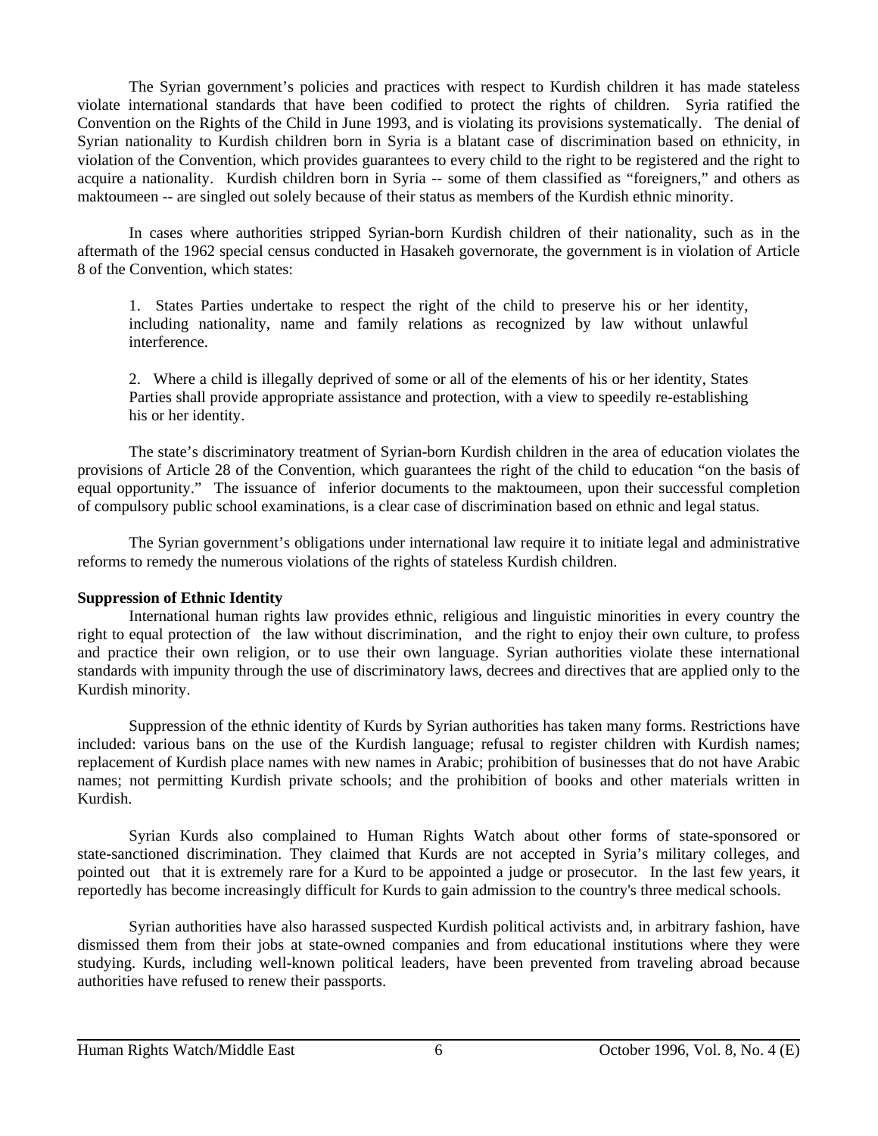The Syrian government's policies and practices with respect to Kurdish children it has made stateless violate international standards that have been codified to protect the rights of children. Syria ratified the Convention on the Rights of the Child in June 1993, and is violating its provisions systematically. The denial of Syrian nationality to Kurdish children born in Syria is a blatant case of discrimination based on ethnicity, in violation of the Convention, which provides guarantees to every child to the right to be registered and the right to acquire a nationality. Kurdish children born in Syria -- some of them classified as "foreigners," and others as maktoumeen -- are singled out solely because of their status as members of the Kurdish ethnic minority.

In cases where authorities stripped Syrian-born Kurdish children of their nationality, such as in the aftermath of the 1962 special census conducted in Hasakeh governorate, the government is in violation of Article 8 of the Convention, which states:

1. States Parties undertake to respect the right of the child to preserve his or her identity, including nationality, name and family relations as recognized by law without unlawful interference.

2. Where a child is illegally deprived of some or all of the elements of his or her identity, States Parties shall provide appropriate assistance and protection, with a view to speedily re-establishing his or her identity.

The state's discriminatory treatment of Syrian-born Kurdish children in the area of education violates the provisions of Article 28 of the Convention, which guarantees the right of the child to education "on the basis of equal opportunity." The issuance of inferior documents to the maktoumeen, upon their successful completion of compulsory public school examinations, is a clear case of discrimination based on ethnic and legal status.

The Syrian government's obligations under international law require it to initiate legal and administrative reforms to remedy the numerous violations of the rights of stateless Kurdish children.

#### **Suppression of Ethnic Identity**

International human rights law provides ethnic, religious and linguistic minorities in every country the right to equal protection of the law without discrimination, and the right to enjoy their own culture, to profess and practice their own religion, or to use their own language. Syrian authorities violate these international standards with impunity through the use of discriminatory laws, decrees and directives that are applied only to the Kurdish minority.

Suppression of the ethnic identity of Kurds by Syrian authorities has taken many forms. Restrictions have included: various bans on the use of the Kurdish language; refusal to register children with Kurdish names; replacement of Kurdish place names with new names in Arabic; prohibition of businesses that do not have Arabic names; not permitting Kurdish private schools; and the prohibition of books and other materials written in Kurdish.

Syrian Kurds also complained to Human Rights Watch about other forms of state-sponsored or state-sanctioned discrimination. They claimed that Kurds are not accepted in Syria's military colleges, and pointed out that it is extremely rare for a Kurd to be appointed a judge or prosecutor. In the last few years, it reportedly has become increasingly difficult for Kurds to gain admission to the country's three medical schools.

Syrian authorities have also harassed suspected Kurdish political activists and, in arbitrary fashion, have dismissed them from their jobs at state-owned companies and from educational institutions where they were studying. Kurds, including well-known political leaders, have been prevented from traveling abroad because authorities have refused to renew their passports.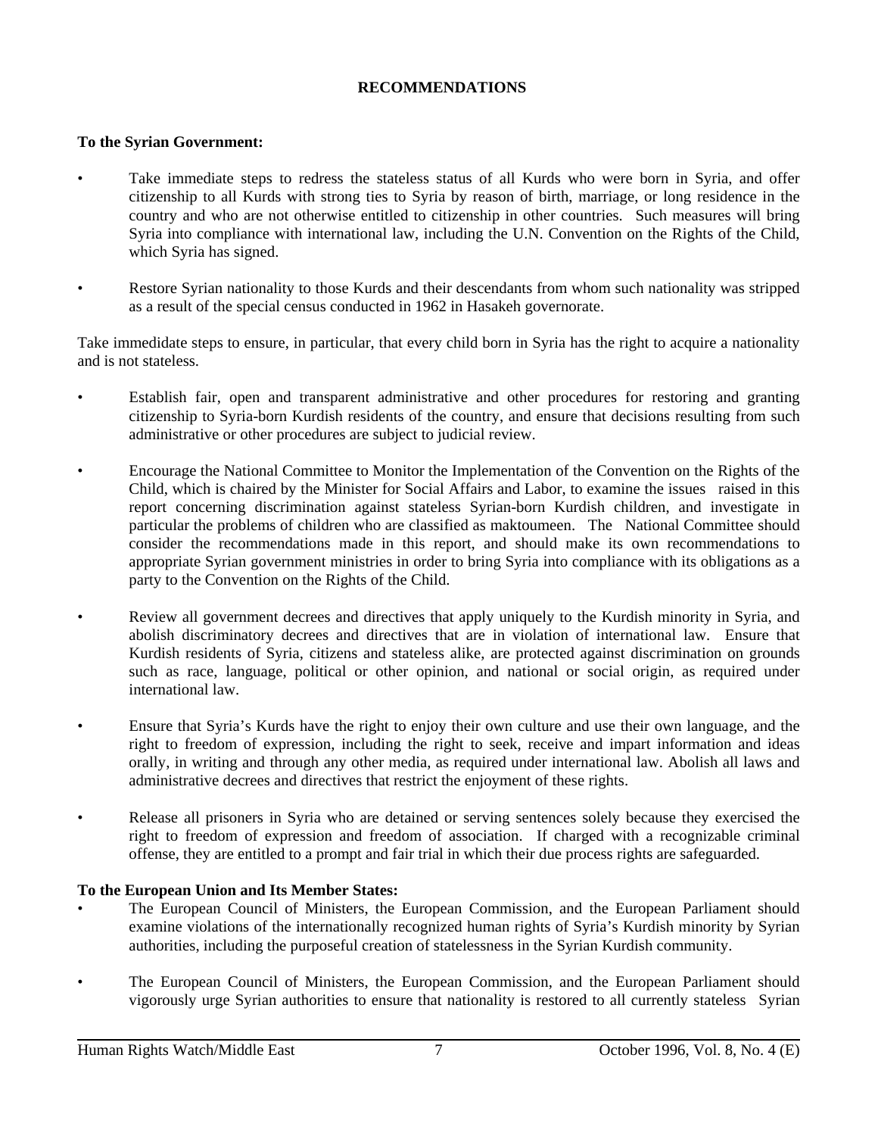# **RECOMMENDATIONS**

# **To the Syrian Government:**

- Take immediate steps to redress the stateless status of all Kurds who were born in Syria, and offer citizenship to all Kurds with strong ties to Syria by reason of birth, marriage, or long residence in the country and who are not otherwise entitled to citizenship in other countries. Such measures will bring Syria into compliance with international law, including the U.N. Convention on the Rights of the Child, which Syria has signed.
- Restore Syrian nationality to those Kurds and their descendants from whom such nationality was stripped as a result of the special census conducted in 1962 in Hasakeh governorate.

Take immedidate steps to ensure, in particular, that every child born in Syria has the right to acquire a nationality and is not stateless.

- Establish fair, open and transparent administrative and other procedures for restoring and granting citizenship to Syria-born Kurdish residents of the country, and ensure that decisions resulting from such administrative or other procedures are subject to judicial review.
- Encourage the National Committee to Monitor the Implementation of the Convention on the Rights of the Child, which is chaired by the Minister for Social Affairs and Labor, to examine the issues raised in this report concerning discrimination against stateless Syrian-born Kurdish children, and investigate in particular the problems of children who are classified as maktoumeen. The National Committee should consider the recommendations made in this report, and should make its own recommendations to appropriate Syrian government ministries in order to bring Syria into compliance with its obligations as a party to the Convention on the Rights of the Child.
- Review all government decrees and directives that apply uniquely to the Kurdish minority in Syria, and abolish discriminatory decrees and directives that are in violation of international law. Ensure that Kurdish residents of Syria, citizens and stateless alike, are protected against discrimination on grounds such as race, language, political or other opinion, and national or social origin, as required under international law.
- Ensure that Syria's Kurds have the right to enjoy their own culture and use their own language, and the right to freedom of expression, including the right to seek, receive and impart information and ideas orally, in writing and through any other media, as required under international law. Abolish all laws and administrative decrees and directives that restrict the enjoyment of these rights.
- Release all prisoners in Syria who are detained or serving sentences solely because they exercised the right to freedom of expression and freedom of association. If charged with a recognizable criminal offense, they are entitled to a prompt and fair trial in which their due process rights are safeguarded.

# **To the European Union and Its Member States:**

- The European Council of Ministers, the European Commission, and the European Parliament should examine violations of the internationally recognized human rights of Syria's Kurdish minority by Syrian authorities, including the purposeful creation of statelessness in the Syrian Kurdish community.
- The European Council of Ministers, the European Commission, and the European Parliament should vigorously urge Syrian authorities to ensure that nationality is restored to all currently stateless Syrian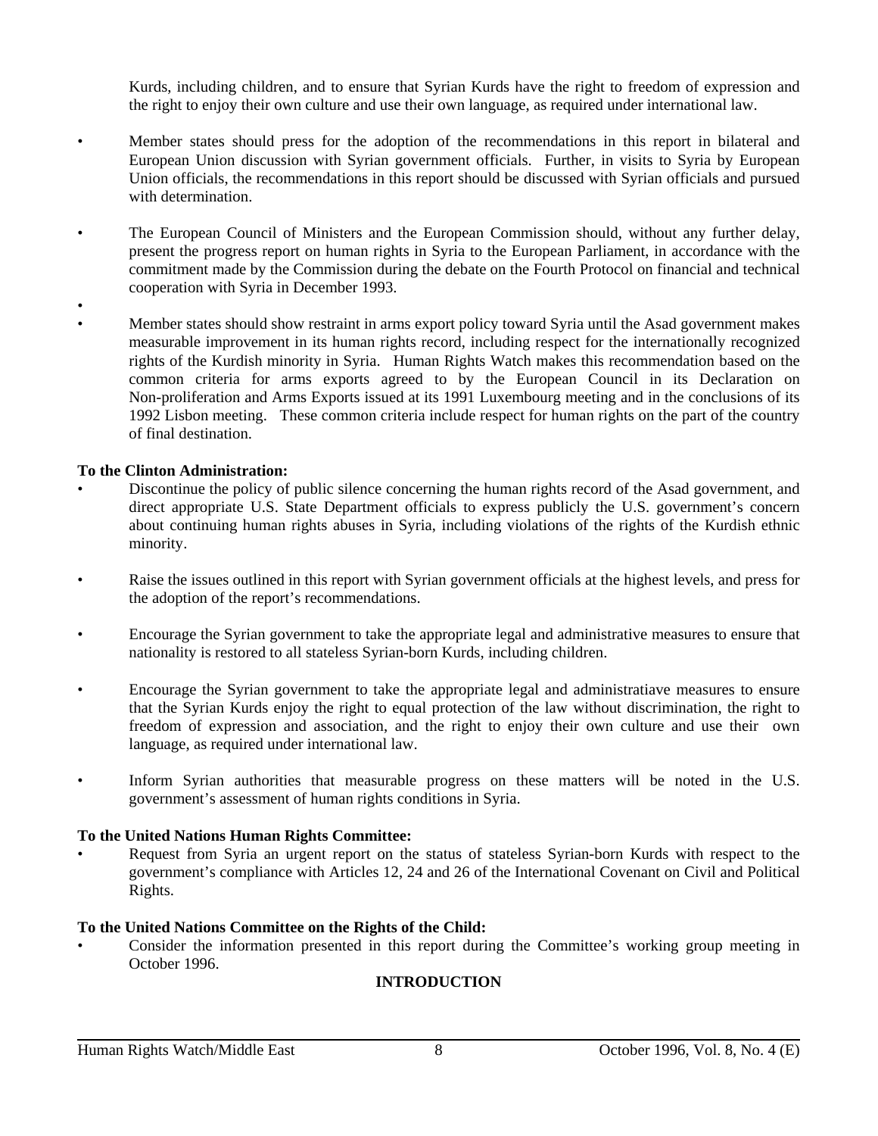Kurds, including children, and to ensure that Syrian Kurds have the right to freedom of expression and the right to enjoy their own culture and use their own language, as required under international law.

- Member states should press for the adoption of the recommendations in this report in bilateral and European Union discussion with Syrian government officials. Further, in visits to Syria by European Union officials, the recommendations in this report should be discussed with Syrian officials and pursued with determination.
- The European Council of Ministers and the European Commission should, without any further delay, present the progress report on human rights in Syria to the European Parliament, in accordance with the commitment made by the Commission during the debate on the Fourth Protocol on financial and technical cooperation with Syria in December 1993.
- •
- Member states should show restraint in arms export policy toward Syria until the Asad government makes measurable improvement in its human rights record, including respect for the internationally recognized rights of the Kurdish minority in Syria. Human Rights Watch makes this recommendation based on the common criteria for arms exports agreed to by the European Council in its Declaration on Non-proliferation and Arms Exports issued at its 1991 Luxembourg meeting and in the conclusions of its 1992 Lisbon meeting. These common criteria include respect for human rights on the part of the country of final destination.

# **To the Clinton Administration:**

- Discontinue the policy of public silence concerning the human rights record of the Asad government, and direct appropriate U.S. State Department officials to express publicly the U.S. government's concern about continuing human rights abuses in Syria, including violations of the rights of the Kurdish ethnic minority.
- Raise the issues outlined in this report with Syrian government officials at the highest levels, and press for the adoption of the report's recommendations.
- Encourage the Syrian government to take the appropriate legal and administrative measures to ensure that nationality is restored to all stateless Syrian-born Kurds, including children.
- Encourage the Syrian government to take the appropriate legal and administratiave measures to ensure that the Syrian Kurds enjoy the right to equal protection of the law without discrimination, the right to freedom of expression and association, and the right to enjoy their own culture and use their own language, as required under international law.
- Inform Syrian authorities that measurable progress on these matters will be noted in the U.S. government's assessment of human rights conditions in Syria.

# **To the United Nations Human Rights Committee:**

• Request from Syria an urgent report on the status of stateless Syrian-born Kurds with respect to the government's compliance with Articles 12, 24 and 26 of the International Covenant on Civil and Political Rights.

# **To the United Nations Committee on the Rights of the Child:**

• Consider the information presented in this report during the Committee's working group meeting in October 1996.

# **INTRODUCTION**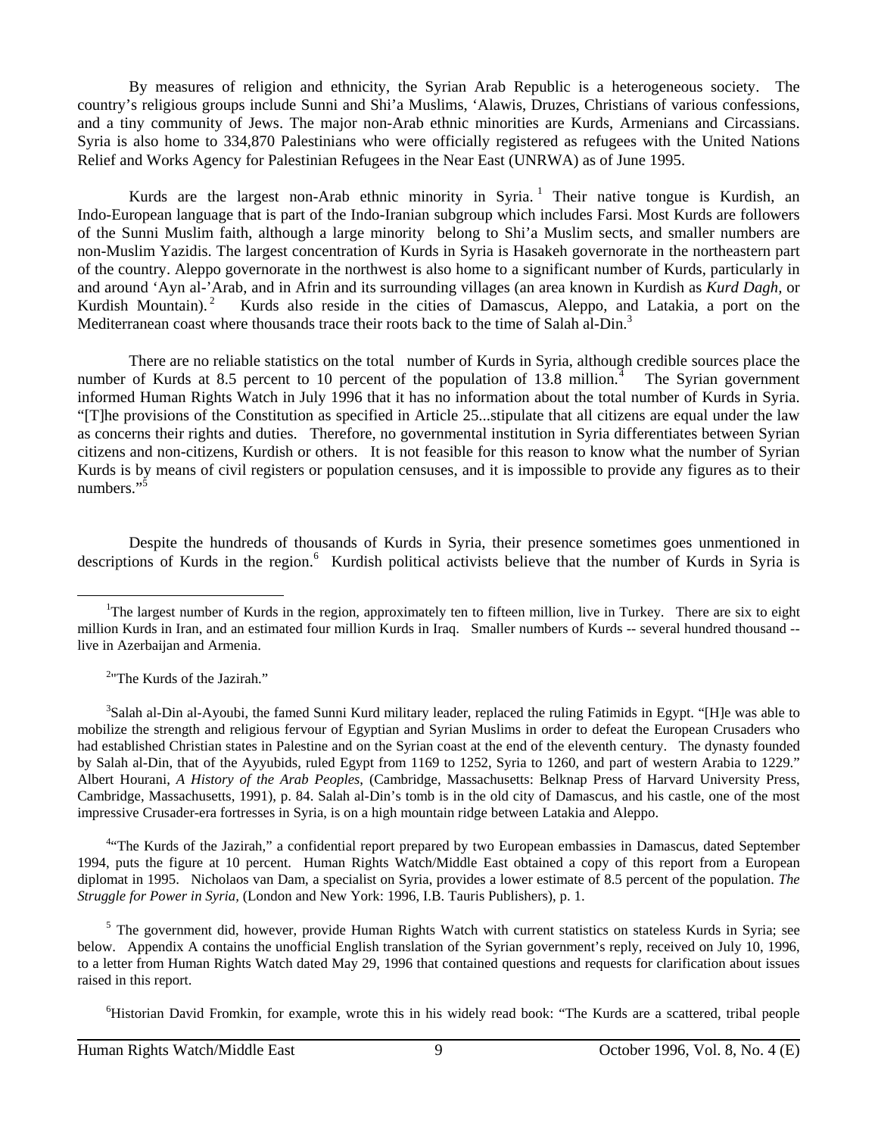By measures of religion and ethnicity, the Syrian Arab Republic is a heterogeneous society. The country's religious groups include Sunni and Shi'a Muslims, 'Alawis, Druzes, Christians of various confessions, and a tiny community of Jews. The major non-Arab ethnic minorities are Kurds, Armenians and Circassians. Syria is also home to 334,870 Palestinians who were officially registered as refugees with the United Nations Relief and Works Agency for Palestinian Refugees in the Near East (UNRWA) as of June 1995.

Kurds are the largest non-Arab ethnic minority in Syria.<sup>1</sup> Their native tongue is Kurdish, an Indo-European language that is part of the Indo-Iranian subgroup which includes Farsi. Most Kurds are followers of the Sunni Muslim faith, although a large minority belong to Shi'a Muslim sects, and smaller numbers are non-Muslim Yazidis. The largest concentration of Kurds in Syria is Hasakeh governorate in the northeastern part of the country. Aleppo governorate in the northwest is also home to a significant number of Kurds, particularly in and around 'Ayn al-'Arab, and in Afrin and its surrounding villages (an area known in Kurdish as *Kurd Dagh,* or Kurdish Mountain).<sup>2</sup> Kurds also reside in the cities of Damascus, Aleppo, and Latakia, a port on the Mediterranean coast where thousands trace their roots back to the time of Salah al-Din.<sup>3</sup>

There are no reliable statistics on the total number of Kurds in Syria, although credible sources place the number of Kurds at 8.5 percent to 10 percent of the population of 13.8 million. $4$  The Syrian government informed Human Rights Watch in July 1996 that it has no information about the total number of Kurds in Syria. "[T]he provisions of the Constitution as specified in Article 25...stipulate that all citizens are equal under the law as concerns their rights and duties. Therefore, no governmental institution in Syria differentiates between Syrian citizens and non-citizens, Kurdish or others. It is not feasible for this reason to know what the number of Syrian Kurds is by means of civil registers or population censuses, and it is impossible to provide any figures as to their numbers."<sup>5</sup>

Despite the hundreds of thousands of Kurds in Syria, their presence sometimes goes unmentioned in descriptions of Kurds in the region.<sup>6</sup> Kurdish political activists believe that the number of Kurds in Syria is

 $\overline{a}$ 

<sup>4</sup><sup>4</sup>The Kurds of the Jazirah," a confidential report prepared by two European embassies in Damascus, dated September 1994, puts the figure at 10 percent. Human Rights Watch/Middle East obtained a copy of this report from a European diplomat in 1995. Nicholaos van Dam, a specialist on Syria, provides a lower estimate of 8.5 percent of the population. *The Struggle for Power in Syria,* (London and New York: 1996, I.B. Tauris Publishers), p. 1.

<sup>5</sup> The government did, however, provide Human Rights Watch with current statistics on stateless Kurds in Syria; see below. Appendix A contains the unofficial English translation of the Syrian government's reply, received on July 10, 1996, to a letter from Human Rights Watch dated May 29, 1996 that contained questions and requests for clarification about issues raised in this report.

<sup>6</sup>Historian David Fromkin, for example, wrote this in his widely read book: "The Kurds are a scattered, tribal people

<sup>&</sup>lt;sup>1</sup>The largest number of Kurds in the region, approximately ten to fifteen million, live in Turkey. There are six to eight million Kurds in Iran, and an estimated four million Kurds in Iraq. Smaller numbers of Kurds -- several hundred thousand - live in Azerbaijan and Armenia.

<sup>2</sup> "The Kurds of the Jazirah."

<sup>&</sup>lt;sup>3</sup>Salah al-Din al-Ayoubi, the famed Sunni Kurd military leader, replaced the ruling Fatimids in Egypt. "[H]e was able to mobilize the strength and religious fervour of Egyptian and Syrian Muslims in order to defeat the European Crusaders who had established Christian states in Palestine and on the Syrian coast at the end of the eleventh century. The dynasty founded by Salah al-Din, that of the Ayyubids, ruled Egypt from 1169 to 1252, Syria to 1260, and part of western Arabia to 1229." Albert Hourani, *A History of the Arab Peoples*, (Cambridge, Massachusetts: Belknap Press of Harvard University Press, Cambridge, Massachusetts, 1991), p. 84. Salah al-Din's tomb is in the old city of Damascus, and his castle, one of the most impressive Crusader-era fortresses in Syria, is on a high mountain ridge between Latakia and Aleppo.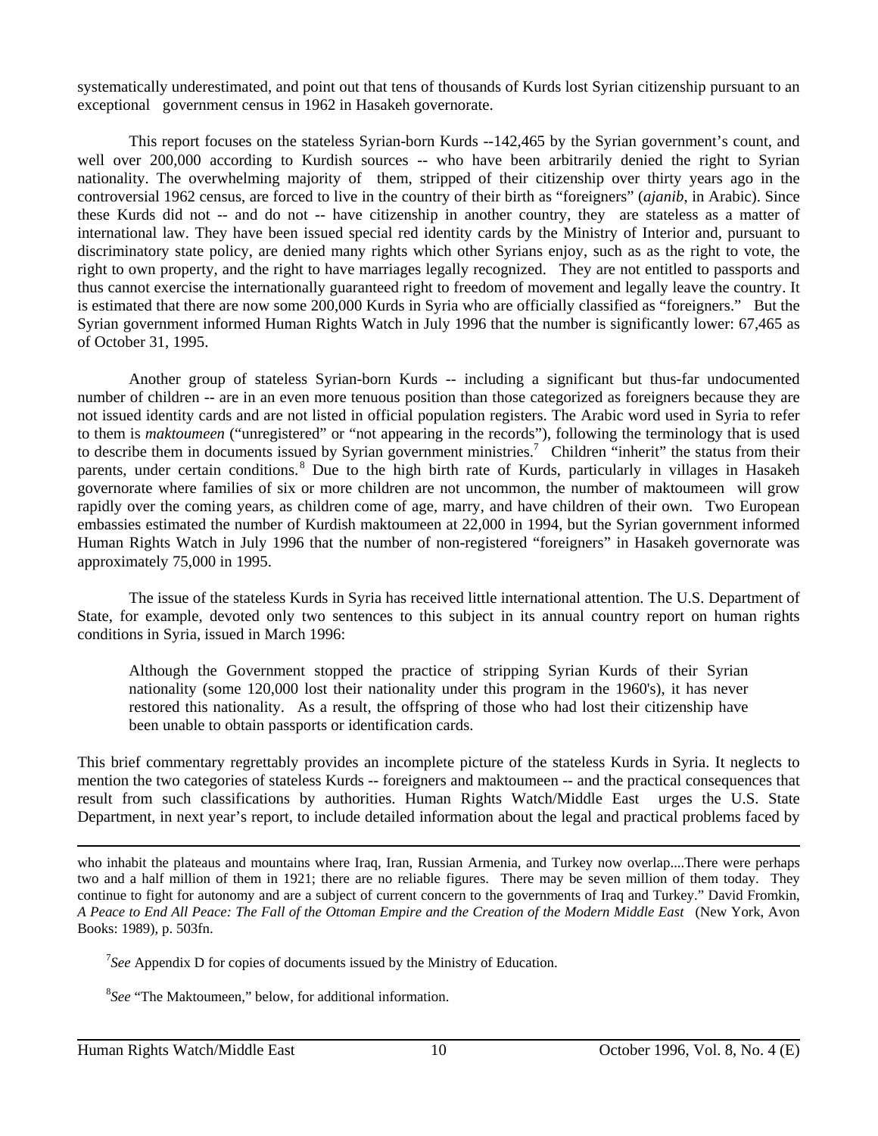systematically underestimated, and point out that tens of thousands of Kurds lost Syrian citizenship pursuant to an exceptional government census in 1962 in Hasakeh governorate.

This report focuses on the stateless Syrian-born Kurds --142,465 by the Syrian government's count, and well over 200,000 according to Kurdish sources -- who have been arbitrarily denied the right to Syrian nationality. The overwhelming majority of them, stripped of their citizenship over thirty years ago in the controversial 1962 census, are forced to live in the country of their birth as "foreigners" (*ajanib*, in Arabic). Since these Kurds did not -- and do not -- have citizenship in another country, they are stateless as a matter of international law. They have been issued special red identity cards by the Ministry of Interior and, pursuant to discriminatory state policy, are denied many rights which other Syrians enjoy, such as as the right to vote, the right to own property, and the right to have marriages legally recognized. They are not entitled to passports and thus cannot exercise the internationally guaranteed right to freedom of movement and legally leave the country. It is estimated that there are now some 200,000 Kurds in Syria who are officially classified as "foreigners." But the Syrian government informed Human Rights Watch in July 1996 that the number is significantly lower: 67,465 as of October 31, 1995.

Another group of stateless Syrian-born Kurds -- including a significant but thus-far undocumented number of children -- are in an even more tenuous position than those categorized as foreigners because they are not issued identity cards and are not listed in official population registers. The Arabic word used in Syria to refer to them is *maktoumeen* ("unregistered" or "not appearing in the records"), following the terminology that is used to describe them in documents issued by Syrian government ministries.<sup>7</sup> Children "inherit" the status from their parents, under certain conditions.<sup>8</sup> Due to the high birth rate of Kurds, particularly in villages in Hasakeh governorate where families of six or more children are not uncommon, the number of maktoumeen will grow rapidly over the coming years, as children come of age, marry, and have children of their own. Two European embassies estimated the number of Kurdish maktoumeen at 22,000 in 1994, but the Syrian government informed Human Rights Watch in July 1996 that the number of non-registered "foreigners" in Hasakeh governorate was approximately 75,000 in 1995.

The issue of the stateless Kurds in Syria has received little international attention. The U.S. Department of State, for example, devoted only two sentences to this subject in its annual country report on human rights conditions in Syria, issued in March 1996:

Although the Government stopped the practice of stripping Syrian Kurds of their Syrian nationality (some 120,000 lost their nationality under this program in the 1960's), it has never restored this nationality. As a result, the offspring of those who had lost their citizenship have been unable to obtain passports or identification cards.

This brief commentary regrettably provides an incomplete picture of the stateless Kurds in Syria. It neglects to mention the two categories of stateless Kurds -- foreigners and maktoumeen -- and the practical consequences that result from such classifications by authorities. Human Rights Watch/Middle East urges the U.S. State Department, in next year's report, to include detailed information about the legal and practical problems faced by

<sup>7</sup>See Appendix D for copies of documents issued by the Ministry of Education.

<sup>8</sup> *See* "The Maktoumeen," below, for additional information.

who inhabit the plateaus and mountains where Iraq, Iran, Russian Armenia, and Turkey now overlap....There were perhaps two and a half million of them in 1921; there are no reliable figures. There may be seven million of them today. They continue to fight for autonomy and are a subject of current concern to the governments of Iraq and Turkey." David Fromkin, *A Peace to End All Peace: The Fall of the Ottoman Empire and the Creation of the Modern Middle East* (New York, Avon Books: 1989), p. 503fn.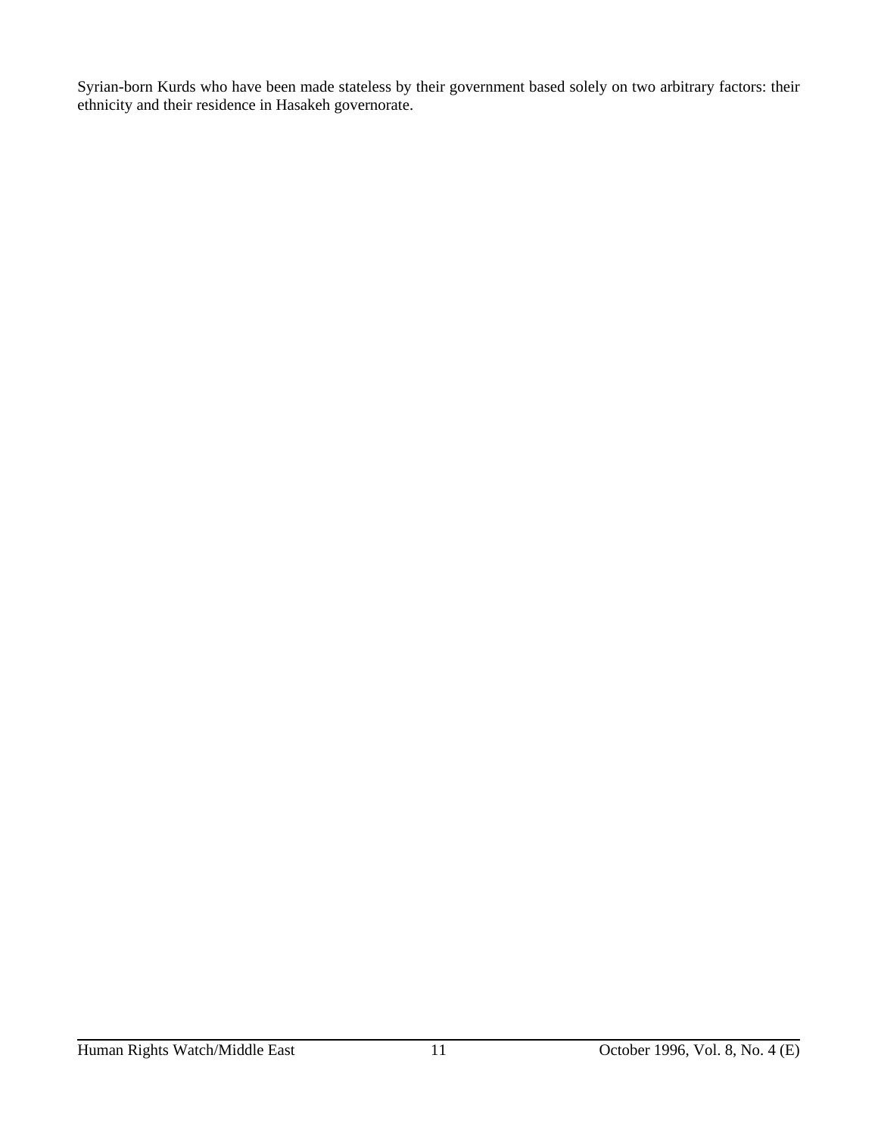Syrian-born Kurds who have been made stateless by their government based solely on two arbitrary factors: their ethnicity and their residence in Hasakeh governorate.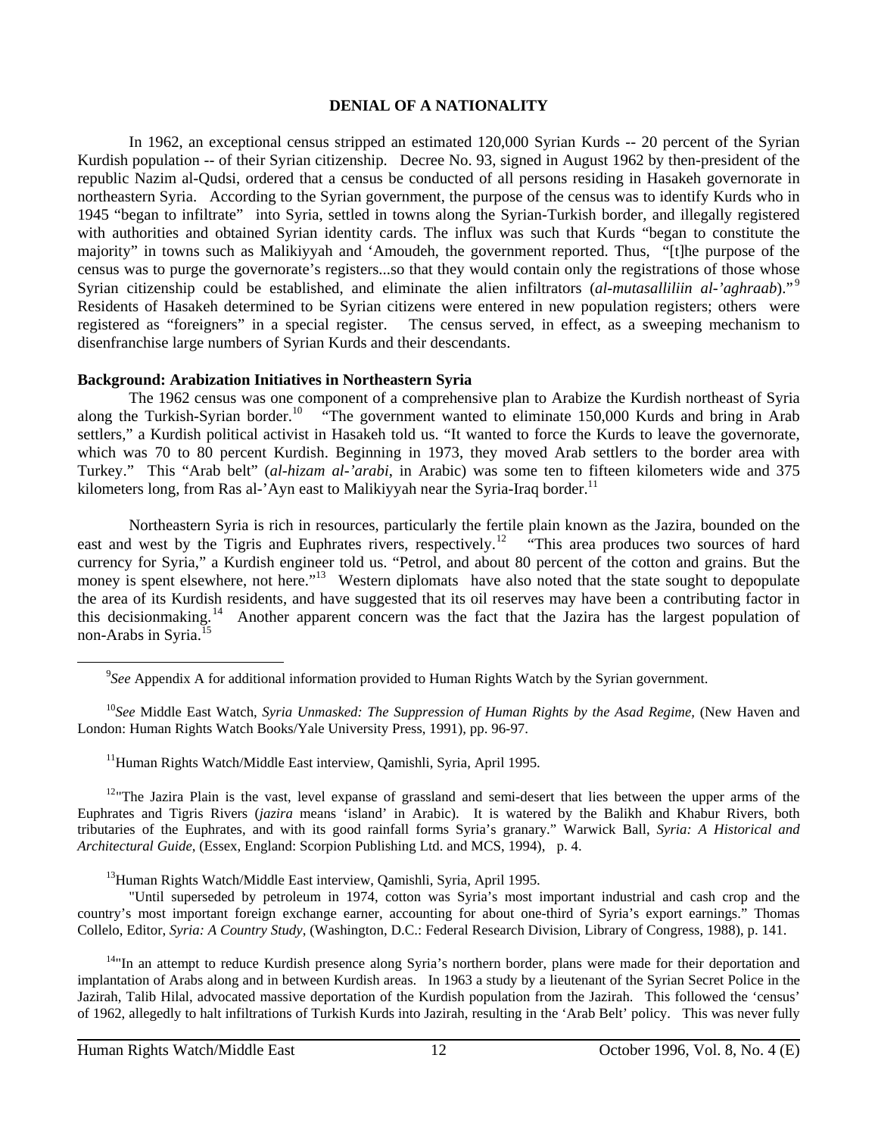#### **DENIAL OF A NATIONALITY**

In 1962, an exceptional census stripped an estimated 120,000 Syrian Kurds -- 20 percent of the Syrian Kurdish population -- of their Syrian citizenship. Decree No. 93, signed in August 1962 by then-president of the republic Nazim al-Qudsi, ordered that a census be conducted of all persons residing in Hasakeh governorate in northeastern Syria. According to the Syrian government, the purpose of the census was to identify Kurds who in 1945 "began to infiltrate" into Syria, settled in towns along the Syrian-Turkish border, and illegally registered with authorities and obtained Syrian identity cards. The influx was such that Kurds "began to constitute the majority" in towns such as Malikiyyah and 'Amoudeh, the government reported. Thus, "[t]he purpose of the census was to purge the governorate's registers...so that they would contain only the registrations of those whose Syrian citizenship could be established, and eliminate the alien infiltrators (*al-mutasalliliin al-'aghraab*)."<sup>9</sup> Residents of Hasakeh determined to be Syrian citizens were entered in new population registers; others were registered as "foreigners" in a special register. The census served, in effect, as a sweeping mechanism to disenfranchise large numbers of Syrian Kurds and their descendants.

#### **Background: Arabization Initiatives in Northeastern Syria**

The 1962 census was one component of a comprehensive plan to Arabize the Kurdish northeast of Syria along the Turkish-Syrian border.<sup>10</sup> "The government wanted to eliminate 150,000 Kurds and bring in Arab settlers," a Kurdish political activist in Hasakeh told us. "It wanted to force the Kurds to leave the governorate, which was 70 to 80 percent Kurdish. Beginning in 1973, they moved Arab settlers to the border area with Turkey." This "Arab belt" (*al-hizam al-'arabi*, in Arabic) was some ten to fifteen kilometers wide and 375 kilometers long, from Ras al-'Ayn east to Malikiyyah near the Syria-Iraq border.<sup>11</sup>

Northeastern Syria is rich in resources, particularly the fertile plain known as the Jazira, bounded on the east and west by the Tigris and Euphrates rivers, respectively.<sup>12</sup> "This area produces two sources of hard currency for Syria," a Kurdish engineer told us. "Petrol, and about 80 percent of the cotton and grains. But the money is spent elsewhere, not here."<sup>13</sup> Western diplomats have also noted that the state sought to depopulate the area of its Kurdish residents, and have suggested that its oil reserves may have been a contributing factor in this decisionmaking.14 Another apparent concern was the fact that the Jazira has the largest population of non-Arabs in Syria.<sup>15</sup>

 <sup>10</sup>*See* Middle East Watch, *Syria Unmasked: The Suppression of Human Rights by the Asad Regime,* (New Haven and London: Human Rights Watch Books/Yale University Press, 1991), pp. 96-97.

<sup>11</sup>Human Rights Watch/Middle East interview, Qamishli, Syria, April 1995.

 $12$ "The Jazira Plain is the vast, level expanse of grassland and semi-desert that lies between the upper arms of the Euphrates and Tigris Rivers (*jazira* means 'island' in Arabic). It is watered by the Balikh and Khabur Rivers, both tributaries of the Euphrates, and with its good rainfall forms Syria's granary." Warwick Ball, *Syria: A Historical and Architectural Guide*, (Essex, England: Scorpion Publishing Ltd. and MCS, 1994), p. 4.

<sup>13</sup>Human Rights Watch/Middle East interview, Qamishli, Syria, April 1995.

"Until superseded by petroleum in 1974, cotton was Syria's most important industrial and cash crop and the country's most important foreign exchange earner, accounting for about one-third of Syria's export earnings." Thomas Collelo, Editor, *Syria: A Country Study*, (Washington, D.C.: Federal Research Division, Library of Congress, 1988), p. 141.

<sup>14</sup>"In an attempt to reduce Kurdish presence along Syria's northern border, plans were made for their deportation and implantation of Arabs along and in between Kurdish areas. In 1963 a study by a lieutenant of the Syrian Secret Police in the Jazirah, Talib Hilal, advocated massive deportation of the Kurdish population from the Jazirah. This followed the 'census' of 1962, allegedly to halt infiltrations of Turkish Kurds into Jazirah, resulting in the 'Arab Belt' policy. This was never fully

<sup>&</sup>lt;sup>9</sup>See Appendix A for additional information provided to Human Rights Watch by the Syrian government.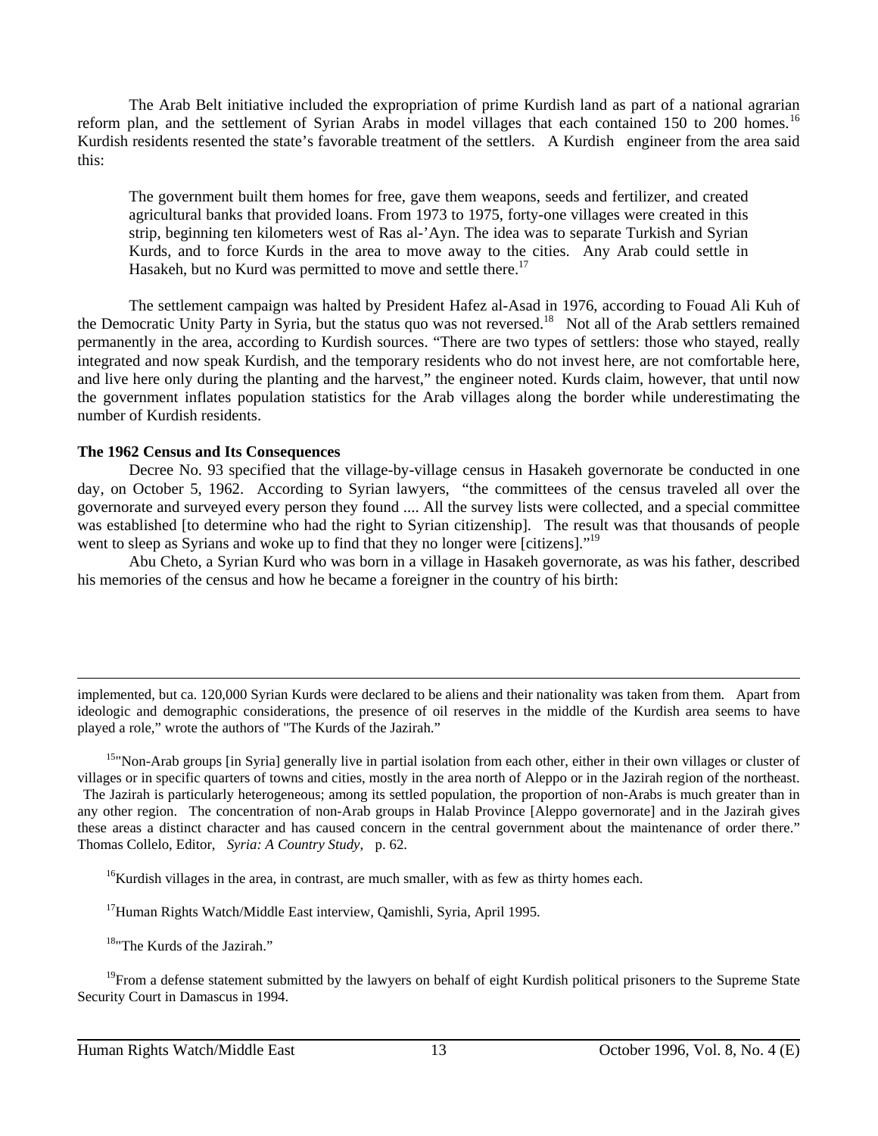The Arab Belt initiative included the expropriation of prime Kurdish land as part of a national agrarian reform plan, and the settlement of Syrian Arabs in model villages that each contained 150 to 200 homes.<sup>16</sup> Kurdish residents resented the state's favorable treatment of the settlers. A Kurdish engineer from the area said this:

The government built them homes for free, gave them weapons, seeds and fertilizer, and created agricultural banks that provided loans. From 1973 to 1975, forty-one villages were created in this strip, beginning ten kilometers west of Ras al-'Ayn. The idea was to separate Turkish and Syrian Kurds, and to force Kurds in the area to move away to the cities. Any Arab could settle in Hasakeh, but no Kurd was permitted to move and settle there.<sup>17</sup>

The settlement campaign was halted by President Hafez al-Asad in 1976, according to Fouad Ali Kuh of the Democratic Unity Party in Syria, but the status quo was not reversed.<sup>18</sup> Not all of the Arab settlers remained permanently in the area, according to Kurdish sources. "There are two types of settlers: those who stayed, really integrated and now speak Kurdish, and the temporary residents who do not invest here, are not comfortable here, and live here only during the planting and the harvest," the engineer noted. Kurds claim, however, that until now the government inflates population statistics for the Arab villages along the border while underestimating the number of Kurdish residents.

#### **The 1962 Census and Its Consequences**

Decree No. 93 specified that the village-by-village census in Hasakeh governorate be conducted in one day, on October 5, 1962. According to Syrian lawyers, "the committees of the census traveled all over the governorate and surveyed every person they found .... All the survey lists were collected, and a special committee was established [to determine who had the right to Syrian citizenship]. The result was that thousands of people went to sleep as Syrians and woke up to find that they no longer were [citizens]."<sup>19</sup>

Abu Cheto, a Syrian Kurd who was born in a village in Hasakeh governorate, as was his father, described his memories of the census and how he became a foreigner in the country of his birth:

implemented, but ca. 120,000 Syrian Kurds were declared to be aliens and their nationality was taken from them. Apart from ideologic and demographic considerations, the presence of oil reserves in the middle of the Kurdish area seems to have played a role," wrote the authors of "The Kurds of the Jazirah."

<sup>15</sup>"Non-Arab groups [in Syria] generally live in partial isolation from each other, either in their own villages or cluster of villages or in specific quarters of towns and cities, mostly in the area north of Aleppo or in the Jazirah region of the northeast. The Jazirah is particularly heterogeneous; among its settled population, the proportion of non-Arabs is much greater than in any other region. The concentration of non-Arab groups in Halab Province [Aleppo governorate] and in the Jazirah gives these areas a distinct character and has caused concern in the central government about the maintenance of order there." Thomas Collelo, Editor, *Syria: A Country Study*, p. 62.

<sup>16</sup>Kurdish villages in the area, in contrast, are much smaller, with as few as thirty homes each.

<sup>17</sup>Human Rights Watch/Middle East interview, Qamishli, Syria, April 1995.

18"The Kurds of the Jazirah."

 $\overline{a}$ 

 $19$ From a defense statement submitted by the lawyers on behalf of eight Kurdish political prisoners to the Supreme State Security Court in Damascus in 1994.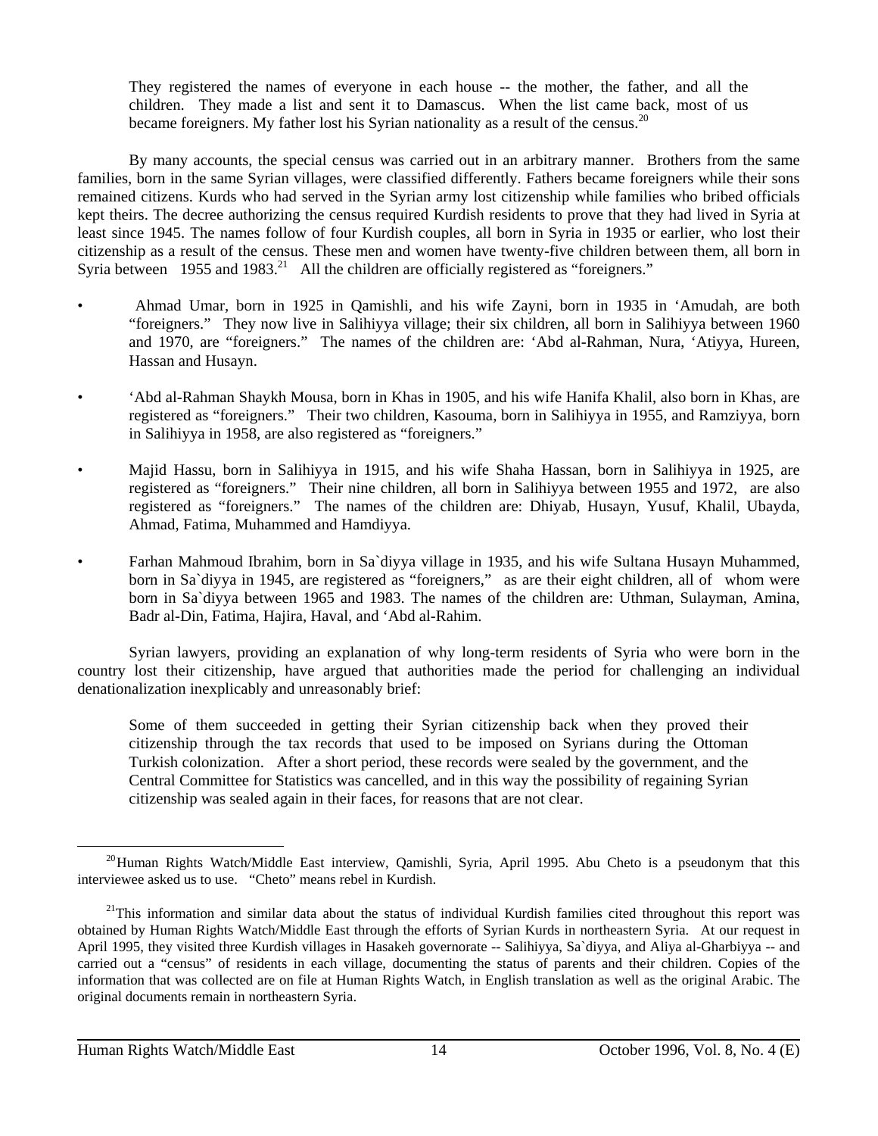They registered the names of everyone in each house -- the mother, the father, and all the children. They made a list and sent it to Damascus. When the list came back, most of us became foreigners. My father lost his Syrian nationality as a result of the census.<sup>20</sup>

By many accounts, the special census was carried out in an arbitrary manner. Brothers from the same families, born in the same Syrian villages, were classified differently. Fathers became foreigners while their sons remained citizens. Kurds who had served in the Syrian army lost citizenship while families who bribed officials kept theirs. The decree authorizing the census required Kurdish residents to prove that they had lived in Syria at least since 1945. The names follow of four Kurdish couples, all born in Syria in 1935 or earlier, who lost their citizenship as a result of the census. These men and women have twenty-five children between them, all born in Syria between 1955 and 1983.<sup>21</sup> All the children are officially registered as "foreigners."

- Ahmad Umar, born in 1925 in Qamishli, and his wife Zayni, born in 1935 in 'Amudah, are both "foreigners." They now live in Salihiyya village; their six children, all born in Salihiyya between 1960 and 1970, are "foreigners." The names of the children are: 'Abd al-Rahman, Nura, 'Atiyya, Hureen, Hassan and Husayn.
- 'Abd al-Rahman Shaykh Mousa, born in Khas in 1905, and his wife Hanifa Khalil, also born in Khas, are registered as "foreigners." Their two children, Kasouma, born in Salihiyya in 1955, and Ramziyya, born in Salihiyya in 1958, are also registered as "foreigners."
- Majid Hassu, born in Salihiyya in 1915, and his wife Shaha Hassan, born in Salihiyya in 1925, are registered as "foreigners." Their nine children, all born in Salihiyya between 1955 and 1972, are also registered as "foreigners." The names of the children are: Dhiyab, Husayn, Yusuf, Khalil, Ubayda, Ahmad, Fatima, Muhammed and Hamdiyya.
- Farhan Mahmoud Ibrahim, born in Sa`diyya village in 1935, and his wife Sultana Husayn Muhammed, born in Sa`diyya in 1945, are registered as "foreigners," as are their eight children, all of whom were born in Sa`diyya between 1965 and 1983. The names of the children are: Uthman, Sulayman, Amina, Badr al-Din, Fatima, Hajira, Haval, and 'Abd al-Rahim.

Syrian lawyers, providing an explanation of why long-term residents of Syria who were born in the country lost their citizenship, have argued that authorities made the period for challenging an individual denationalization inexplicably and unreasonably brief:

Some of them succeeded in getting their Syrian citizenship back when they proved their citizenship through the tax records that used to be imposed on Syrians during the Ottoman Turkish colonization. After a short period, these records were sealed by the government, and the Central Committee for Statistics was cancelled, and in this way the possibility of regaining Syrian citizenship was sealed again in their faces, for reasons that are not clear.

 $\overline{a}$ <sup>20</sup>Human Rights Watch/Middle East interview, Qamishli, Syria, April 1995. Abu Cheto is a pseudonym that this interviewee asked us to use. "Cheto" means rebel in Kurdish.

<sup>&</sup>lt;sup>21</sup>This information and similar data about the status of individual Kurdish families cited throughout this report was obtained by Human Rights Watch/Middle East through the efforts of Syrian Kurds in northeastern Syria. At our request in April 1995, they visited three Kurdish villages in Hasakeh governorate -- Salihiyya, Sa`diyya, and Aliya al-Gharbiyya -- and carried out a "census" of residents in each village, documenting the status of parents and their children. Copies of the information that was collected are on file at Human Rights Watch, in English translation as well as the original Arabic. The original documents remain in northeastern Syria.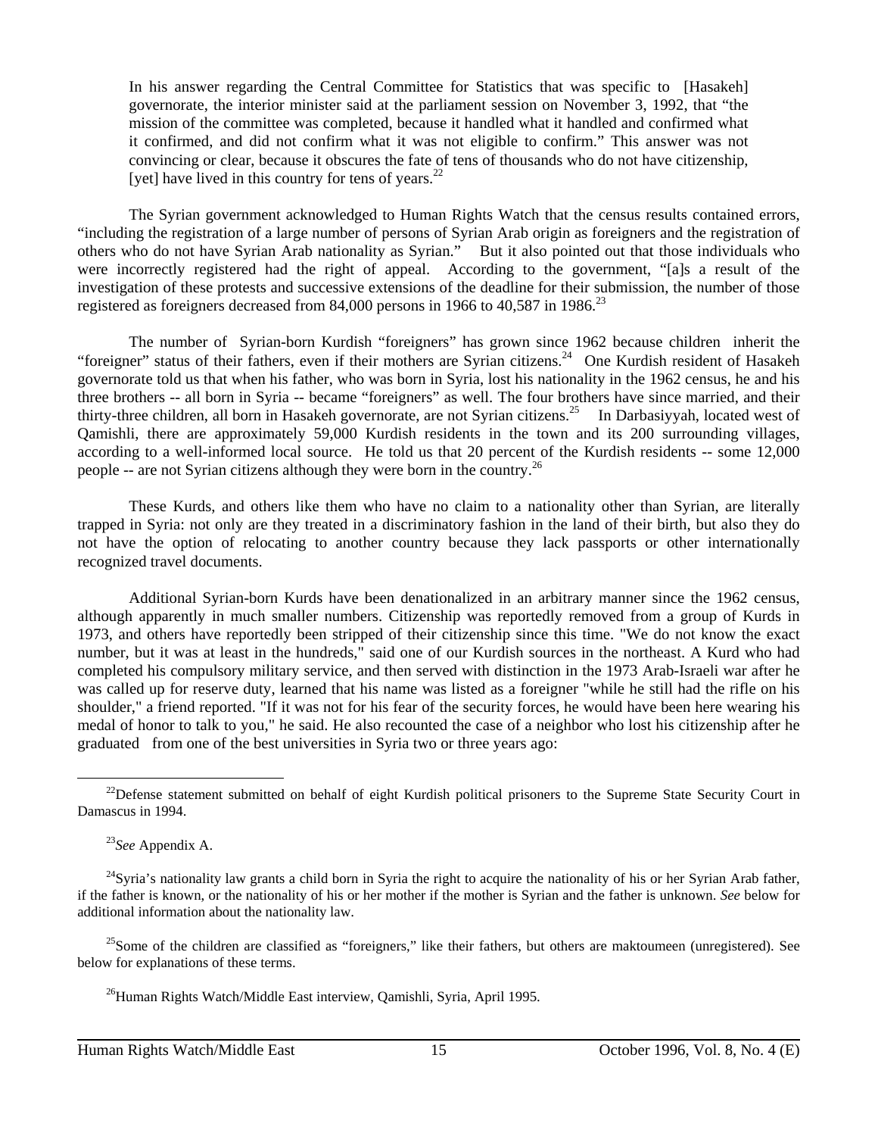In his answer regarding the Central Committee for Statistics that was specific to [Hasakeh] governorate, the interior minister said at the parliament session on November 3, 1992, that "the mission of the committee was completed, because it handled what it handled and confirmed what it confirmed, and did not confirm what it was not eligible to confirm." This answer was not convincing or clear, because it obscures the fate of tens of thousands who do not have citizenship, [yet] have lived in this country for tens of years. $^{22}$ 

The Syrian government acknowledged to Human Rights Watch that the census results contained errors, "including the registration of a large number of persons of Syrian Arab origin as foreigners and the registration of others who do not have Syrian Arab nationality as Syrian." But it also pointed out that those individuals who were incorrectly registered had the right of appeal. According to the government, "[a]s a result of the investigation of these protests and successive extensions of the deadline for their submission, the number of those registered as foreigners decreased from 84,000 persons in 1966 to 40,587 in 1986.<sup>23</sup>

The number of Syrian-born Kurdish "foreigners" has grown since 1962 because children inherit the "foreigner" status of their fathers, even if their mothers are Syrian citizens.<sup>24</sup> One Kurdish resident of Hasakeh governorate told us that when his father, who was born in Syria, lost his nationality in the 1962 census, he and his three brothers -- all born in Syria -- became "foreigners" as well. The four brothers have since married, and their thirty-three children, all born in Hasakeh governorate, are not Syrian citizens.<sup>25</sup> In Darbasiyyah, located west of Qamishli, there are approximately 59,000 Kurdish residents in the town and its 200 surrounding villages, according to a well-informed local source. He told us that 20 percent of the Kurdish residents -- some 12,000 people -- are not Syrian citizens although they were born in the country.<sup>26</sup>

These Kurds, and others like them who have no claim to a nationality other than Syrian, are literally trapped in Syria: not only are they treated in a discriminatory fashion in the land of their birth, but also they do not have the option of relocating to another country because they lack passports or other internationally recognized travel documents.

Additional Syrian-born Kurds have been denationalized in an arbitrary manner since the 1962 census, although apparently in much smaller numbers. Citizenship was reportedly removed from a group of Kurds in 1973, and others have reportedly been stripped of their citizenship since this time. "We do not know the exact number, but it was at least in the hundreds," said one of our Kurdish sources in the northeast. A Kurd who had completed his compulsory military service, and then served with distinction in the 1973 Arab-Israeli war after he was called up for reserve duty, learned that his name was listed as a foreigner "while he still had the rifle on his shoulder," a friend reported. "If it was not for his fear of the security forces, he would have been here wearing his medal of honor to talk to you," he said. He also recounted the case of a neighbor who lost his citizenship after he graduated from one of the best universities in Syria two or three years ago:

 $22$ Defense statement submitted on behalf of eight Kurdish political prisoners to the Supreme State Security Court in Damascus in 1994.

<sup>23</sup>*See* Appendix A.

 $^{24}$ Syria's nationality law grants a child born in Syria the right to acquire the nationality of his or her Syrian Arab father, if the father is known, or the nationality of his or her mother if the mother is Syrian and the father is unknown. *See* below for additional information about the nationality law.

 $25$ Some of the children are classified as "foreigners," like their fathers, but others are maktoumeen (unregistered). See below for explanations of these terms.

<sup>&</sup>lt;sup>26</sup>Human Rights Watch/Middle East interview, Qamishli, Syria, April 1995.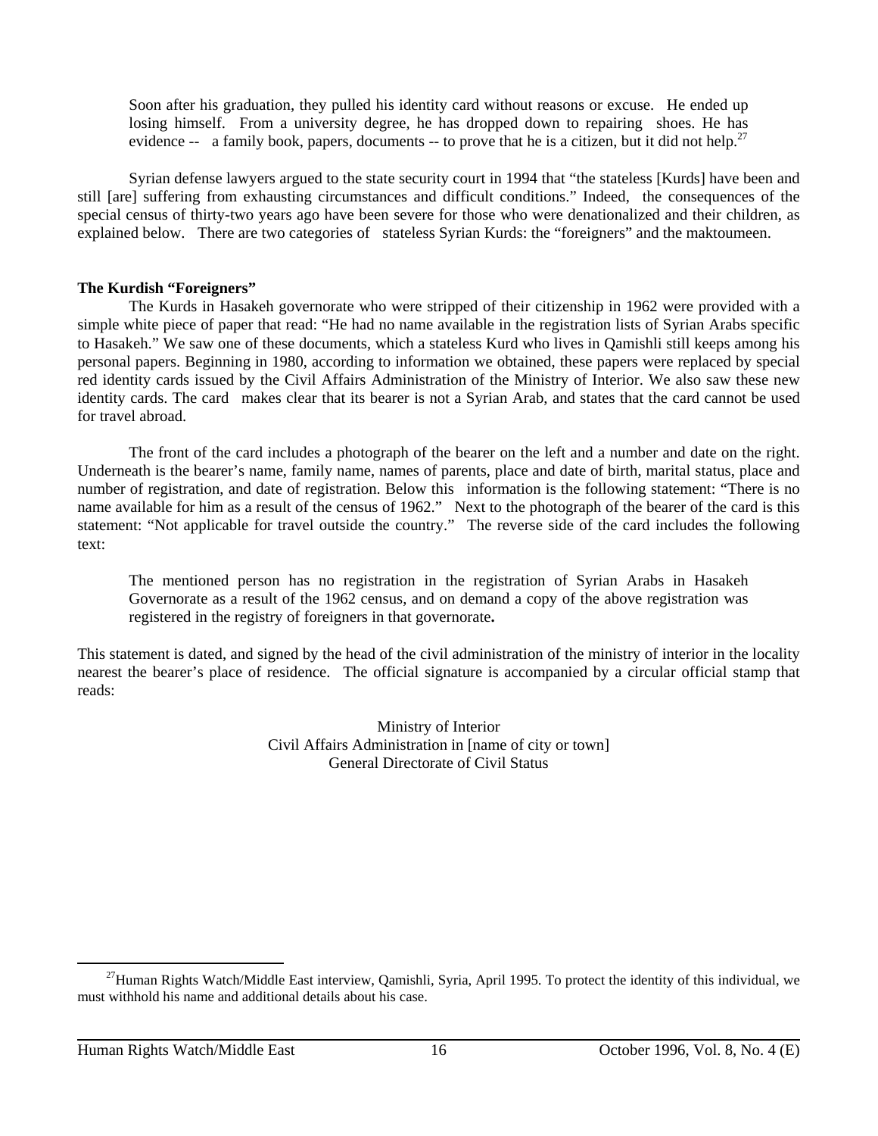Soon after his graduation, they pulled his identity card without reasons or excuse. He ended up losing himself. From a university degree, he has dropped down to repairing shoes. He has evidence  $\text{-}$  a family book, papers, documents  $\text{-}$  to prove that he is a citizen, but it did not help.<sup>27</sup>

Syrian defense lawyers argued to the state security court in 1994 that "the stateless [Kurds] have been and still [are] suffering from exhausting circumstances and difficult conditions." Indeed, the consequences of the special census of thirty-two years ago have been severe for those who were denationalized and their children, as explained below. There are two categories of stateless Syrian Kurds: the "foreigners" and the maktoumeen.

#### **The Kurdish "Foreigners"**

The Kurds in Hasakeh governorate who were stripped of their citizenship in 1962 were provided with a simple white piece of paper that read: "He had no name available in the registration lists of Syrian Arabs specific to Hasakeh." We saw one of these documents, which a stateless Kurd who lives in Qamishli still keeps among his personal papers. Beginning in 1980, according to information we obtained, these papers were replaced by special red identity cards issued by the Civil Affairs Administration of the Ministry of Interior. We also saw these new identity cards. The card makes clear that its bearer is not a Syrian Arab, and states that the card cannot be used for travel abroad.

The front of the card includes a photograph of the bearer on the left and a number and date on the right. Underneath is the bearer's name, family name, names of parents, place and date of birth, marital status, place and number of registration, and date of registration. Below this information is the following statement: "There is no name available for him as a result of the census of 1962." Next to the photograph of the bearer of the card is this statement: "Not applicable for travel outside the country." The reverse side of the card includes the following text:

The mentioned person has no registration in the registration of Syrian Arabs in Hasakeh Governorate as a result of the 1962 census, and on demand a copy of the above registration was registered in the registry of foreigners in that governorate**.**

This statement is dated, and signed by the head of the civil administration of the ministry of interior in the locality nearest the bearer's place of residence. The official signature is accompanied by a circular official stamp that reads:

> Ministry of Interior Civil Affairs Administration in [name of city or town] General Directorate of Civil Status

 $\overline{a}$  $^{27}$ Human Rights Watch/Middle East interview, Qamishli, Syria, April 1995. To protect the identity of this individual, we must withhold his name and additional details about his case.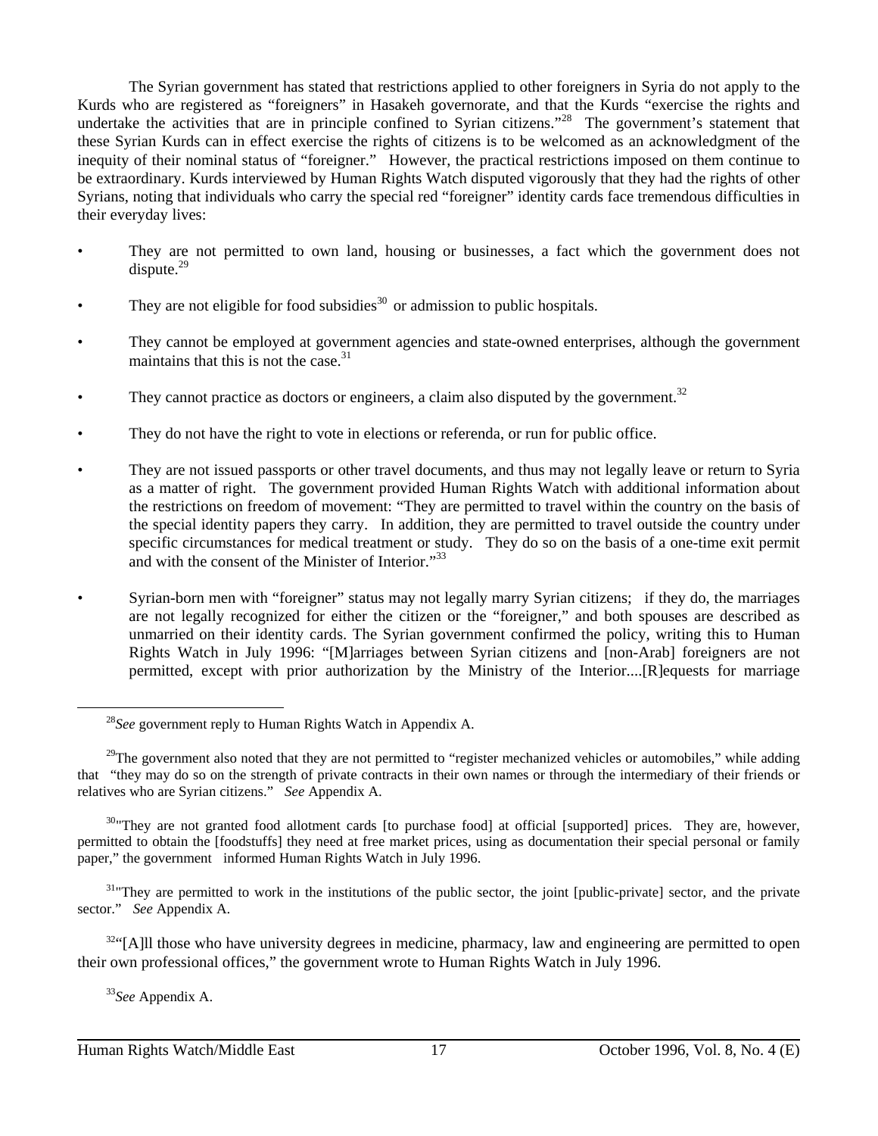The Syrian government has stated that restrictions applied to other foreigners in Syria do not apply to the Kurds who are registered as "foreigners" in Hasakeh governorate, and that the Kurds "exercise the rights and undertake the activities that are in principle confined to Syrian citizens."<sup>28</sup> The government's statement that these Syrian Kurds can in effect exercise the rights of citizens is to be welcomed as an acknowledgment of the inequity of their nominal status of "foreigner." However, the practical restrictions imposed on them continue to be extraordinary. Kurds interviewed by Human Rights Watch disputed vigorously that they had the rights of other Syrians, noting that individuals who carry the special red "foreigner" identity cards face tremendous difficulties in their everyday lives:

- They are not permitted to own land, housing or businesses, a fact which the government does not  $dispute.<sup>29</sup>$
- They are not eligible for food subsidies<sup>30</sup> or admission to public hospitals.
- They cannot be employed at government agencies and state-owned enterprises, although the government maintains that this is not the case.31
- They cannot practice as doctors or engineers, a claim also disputed by the government.<sup>32</sup>
- They do not have the right to vote in elections or referenda, or run for public office.
- They are not issued passports or other travel documents, and thus may not legally leave or return to Syria as a matter of right. The government provided Human Rights Watch with additional information about the restrictions on freedom of movement: "They are permitted to travel within the country on the basis of the special identity papers they carry. In addition, they are permitted to travel outside the country under specific circumstances for medical treatment or study. They do so on the basis of a one-time exit permit and with the consent of the Minister of Interior."33
- Syrian-born men with "foreigner" status may not legally marry Syrian citizens; if they do, the marriages are not legally recognized for either the citizen or the "foreigner," and both spouses are described as unmarried on their identity cards. The Syrian government confirmed the policy, writing this to Human Rights Watch in July 1996: "[M]arriages between Syrian citizens and [non-Arab] foreigners are not permitted, except with prior authorization by the Ministry of the Interior....[R]equests for marriage

<sup>33</sup>*See* Appendix A.

<sup>28</sup>*See* government reply to Human Rights Watch in Appendix A.

 $29$ The government also noted that they are not permitted to "register mechanized vehicles or automobiles," while adding that "they may do so on the strength of private contracts in their own names or through the intermediary of their friends or relatives who are Syrian citizens." *See* Appendix A.

<sup>&</sup>lt;sup>30</sup>"They are not granted food allotment cards [to purchase food] at official [supported] prices. They are, however, permitted to obtain the [foodstuffs] they need at free market prices, using as documentation their special personal or family paper," the government informed Human Rights Watch in July 1996.

<sup>&</sup>lt;sup>31</sup>"They are permitted to work in the institutions of the public sector, the joint [public-private] sector, and the private sector." *See* Appendix A.

<sup>&</sup>lt;sup>32"</sup>[A]ll those who have university degrees in medicine, pharmacy, law and engineering are permitted to open their own professional offices," the government wrote to Human Rights Watch in July 1996.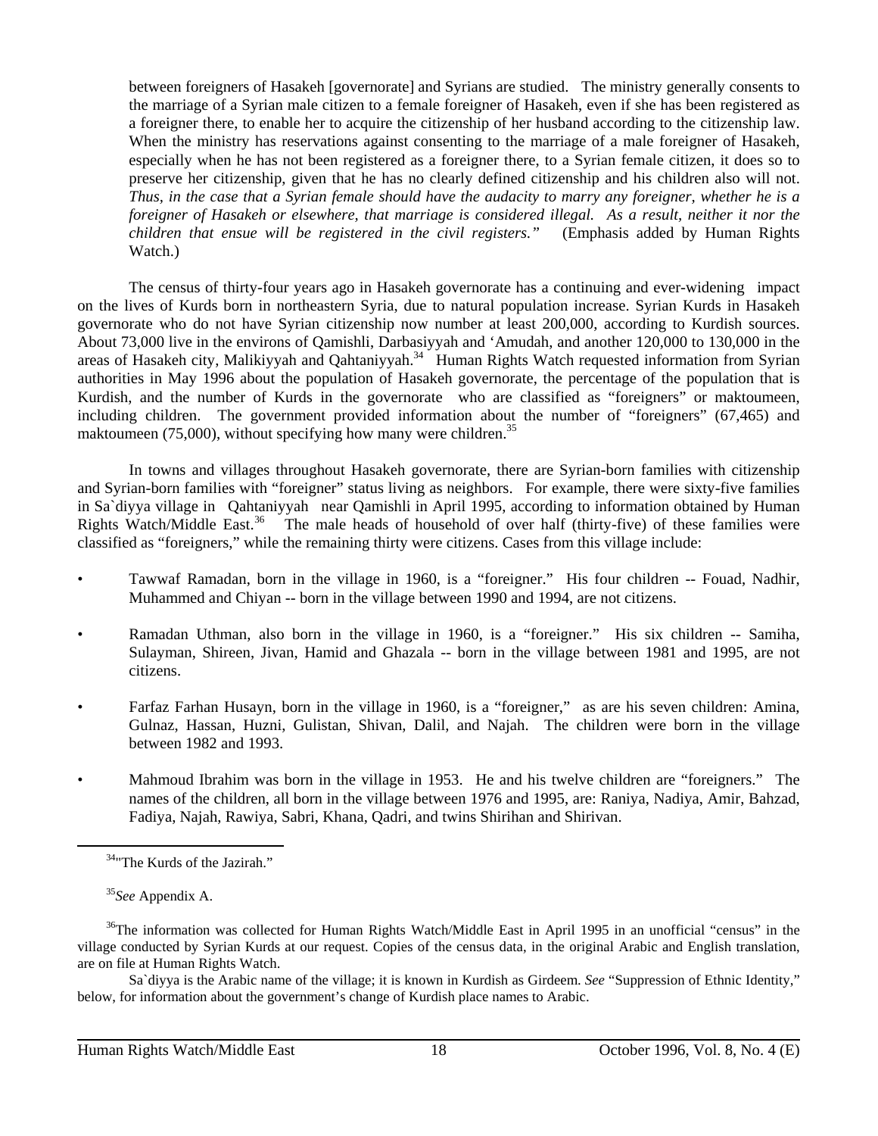between foreigners of Hasakeh [governorate] and Syrians are studied. The ministry generally consents to the marriage of a Syrian male citizen to a female foreigner of Hasakeh, even if she has been registered as a foreigner there, to enable her to acquire the citizenship of her husband according to the citizenship law. When the ministry has reservations against consenting to the marriage of a male foreigner of Hasakeh, especially when he has not been registered as a foreigner there, to a Syrian female citizen, it does so to preserve her citizenship, given that he has no clearly defined citizenship and his children also will not. *Thus, in the case that a Syrian female should have the audacity to marry any foreigner, whether he is a foreigner of Hasakeh or elsewhere, that marriage is considered illegal. As a result, neither it nor the children that ensue will be registered in the civil registers."* (Emphasis added by Human Rights Watch.)

The census of thirty-four years ago in Hasakeh governorate has a continuing and ever-widening impact on the lives of Kurds born in northeastern Syria, due to natural population increase. Syrian Kurds in Hasakeh governorate who do not have Syrian citizenship now number at least 200,000, according to Kurdish sources. About 73,000 live in the environs of Qamishli, Darbasiyyah and 'Amudah, and another 120,000 to 130,000 in the areas of Hasakeh city, Malikiyyah and Qahtaniyyah.<sup>34</sup> Human Rights Watch requested information from Syrian authorities in May 1996 about the population of Hasakeh governorate, the percentage of the population that is Kurdish, and the number of Kurds in the governorate who are classified as "foreigners" or maktoumeen, including children. The government provided information about the number of "foreigners" (67,465) and maktoumeen  $(75,000)$ , without specifying how many were children.<sup>35</sup>

In towns and villages throughout Hasakeh governorate, there are Syrian-born families with citizenship and Syrian-born families with "foreigner" status living as neighbors. For example, there were sixty-five families in Sa`diyya village in Qahtaniyyah near Qamishli in April 1995, according to information obtained by Human Rights Watch/Middle East.<sup>36</sup> The male heads of household of over half (thirty-five) of these families were classified as "foreigners," while the remaining thirty were citizens. Cases from this village include:

- Tawwaf Ramadan, born in the village in 1960, is a "foreigner." His four children -- Fouad, Nadhir, Muhammed and Chiyan -- born in the village between 1990 and 1994, are not citizens.
- Ramadan Uthman, also born in the village in 1960, is a "foreigner." His six children -- Samiha, Sulayman, Shireen, Jivan, Hamid and Ghazala -- born in the village between 1981 and 1995, are not citizens.
- Farfaz Farhan Husayn, born in the village in 1960, is a "foreigner," as are his seven children: Amina, Gulnaz, Hassan, Huzni, Gulistan, Shivan, Dalil, and Najah. The children were born in the village between 1982 and 1993.
- Mahmoud Ibrahim was born in the village in 1953. He and his twelve children are "foreigners." The names of the children, all born in the village between 1976 and 1995, are: Raniya, Nadiya, Amir, Bahzad, Fadiya, Najah, Rawiya, Sabri, Khana, Qadri, and twins Shirihan and Shirivan.

 $\overline{a}$ 

Sa`diyya is the Arabic name of the village; it is known in Kurdish as Girdeem. *See* "Suppression of Ethnic Identity," below, for information about the government's change of Kurdish place names to Arabic.

<sup>&</sup>lt;sup>34</sup>"The Kurds of the Jazirah."

<sup>35</sup>*See* Appendix A.

<sup>&</sup>lt;sup>36</sup>The information was collected for Human Rights Watch/Middle East in April 1995 in an unofficial "census" in the village conducted by Syrian Kurds at our request. Copies of the census data, in the original Arabic and English translation, are on file at Human Rights Watch.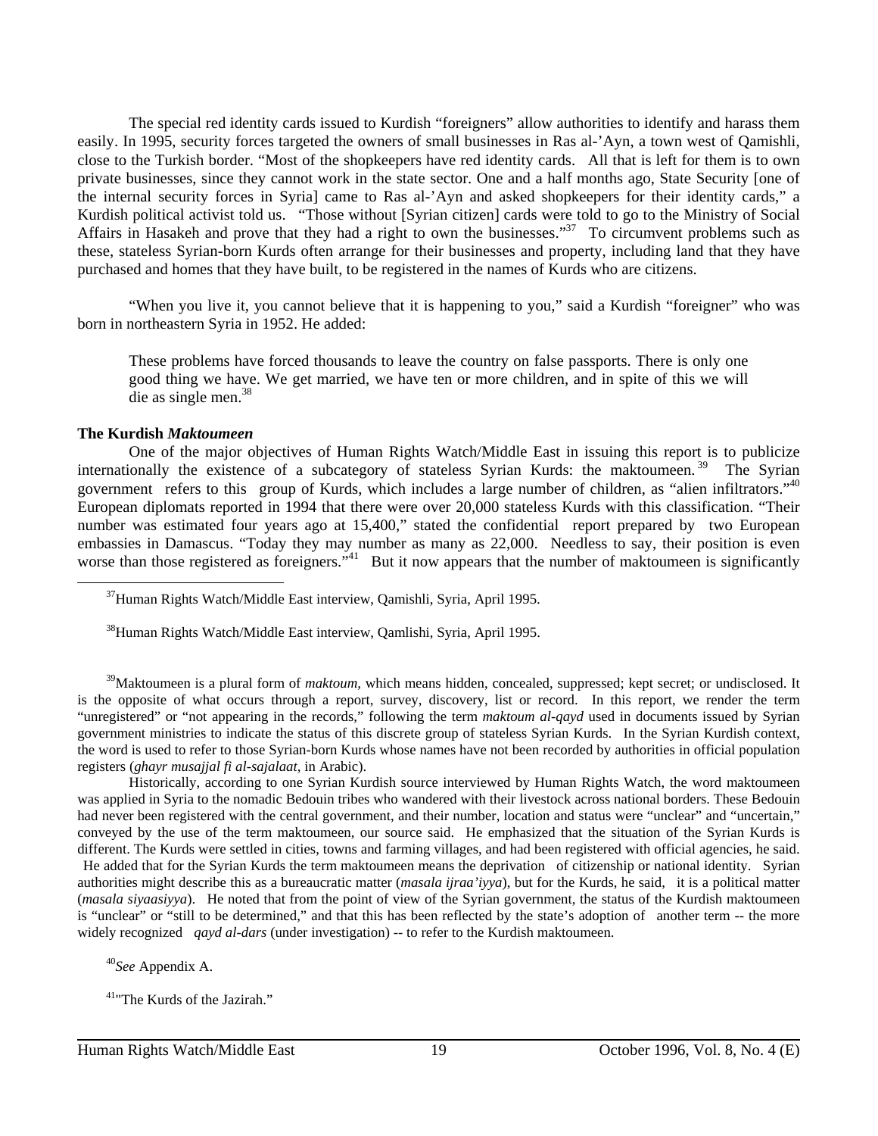The special red identity cards issued to Kurdish "foreigners" allow authorities to identify and harass them easily. In 1995, security forces targeted the owners of small businesses in Ras al-'Ayn, a town west of Qamishli, close to the Turkish border. "Most of the shopkeepers have red identity cards. All that is left for them is to own private businesses, since they cannot work in the state sector. One and a half months ago, State Security [one of the internal security forces in Syria] came to Ras al-'Ayn and asked shopkeepers for their identity cards," a Kurdish political activist told us. "Those without [Syrian citizen] cards were told to go to the Ministry of Social Affairs in Hasakeh and prove that they had a right to own the businesses."<sup>37</sup> To circumvent problems such as these, stateless Syrian-born Kurds often arrange for their businesses and property, including land that they have purchased and homes that they have built, to be registered in the names of Kurds who are citizens.

"When you live it, you cannot believe that it is happening to you," said a Kurdish "foreigner" who was born in northeastern Syria in 1952. He added:

These problems have forced thousands to leave the country on false passports. There is only one good thing we have. We get married, we have ten or more children, and in spite of this we will die as single men.<sup>38</sup>

#### **The Kurdish** *Maktoumeen*

 $\overline{a}$ 

One of the major objectives of Human Rights Watch/Middle East in issuing this report is to publicize internationally the existence of a subcategory of stateless Syrian Kurds: the maktoumeen.<sup>39</sup> The Syrian government refers to this group of Kurds, which includes a large number of children, as "alien infiltrators."40 European diplomats reported in 1994 that there were over 20,000 stateless Kurds with this classification. "Their number was estimated four years ago at 15,400," stated the confidential report prepared by two European embassies in Damascus. "Today they may number as many as 22,000. Needless to say, their position is even worse than those registered as foreigners."<sup>41</sup> But it now appears that the number of maktoumeen is significantly

<sup>39</sup>Maktoumeen is a plural form of *maktoum*, which means hidden, concealed, suppressed; kept secret; or undisclosed. It is the opposite of what occurs through a report, survey, discovery, list or record. In this report, we render the term "unregistered" or "not appearing in the records," following the term *maktoum al-qayd* used in documents issued by Syrian government ministries to indicate the status of this discrete group of stateless Syrian Kurds. In the Syrian Kurdish context, the word is used to refer to those Syrian-born Kurds whose names have not been recorded by authorities in official population registers (*ghayr musajjal fi al-sajalaat,* in Arabic).

Historically, according to one Syrian Kurdish source interviewed by Human Rights Watch, the word maktoumeen was applied in Syria to the nomadic Bedouin tribes who wandered with their livestock across national borders. These Bedouin had never been registered with the central government, and their number, location and status were "unclear" and "uncertain," conveyed by the use of the term maktoumeen, our source said. He emphasized that the situation of the Syrian Kurds is different. The Kurds were settled in cities, towns and farming villages, and had been registered with official agencies, he said. He added that for the Syrian Kurds the term maktoumeen means the deprivation of citizenship or national identity. Syrian authorities might describe this as a bureaucratic matter (*masala ijraa'iyya*), but for the Kurds, he said, it is a political matter (*masala siyaasiyya*). He noted that from the point of view of the Syrian government, the status of the Kurdish maktoumeen is "unclear" or "still to be determined," and that this has been reflected by the state's adoption of another term -- the more widely recognized *qayd al-dars* (under investigation) -- to refer to the Kurdish maktoumeen.

<sup>40</sup>*See* Appendix A.

37Human Rights Watch/Middle East interview, Qamishli, Syria, April 1995.

38Human Rights Watch/Middle East interview, Qamlishi, Syria, April 1995.

41"The Kurds of the Jazirah."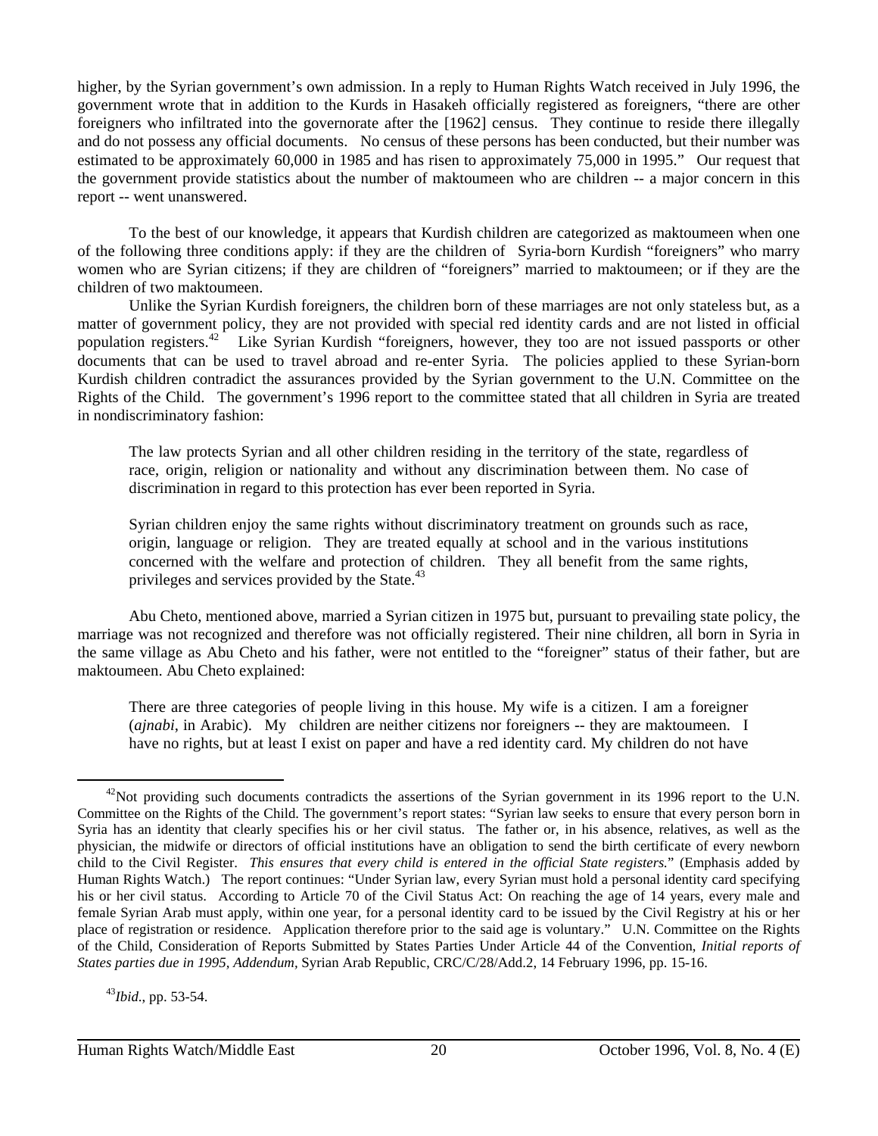higher, by the Syrian government's own admission. In a reply to Human Rights Watch received in July 1996, the government wrote that in addition to the Kurds in Hasakeh officially registered as foreigners, "there are other foreigners who infiltrated into the governorate after the [1962] census. They continue to reside there illegally and do not possess any official documents. No census of these persons has been conducted, but their number was estimated to be approximately 60,000 in 1985 and has risen to approximately 75,000 in 1995." Our request that the government provide statistics about the number of maktoumeen who are children -- a major concern in this report -- went unanswered.

To the best of our knowledge, it appears that Kurdish children are categorized as maktoumeen when one of the following three conditions apply: if they are the children of Syria-born Kurdish "foreigners" who marry women who are Syrian citizens; if they are children of "foreigners" married to maktoumeen; or if they are the children of two maktoumeen.

Unlike the Syrian Kurdish foreigners, the children born of these marriages are not only stateless but, as a matter of government policy, they are not provided with special red identity cards and are not listed in official population registers.42 Like Syrian Kurdish "foreigners, however, they too are not issued passports or other documents that can be used to travel abroad and re-enter Syria. The policies applied to these Syrian-born Kurdish children contradict the assurances provided by the Syrian government to the U.N. Committee on the Rights of the Child. The government's 1996 report to the committee stated that all children in Syria are treated in nondiscriminatory fashion:

The law protects Syrian and all other children residing in the territory of the state, regardless of race, origin, religion or nationality and without any discrimination between them. No case of discrimination in regard to this protection has ever been reported in Syria.

Syrian children enjoy the same rights without discriminatory treatment on grounds such as race, origin, language or religion. They are treated equally at school and in the various institutions concerned with the welfare and protection of children. They all benefit from the same rights, privileges and services provided by the State.<sup>43</sup>

Abu Cheto, mentioned above, married a Syrian citizen in 1975 but, pursuant to prevailing state policy, the marriage was not recognized and therefore was not officially registered. Their nine children, all born in Syria in the same village as Abu Cheto and his father, were not entitled to the "foreigner" status of their father, but are maktoumeen. Abu Cheto explained:

There are three categories of people living in this house. My wife is a citizen. I am a foreigner (*ajnabi*, in Arabic). My children are neither citizens nor foreigners -- they are maktoumeen. I have no rights, but at least I exist on paper and have a red identity card. My children do not have

<sup>43</sup>*Ibid*., pp. 53-54.

 $42$ Not providing such documents contradicts the assertions of the Syrian government in its 1996 report to the U.N. Committee on the Rights of the Child. The government's report states: "Syrian law seeks to ensure that every person born in Syria has an identity that clearly specifies his or her civil status. The father or, in his absence, relatives, as well as the physician, the midwife or directors of official institutions have an obligation to send the birth certificate of every newborn child to the Civil Register. *This ensures that every child is entered in the official State registers.*" (Emphasis added by Human Rights Watch.) The report continues: "Under Syrian law, every Syrian must hold a personal identity card specifying his or her civil status. According to Article 70 of the Civil Status Act: On reaching the age of 14 years, every male and female Syrian Arab must apply, within one year, for a personal identity card to be issued by the Civil Registry at his or her place of registration or residence. Application therefore prior to the said age is voluntary." U.N. Committee on the Rights of the Child, Consideration of Reports Submitted by States Parties Under Article 44 of the Convention, *Initial reports of States parties due in 1995, Addendum,* Syrian Arab Republic, CRC/C/28/Add.2, 14 February 1996, pp. 15-16.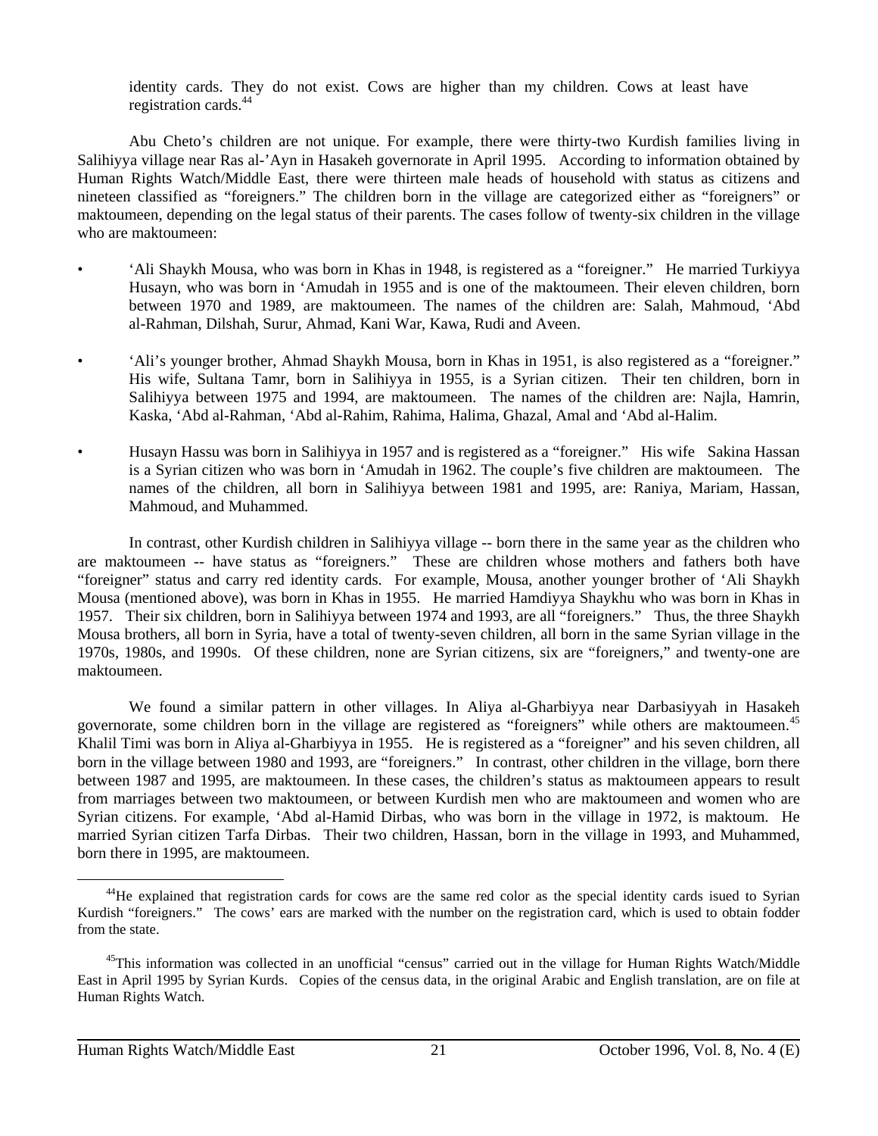identity cards. They do not exist. Cows are higher than my children. Cows at least have registration cards.<sup>44</sup>

Abu Cheto's children are not unique. For example, there were thirty-two Kurdish families living in Salihiyya village near Ras al-'Ayn in Hasakeh governorate in April 1995. According to information obtained by Human Rights Watch/Middle East, there were thirteen male heads of household with status as citizens and nineteen classified as "foreigners." The children born in the village are categorized either as "foreigners" or maktoumeen, depending on the legal status of their parents. The cases follow of twenty-six children in the village who are maktoumeen:

- 'Ali Shaykh Mousa, who was born in Khas in 1948, is registered as a "foreigner." He married Turkiyya Husayn, who was born in 'Amudah in 1955 and is one of the maktoumeen. Their eleven children, born between 1970 and 1989, are maktoumeen. The names of the children are: Salah, Mahmoud, 'Abd al-Rahman, Dilshah, Surur, Ahmad, Kani War, Kawa, Rudi and Aveen.
- 'Ali's younger brother, Ahmad Shaykh Mousa, born in Khas in 1951, is also registered as a "foreigner." His wife, Sultana Tamr, born in Salihiyya in 1955, is a Syrian citizen. Their ten children, born in Salihiyya between 1975 and 1994, are maktoumeen. The names of the children are: Najla, Hamrin, Kaska, 'Abd al-Rahman, 'Abd al-Rahim, Rahima, Halima, Ghazal, Amal and 'Abd al-Halim.
- Husayn Hassu was born in Salihiyya in 1957 and is registered as a "foreigner." His wife Sakina Hassan is a Syrian citizen who was born in 'Amudah in 1962. The couple's five children are maktoumeen. The names of the children, all born in Salihiyya between 1981 and 1995, are: Raniya, Mariam, Hassan, Mahmoud, and Muhammed.

In contrast, other Kurdish children in Salihiyya village -- born there in the same year as the children who are maktoumeen -- have status as "foreigners." These are children whose mothers and fathers both have "foreigner" status and carry red identity cards. For example, Mousa, another younger brother of 'Ali Shaykh Mousa (mentioned above), was born in Khas in 1955. He married Hamdiyya Shaykhu who was born in Khas in 1957. Their six children, born in Salihiyya between 1974 and 1993, are all "foreigners." Thus, the three Shaykh Mousa brothers, all born in Syria, have a total of twenty-seven children, all born in the same Syrian village in the 1970s, 1980s, and 1990s. Of these children, none are Syrian citizens, six are "foreigners," and twenty-one are maktoumeen.

We found a similar pattern in other villages. In Aliya al-Gharbiyya near Darbasiyyah in Hasakeh governorate, some children born in the village are registered as "foreigners" while others are maktoumeen.45 Khalil Timi was born in Aliya al-Gharbiyya in 1955. He is registered as a "foreigner" and his seven children, all born in the village between 1980 and 1993, are "foreigners." In contrast, other children in the village, born there between 1987 and 1995, are maktoumeen. In these cases, the children's status as maktoumeen appears to result from marriages between two maktoumeen, or between Kurdish men who are maktoumeen and women who are Syrian citizens. For example, 'Abd al-Hamid Dirbas, who was born in the village in 1972, is maktoum. He married Syrian citizen Tarfa Dirbas. Their two children, Hassan, born in the village in 1993, and Muhammed, born there in 1995, are maktoumeen.

<sup>&</sup>lt;sup>44</sup>He explained that registration cards for cows are the same red color as the special identity cards isued to Syrian Kurdish "foreigners." The cows' ears are marked with the number on the registration card, which is used to obtain fodder from the state.

<sup>&</sup>lt;sup>45</sup>This information was collected in an unofficial "census" carried out in the village for Human Rights Watch/Middle East in April 1995 by Syrian Kurds. Copies of the census data, in the original Arabic and English translation, are on file at Human Rights Watch.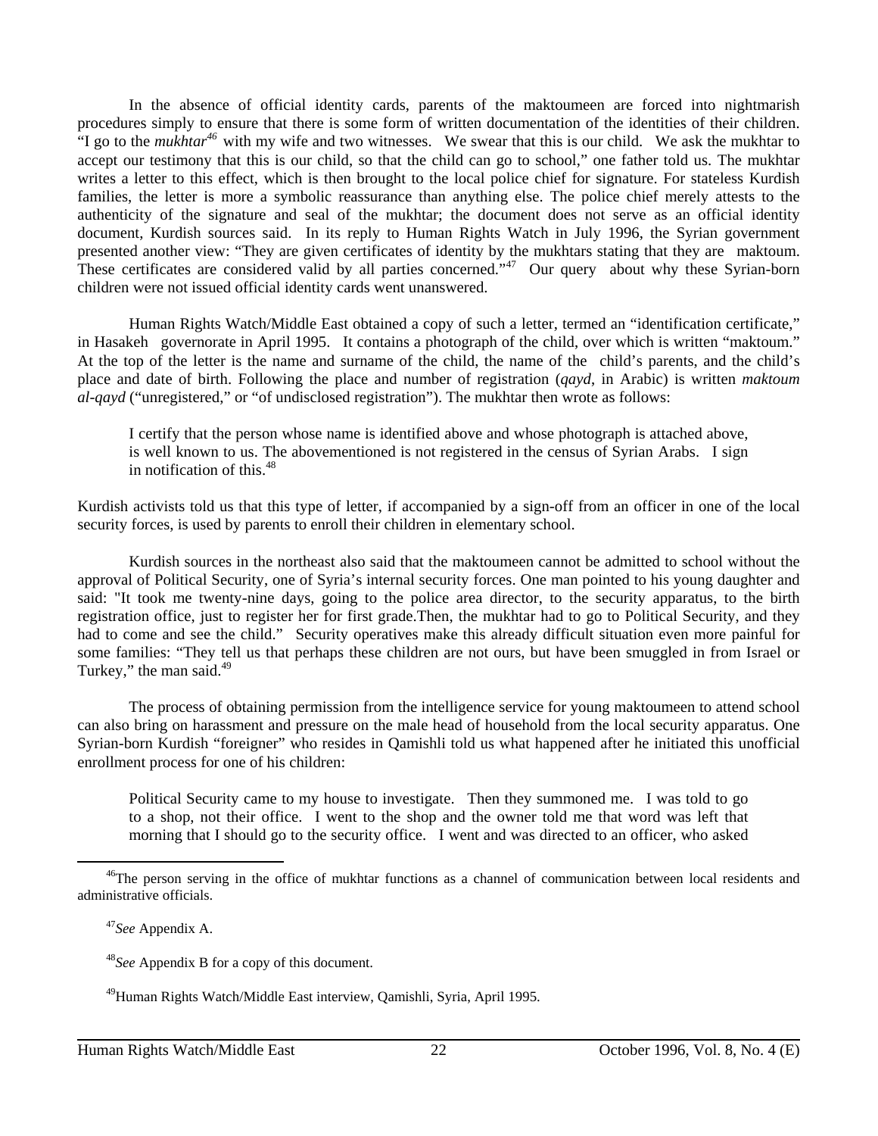In the absence of official identity cards, parents of the maktoumeen are forced into nightmarish procedures simply to ensure that there is some form of written documentation of the identities of their children. "I go to the *mukhtar*<sup>46</sup> with my wife and two witnesses. We swear that this is our child. We ask the mukhtar to accept our testimony that this is our child, so that the child can go to school," one father told us. The mukhtar writes a letter to this effect, which is then brought to the local police chief for signature. For stateless Kurdish families, the letter is more a symbolic reassurance than anything else. The police chief merely attests to the authenticity of the signature and seal of the mukhtar; the document does not serve as an official identity document, Kurdish sources said. In its reply to Human Rights Watch in July 1996, the Syrian government presented another view: "They are given certificates of identity by the mukhtars stating that they are maktoum. These certificates are considered valid by all parties concerned."<sup>47</sup> Our query about why these Syrian-born children were not issued official identity cards went unanswered.

Human Rights Watch/Middle East obtained a copy of such a letter, termed an "identification certificate," in Hasakeh governorate in April 1995. It contains a photograph of the child, over which is written "maktoum." At the top of the letter is the name and surname of the child, the name of the child's parents, and the child's place and date of birth. Following the place and number of registration (*qayd*, in Arabic) is written *maktoum al-qayd* ("unregistered," or "of undisclosed registration"). The mukhtar then wrote as follows:

I certify that the person whose name is identified above and whose photograph is attached above, is well known to us. The abovementioned is not registered in the census of Syrian Arabs. I sign in notification of this. $48$ 

Kurdish activists told us that this type of letter, if accompanied by a sign-off from an officer in one of the local security forces, is used by parents to enroll their children in elementary school.

Kurdish sources in the northeast also said that the maktoumeen cannot be admitted to school without the approval of Political Security, one of Syria's internal security forces. One man pointed to his young daughter and said: "It took me twenty-nine days, going to the police area director, to the security apparatus, to the birth registration office, just to register her for first grade.Then, the mukhtar had to go to Political Security, and they had to come and see the child." Security operatives make this already difficult situation even more painful for some families: "They tell us that perhaps these children are not ours, but have been smuggled in from Israel or Turkey," the man said.<sup>49</sup>

The process of obtaining permission from the intelligence service for young maktoumeen to attend school can also bring on harassment and pressure on the male head of household from the local security apparatus. One Syrian-born Kurdish "foreigner" who resides in Qamishli told us what happened after he initiated this unofficial enrollment process for one of his children:

Political Security came to my house to investigate. Then they summoned me. I was told to go to a shop, not their office. I went to the shop and the owner told me that word was left that morning that I should go to the security office. I went and was directed to an officer, who asked

<sup>&</sup>lt;sup>46</sup>The person serving in the office of mukhtar functions as a channel of communication between local residents and administrative officials.

<sup>47</sup>*See* Appendix A.

<sup>48</sup>*See* Appendix B for a copy of this document.

49Human Rights Watch/Middle East interview, Qamishli, Syria, April 1995.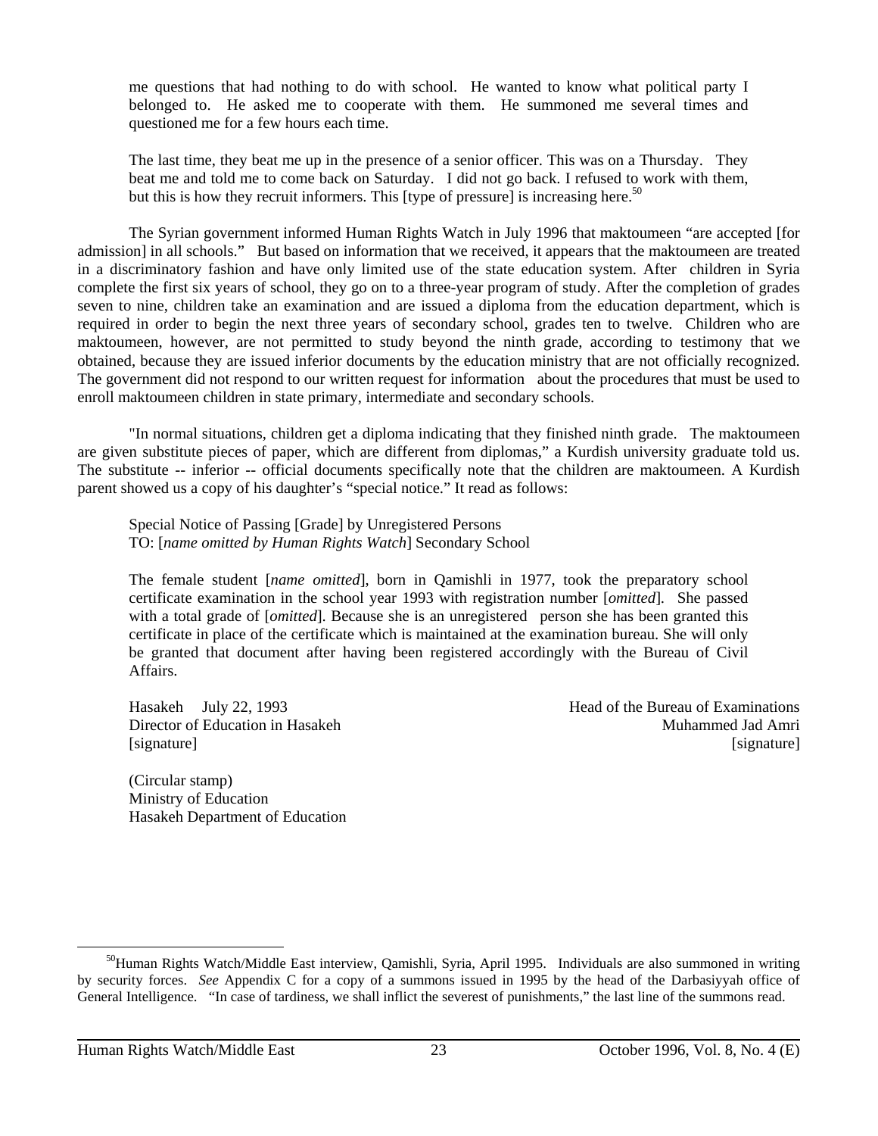me questions that had nothing to do with school. He wanted to know what political party I belonged to. He asked me to cooperate with them. He summoned me several times and questioned me for a few hours each time.

The last time, they beat me up in the presence of a senior officer. This was on a Thursday. They beat me and told me to come back on Saturday. I did not go back. I refused to work with them, but this is how they recruit informers. This [type of pressure] is increasing here.<sup>50</sup>

The Syrian government informed Human Rights Watch in July 1996 that maktoumeen "are accepted [for admission] in all schools." But based on information that we received, it appears that the maktoumeen are treated in a discriminatory fashion and have only limited use of the state education system. After children in Syria complete the first six years of school, they go on to a three-year program of study. After the completion of grades seven to nine, children take an examination and are issued a diploma from the education department, which is required in order to begin the next three years of secondary school, grades ten to twelve. Children who are maktoumeen, however, are not permitted to study beyond the ninth grade, according to testimony that we obtained, because they are issued inferior documents by the education ministry that are not officially recognized. The government did not respond to our written request for information about the procedures that must be used to enroll maktoumeen children in state primary, intermediate and secondary schools.

"In normal situations, children get a diploma indicating that they finished ninth grade. The maktoumeen are given substitute pieces of paper, which are different from diplomas," a Kurdish university graduate told us. The substitute -- inferior -- official documents specifically note that the children are maktoumeen. A Kurdish parent showed us a copy of his daughter's "special notice." It read as follows:

Special Notice of Passing [Grade] by Unregistered Persons TO: [*name omitted by Human Rights Watch*] Secondary School

The female student [*name omitted*], born in Qamishli in 1977, took the preparatory school certificate examination in the school year 1993 with registration number [*omitted*]. She passed with a total grade of [*omitted*]. Because she is an unregistered person she has been granted this certificate in place of the certificate which is maintained at the examination bureau. She will only be granted that document after having been registered accordingly with the Bureau of Civil Affairs.

[signature] [signature] [signature]

(Circular stamp) Ministry of Education Hasakeh Department of Education

Hasakeh July 22, 1993 **Head of the Bureau of Examinations** Director of Education in Hasakeh Muhammed Jad Amri

<sup>&</sup>lt;sup>50</sup>Human Rights Watch/Middle East interview, Qamishli, Syria, April 1995. Individuals are also summoned in writing by security forces. *See* Appendix C for a copy of a summons issued in 1995 by the head of the Darbasiyyah office of General Intelligence. "In case of tardiness, we shall inflict the severest of punishments," the last line of the summons read.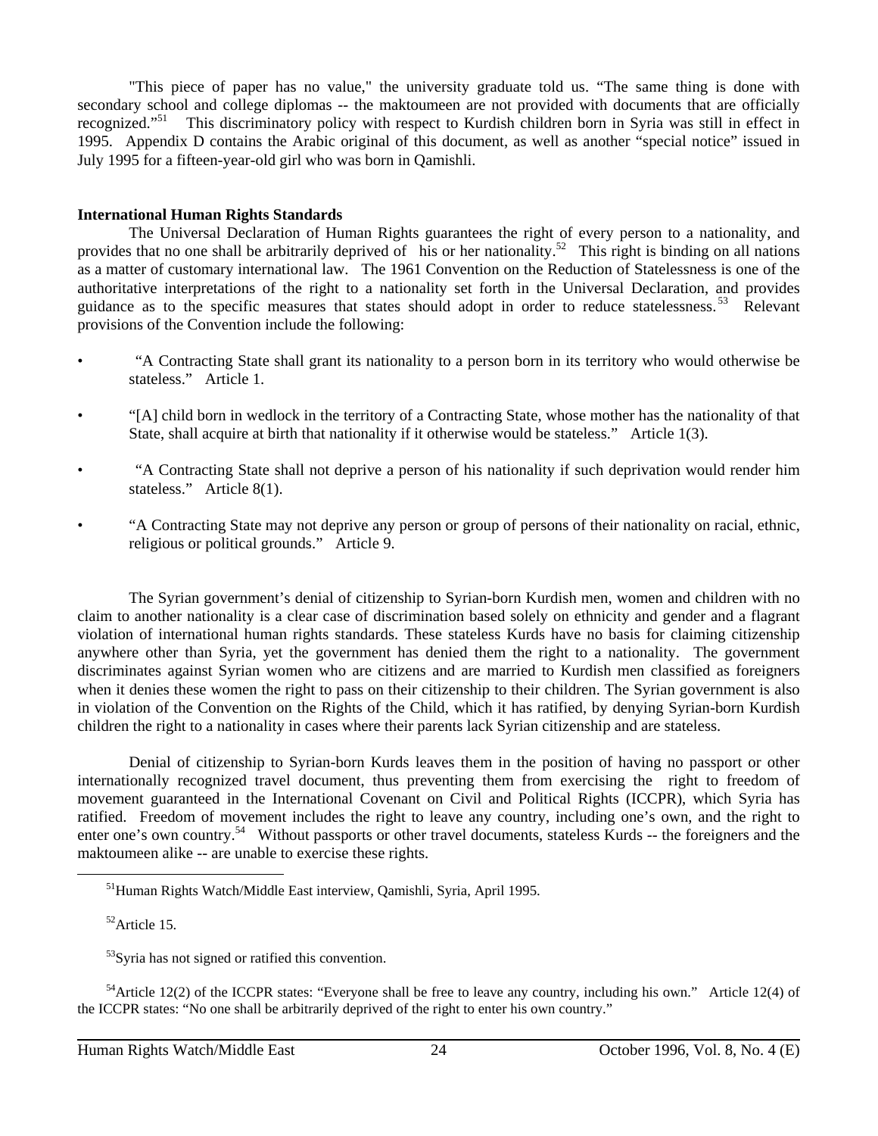"This piece of paper has no value," the university graduate told us. "The same thing is done with secondary school and college diplomas -- the maktoumeen are not provided with documents that are officially recognized."51 This discriminatory policy with respect to Kurdish children born in Syria was still in effect in 1995. Appendix D contains the Arabic original of this document, as well as another "special notice" issued in July 1995 for a fifteen-year-old girl who was born in Qamishli.

#### **International Human Rights Standards**

The Universal Declaration of Human Rights guarantees the right of every person to a nationality, and provides that no one shall be arbitrarily deprived of his or her nationality.<sup>52</sup> This right is binding on all nations as a matter of customary international law. The 1961 Convention on the Reduction of Statelessness is one of the authoritative interpretations of the right to a nationality set forth in the Universal Declaration, and provides guidance as to the specific measures that states should adopt in order to reduce statelessness.<sup>53</sup> Relevant provisions of the Convention include the following:

- "A Contracting State shall grant its nationality to a person born in its territory who would otherwise be stateless." Article 1.
- "[A] child born in wedlock in the territory of a Contracting State, whose mother has the nationality of that State, shall acquire at birth that nationality if it otherwise would be stateless." Article 1(3).
- "A Contracting State shall not deprive a person of his nationality if such deprivation would render him stateless." Article 8(1).
- "A Contracting State may not deprive any person or group of persons of their nationality on racial, ethnic, religious or political grounds." Article 9.

The Syrian government's denial of citizenship to Syrian-born Kurdish men, women and children with no claim to another nationality is a clear case of discrimination based solely on ethnicity and gender and a flagrant violation of international human rights standards. These stateless Kurds have no basis for claiming citizenship anywhere other than Syria, yet the government has denied them the right to a nationality. The government discriminates against Syrian women who are citizens and are married to Kurdish men classified as foreigners when it denies these women the right to pass on their citizenship to their children. The Syrian government is also in violation of the Convention on the Rights of the Child, which it has ratified, by denying Syrian-born Kurdish children the right to a nationality in cases where their parents lack Syrian citizenship and are stateless.

Denial of citizenship to Syrian-born Kurds leaves them in the position of having no passport or other internationally recognized travel document, thus preventing them from exercising the right to freedom of movement guaranteed in the International Covenant on Civil and Political Rights (ICCPR), which Syria has ratified. Freedom of movement includes the right to leave any country, including one's own, and the right to enter one's own country.<sup>54</sup> Without passports or other travel documents, stateless Kurds -- the foreigners and the maktoumeen alike -- are unable to exercise these rights.

<sup>&</sup>lt;sup>51</sup>Human Rights Watch/Middle East interview, Qamishli, Syria, April 1995.

52Article 15.

 $53$ Syria has not signed or ratified this convention.

<sup>&</sup>lt;sup>54</sup>Article 12(2) of the ICCPR states: "Everyone shall be free to leave any country, including his own." Article 12(4) of the ICCPR states: "No one shall be arbitrarily deprived of the right to enter his own country."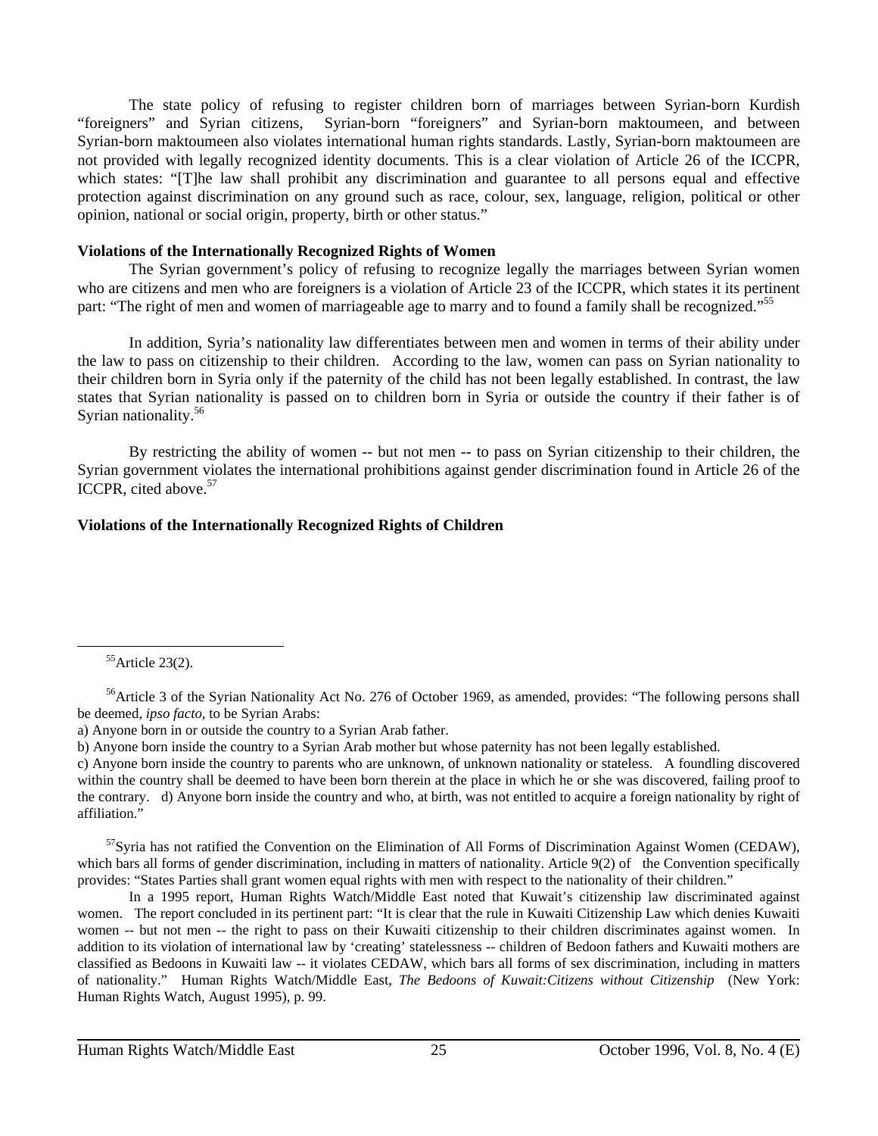The state policy of refusing to register children born of marriages between Syrian-born Kurdish "foreigners" and Syrian citizens, Syrian-born "foreigners" and Syrian-born maktoumeen, and between Syrian-born maktoumeen also violates international human rights standards. Lastly, Syrian-born maktoumeen are not provided with legally recognized identity documents. This is a clear violation of Article 26 of the ICCPR, which states: "[T]he law shall prohibit any discrimination and guarantee to all persons equal and effective protection against discrimination on any ground such as race, colour, sex, language, religion, political or other opinion, national or social origin, property, birth or other status."

#### **Violations of the Internationally Recognized Rights of Women**

The Syrian government's policy of refusing to recognize legally the marriages between Syrian women who are citizens and men who are foreigners is a violation of Article 23 of the ICCPR, which states it its pertinent part: "The right of men and women of marriageable age to marry and to found a family shall be recognized."<sup>55</sup>

In addition, Syria's nationality law differentiates between men and women in terms of their ability under the law to pass on citizenship to their children. According to the law, women can pass on Syrian nationality to their children born in Syria only if the paternity of the child has not been legally established. In contrast, the law states that Syrian nationality is passed on to children born in Syria or outside the country if their father is of Syrian nationality.<sup>56</sup>

By restricting the ability of women -- but not men -- to pass on Syrian citizenship to their children, the Syrian government violates the international prohibitions against gender discrimination found in Article 26 of the ICCPR, cited above.<sup>57</sup>

# **Violations of the Internationally Recognized Rights of Children**

55Article 23(2).

 $\overline{a}$ 

 $57$ Syria has not ratified the Convention on the Elimination of All Forms of Discrimination Against Women (CEDAW), which bars all forms of gender discrimination, including in matters of nationality. Article 9(2) of the Convention specifically provides: "States Parties shall grant women equal rights with men with respect to the nationality of their children."

In a 1995 report, Human Rights Watch/Middle East noted that Kuwait's citizenship law discriminated against women. The report concluded in its pertinent part: "It is clear that the rule in Kuwaiti Citizenship Law which denies Kuwaiti women -- but not men -- the right to pass on their Kuwaiti citizenship to their children discriminates against women. In addition to its violation of international law by 'creating' statelessness -- children of Bedoon fathers and Kuwaiti mothers are classified as Bedoons in Kuwaiti law -- it violates CEDAW, which bars all forms of sex discrimination, including in matters of nationality." Human Rights Watch/Middle East, *The Bedoons of Kuwait:Citizens without Citizenship* (New York: Human Rights Watch, August 1995), p. 99.

<sup>&</sup>lt;sup>56</sup>Article 3 of the Syrian Nationality Act No. 276 of October 1969, as amended, provides: "The following persons shall be deemed, *ipso facto*, to be Syrian Arabs:

a) Anyone born in or outside the country to a Syrian Arab father.

b) Anyone born inside the country to a Syrian Arab mother but whose paternity has not been legally established.

c) Anyone born inside the country to parents who are unknown, of unknown nationality or stateless. A foundling discovered within the country shall be deemed to have been born therein at the place in which he or she was discovered, failing proof to the contrary. d) Anyone born inside the country and who, at birth, was not entitled to acquire a foreign nationality by right of affiliation."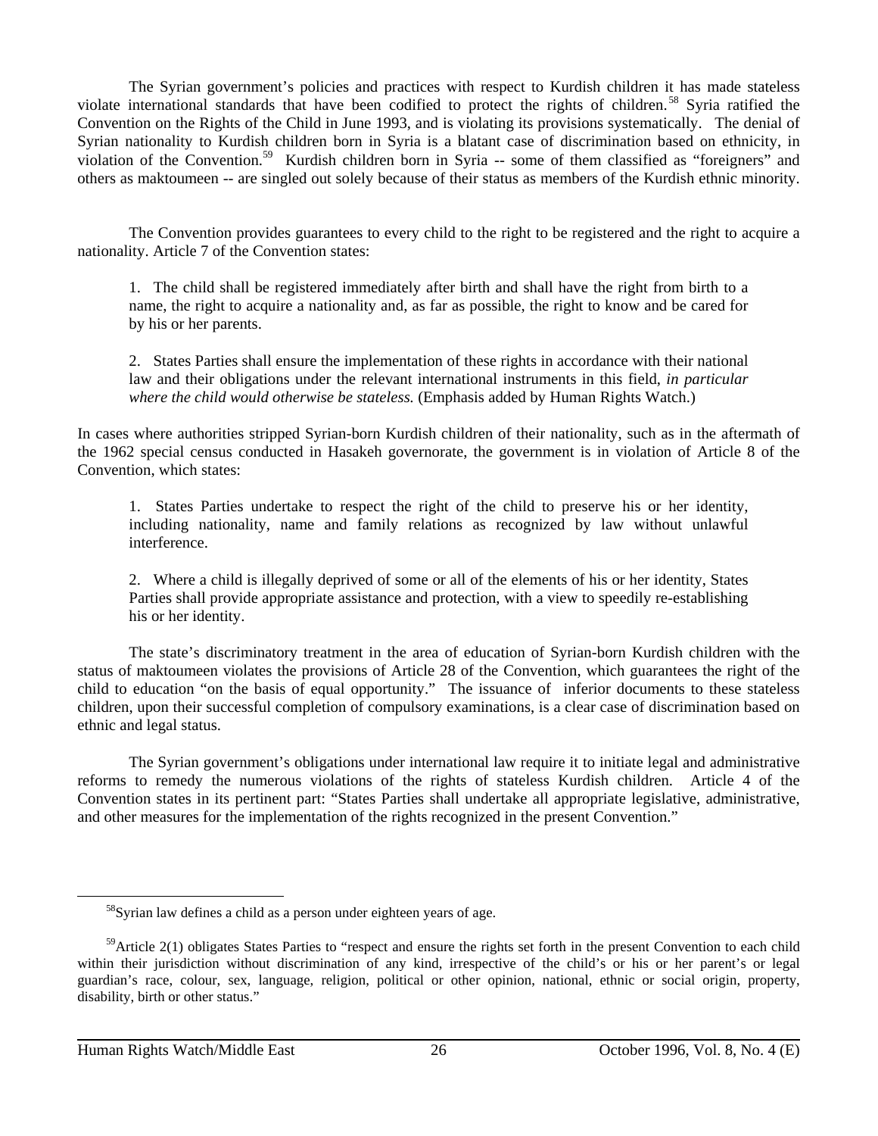The Syrian government's policies and practices with respect to Kurdish children it has made stateless violate international standards that have been codified to protect the rights of children. 58 Syria ratified the Convention on the Rights of the Child in June 1993, and is violating its provisions systematically. The denial of Syrian nationality to Kurdish children born in Syria is a blatant case of discrimination based on ethnicity, in violation of the Convention.59 Kurdish children born in Syria -- some of them classified as "foreigners" and others as maktoumeen -- are singled out solely because of their status as members of the Kurdish ethnic minority.

The Convention provides guarantees to every child to the right to be registered and the right to acquire a nationality. Article 7 of the Convention states:

1. The child shall be registered immediately after birth and shall have the right from birth to a name, the right to acquire a nationality and, as far as possible, the right to know and be cared for by his or her parents.

2. States Parties shall ensure the implementation of these rights in accordance with their national law and their obligations under the relevant international instruments in this field, *in particular where the child would otherwise be stateless.* (Emphasis added by Human Rights Watch.)

In cases where authorities stripped Syrian-born Kurdish children of their nationality, such as in the aftermath of the 1962 special census conducted in Hasakeh governorate, the government is in violation of Article 8 of the Convention, which states:

1. States Parties undertake to respect the right of the child to preserve his or her identity, including nationality, name and family relations as recognized by law without unlawful interference.

2. Where a child is illegally deprived of some or all of the elements of his or her identity, States Parties shall provide appropriate assistance and protection, with a view to speedily re-establishing his or her identity.

The state's discriminatory treatment in the area of education of Syrian-born Kurdish children with the status of maktoumeen violates the provisions of Article 28 of the Convention, which guarantees the right of the child to education "on the basis of equal opportunity." The issuance of inferior documents to these stateless children, upon their successful completion of compulsory examinations, is a clear case of discrimination based on ethnic and legal status.

The Syrian government's obligations under international law require it to initiate legal and administrative reforms to remedy the numerous violations of the rights of stateless Kurdish children. Article 4 of the Convention states in its pertinent part: "States Parties shall undertake all appropriate legislative, administrative, and other measures for the implementation of the rights recognized in the present Convention."

58Syrian law defines a child as a person under eighteen years of age.

<sup>&</sup>lt;sup>59</sup>Article 2(1) obligates States Parties to "respect and ensure the rights set forth in the present Convention to each child within their jurisdiction without discrimination of any kind, irrespective of the child's or his or her parent's or legal guardian's race, colour, sex, language, religion, political or other opinion, national, ethnic or social origin, property, disability, birth or other status."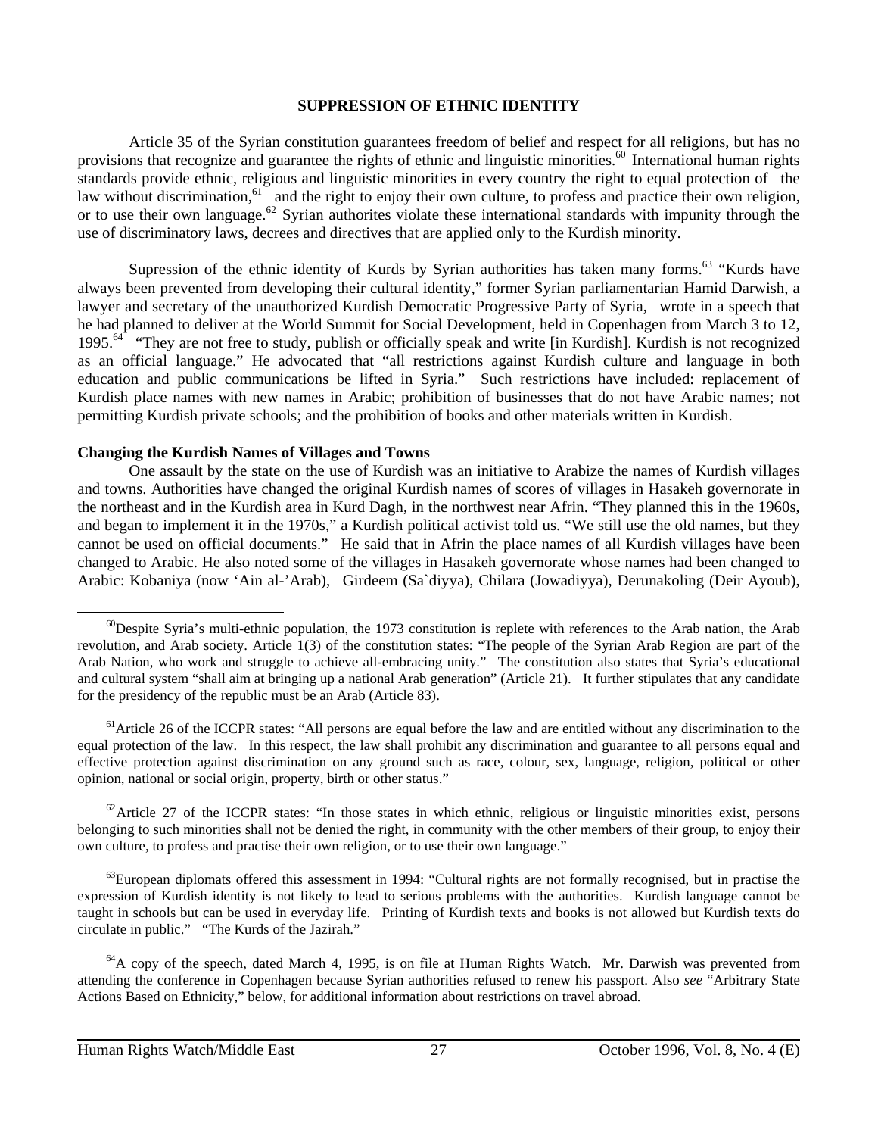#### **SUPPRESSION OF ETHNIC IDENTITY**

Article 35 of the Syrian constitution guarantees freedom of belief and respect for all religions, but has no provisions that recognize and guarantee the rights of ethnic and linguistic minorities.<sup>60</sup> International human rights standards provide ethnic, religious and linguistic minorities in every country the right to equal protection of the law without discrimination,<sup>61</sup> and the right to enjoy their own culture, to profess and practice their own religion, or to use their own language.<sup>62</sup> Syrian authorites violate these international standards with impunity through the use of discriminatory laws, decrees and directives that are applied only to the Kurdish minority.

Supression of the ethnic identity of Kurds by Syrian authorities has taken many forms.<sup>63</sup> "Kurds have always been prevented from developing their cultural identity," former Syrian parliamentarian Hamid Darwish, a lawyer and secretary of the unauthorized Kurdish Democratic Progressive Party of Syria, wrote in a speech that he had planned to deliver at the World Summit for Social Development, held in Copenhagen from March 3 to 12, 1995.<sup>64</sup> "They are not free to study, publish or officially speak and write [in Kurdish]. Kurdish is not recognized as an official language." He advocated that "all restrictions against Kurdish culture and language in both education and public communications be lifted in Syria." Such restrictions have included: replacement of Kurdish place names with new names in Arabic; prohibition of businesses that do not have Arabic names; not permitting Kurdish private schools; and the prohibition of books and other materials written in Kurdish.

#### **Changing the Kurdish Names of Villages and Towns**

One assault by the state on the use of Kurdish was an initiative to Arabize the names of Kurdish villages and towns. Authorities have changed the original Kurdish names of scores of villages in Hasakeh governorate in the northeast and in the Kurdish area in Kurd Dagh, in the northwest near Afrin. "They planned this in the 1960s, and began to implement it in the 1970s," a Kurdish political activist told us. "We still use the old names, but they cannot be used on official documents." He said that in Afrin the place names of all Kurdish villages have been changed to Arabic. He also noted some of the villages in Hasakeh governorate whose names had been changed to Arabic: Kobaniya (now 'Ain al-'Arab), Girdeem (Sa`diyya), Chilara (Jowadiyya), Derunakoling (Deir Ayoub),

 $62$ Article 27 of the ICCPR states: "In those states in which ethnic, religious or linguistic minorities exist, persons belonging to such minorities shall not be denied the right, in community with the other members of their group, to enjoy their own culture, to profess and practise their own religion, or to use their own language."

 $63$ European diplomats offered this assessment in 1994: "Cultural rights are not formally recognised, but in practise the expression of Kurdish identity is not likely to lead to serious problems with the authorities. Kurdish language cannot be taught in schools but can be used in everyday life. Printing of Kurdish texts and books is not allowed but Kurdish texts do circulate in public." "The Kurds of the Jazirah."

<sup>64</sup>A copy of the speech, dated March 4, 1995, is on file at Human Rights Watch. Mr. Darwish was prevented from attending the conference in Copenhagen because Syrian authorities refused to renew his passport. Also *see* "Arbitrary State Actions Based on Ethnicity," below, for additional information about restrictions on travel abroad.

 $^{60}$ Despite Syria's multi-ethnic population, the 1973 constitution is replete with references to the Arab nation, the Arab revolution, and Arab society. Article 1(3) of the constitution states: "The people of the Syrian Arab Region are part of the Arab Nation, who work and struggle to achieve all-embracing unity." The constitution also states that Syria's educational and cultural system "shall aim at bringing up a national Arab generation" (Article 21). It further stipulates that any candidate for the presidency of the republic must be an Arab (Article 83).

 $<sup>61</sup>$ Article 26 of the ICCPR states: "All persons are equal before the law and are entitled without any discrimination to the</sup> equal protection of the law. In this respect, the law shall prohibit any discrimination and guarantee to all persons equal and effective protection against discrimination on any ground such as race, colour, sex, language, religion, political or other opinion, national or social origin, property, birth or other status."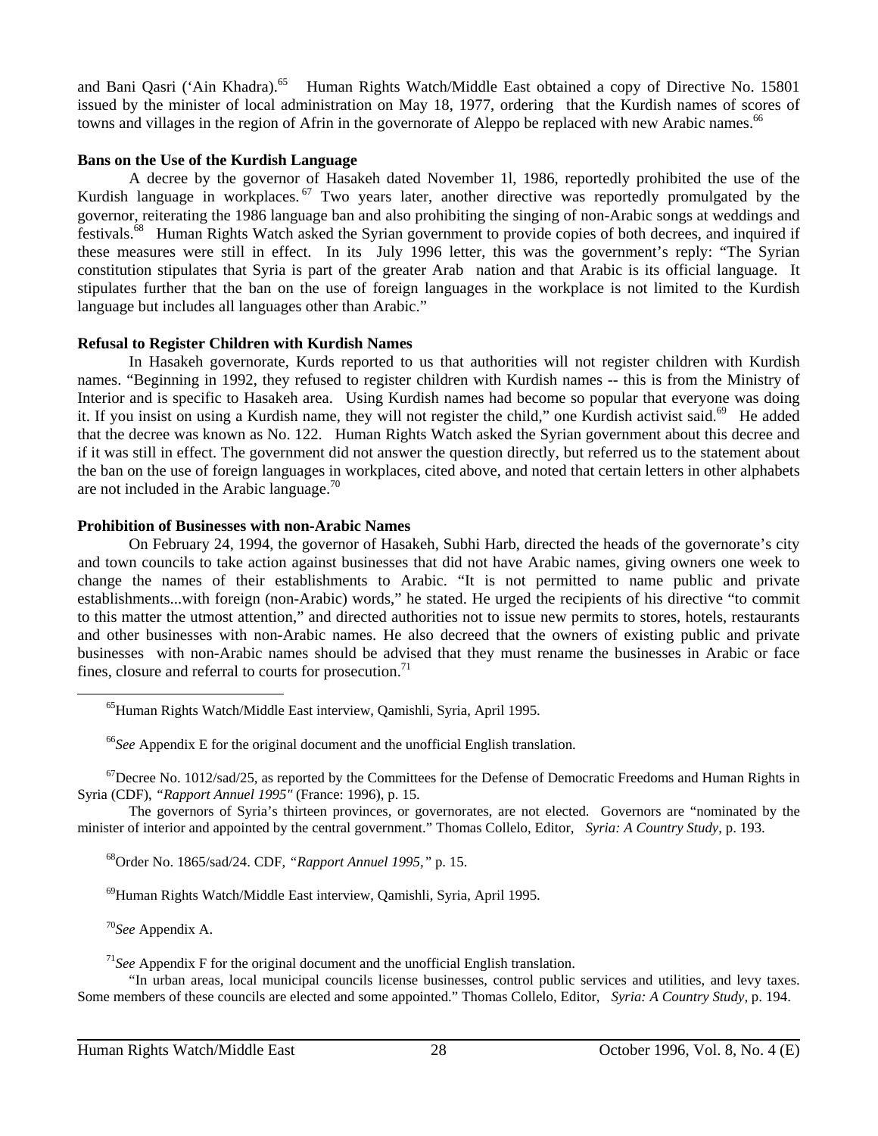and Bani Qasri ('Ain Khadra).<sup>65</sup> Human Rights Watch/Middle East obtained a copy of Directive No. 15801 issued by the minister of local administration on May 18, 1977, ordering that the Kurdish names of scores of towns and villages in the region of Afrin in the governorate of Aleppo be replaced with new Arabic names.<sup>66</sup>

#### **Bans on the Use of the Kurdish Language**

A decree by the governor of Hasakeh dated November 1l, 1986, reportedly prohibited the use of the Kurdish language in workplaces.<sup>67</sup> Two years later, another directive was reportedly promulgated by the governor, reiterating the 1986 language ban and also prohibiting the singing of non-Arabic songs at weddings and festivals.68 Human Rights Watch asked the Syrian government to provide copies of both decrees, and inquired if these measures were still in effect. In its July 1996 letter, this was the government's reply: "The Syrian constitution stipulates that Syria is part of the greater Arab nation and that Arabic is its official language. It stipulates further that the ban on the use of foreign languages in the workplace is not limited to the Kurdish language but includes all languages other than Arabic."

# **Refusal to Register Children with Kurdish Names**

In Hasakeh governorate, Kurds reported to us that authorities will not register children with Kurdish names. "Beginning in 1992, they refused to register children with Kurdish names -- this is from the Ministry of Interior and is specific to Hasakeh area. Using Kurdish names had become so popular that everyone was doing it. If you insist on using a Kurdish name, they will not register the child," one Kurdish activist said.<sup>69</sup> He added that the decree was known as No. 122. Human Rights Watch asked the Syrian government about this decree and if it was still in effect. The government did not answer the question directly, but referred us to the statement about the ban on the use of foreign languages in workplaces, cited above, and noted that certain letters in other alphabets are not included in the Arabic language.<sup>70</sup>

# **Prohibition of Businesses with non-Arabic Names**

On February 24, 1994, the governor of Hasakeh, Subhi Harb, directed the heads of the governorate's city and town councils to take action against businesses that did not have Arabic names, giving owners one week to change the names of their establishments to Arabic. "It is not permitted to name public and private establishments...with foreign (non-Arabic) words," he stated. He urged the recipients of his directive "to commit to this matter the utmost attention," and directed authorities not to issue new permits to stores, hotels, restaurants and other businesses with non-Arabic names. He also decreed that the owners of existing public and private businesses with non-Arabic names should be advised that they must rename the businesses in Arabic or face fines, closure and referral to courts for prosecution.<sup>71</sup>

 $^{67}$ Decree No. 1012/sad/25, as reported by the Committees for the Defense of Democratic Freedoms and Human Rights in Syria (CDF), *"Rapport Annuel 1995"* (France: 1996), p. 15.

The governors of Syria's thirteen provinces, or governorates, are not elected. Governors are "nominated by the minister of interior and appointed by the central government." Thomas Collelo, Editor, *Syria: A Country Study,* p. 193.

68Order No. 1865/sad/24. CDF, *"Rapport Annuel 1995,"* p. 15.

69Human Rights Watch/Middle East interview, Qamishli, Syria, April 1995.

<sup>70</sup>*See* Appendix A.

 $\overline{a}$ 

<sup>71</sup>*See* Appendix F for the original document and the unofficial English translation.

"In urban areas, local municipal councils license businesses, control public services and utilities, and levy taxes. Some members of these councils are elected and some appointed." Thomas Collelo, Editor, *Syria: A Country Study,* p. 194.

65Human Rights Watch/Middle East interview, Qamishli, Syria, April 1995.

<sup>66</sup>*See* Appendix E for the original document and the unofficial English translation.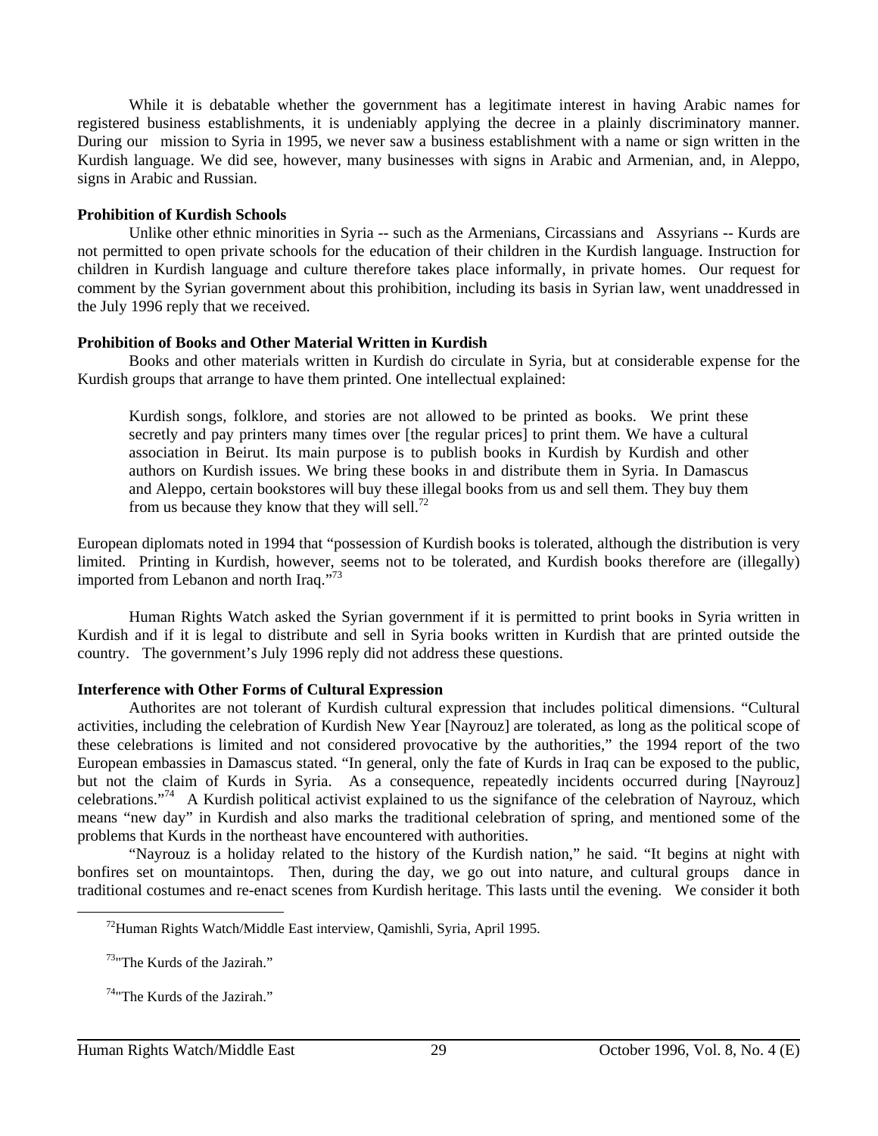While it is debatable whether the government has a legitimate interest in having Arabic names for registered business establishments, it is undeniably applying the decree in a plainly discriminatory manner. During our mission to Syria in 1995, we never saw a business establishment with a name or sign written in the Kurdish language. We did see, however, many businesses with signs in Arabic and Armenian, and, in Aleppo, signs in Arabic and Russian.

#### **Prohibition of Kurdish Schools**

Unlike other ethnic minorities in Syria -- such as the Armenians, Circassians and Assyrians -- Kurds are not permitted to open private schools for the education of their children in the Kurdish language. Instruction for children in Kurdish language and culture therefore takes place informally, in private homes. Our request for comment by the Syrian government about this prohibition, including its basis in Syrian law, went unaddressed in the July 1996 reply that we received.

#### **Prohibition of Books and Other Material Written in Kurdish**

Books and other materials written in Kurdish do circulate in Syria, but at considerable expense for the Kurdish groups that arrange to have them printed. One intellectual explained:

Kurdish songs, folklore, and stories are not allowed to be printed as books. We print these secretly and pay printers many times over [the regular prices] to print them. We have a cultural association in Beirut. Its main purpose is to publish books in Kurdish by Kurdish and other authors on Kurdish issues. We bring these books in and distribute them in Syria. In Damascus and Aleppo, certain bookstores will buy these illegal books from us and sell them. They buy them from us because they know that they will sell.<sup>72</sup>

European diplomats noted in 1994 that "possession of Kurdish books is tolerated, although the distribution is very limited. Printing in Kurdish, however, seems not to be tolerated, and Kurdish books therefore are (illegally) imported from Lebanon and north Iraq."73

Human Rights Watch asked the Syrian government if it is permitted to print books in Syria written in Kurdish and if it is legal to distribute and sell in Syria books written in Kurdish that are printed outside the country. The government's July 1996 reply did not address these questions.

#### **Interference with Other Forms of Cultural Expression**

Authorites are not tolerant of Kurdish cultural expression that includes political dimensions. "Cultural activities, including the celebration of Kurdish New Year [Nayrouz] are tolerated, as long as the political scope of these celebrations is limited and not considered provocative by the authorities," the 1994 report of the two European embassies in Damascus stated. "In general, only the fate of Kurds in Iraq can be exposed to the public, but not the claim of Kurds in Syria. As a consequence, repeatedly incidents occurred during [Nayrouz] celebrations."74 A Kurdish political activist explained to us the signifance of the celebration of Nayrouz, which means "new day" in Kurdish and also marks the traditional celebration of spring, and mentioned some of the problems that Kurds in the northeast have encountered with authorities.

"Nayrouz is a holiday related to the history of the Kurdish nation," he said. "It begins at night with bonfires set on mountaintops. Then, during the day, we go out into nature, and cultural groups dance in traditional costumes and re-enact scenes from Kurdish heritage. This lasts until the evening. We consider it both

72Human Rights Watch/Middle East interview, Qamishli, Syria, April 1995.

73"The Kurds of the Jazirah."

74"The Kurds of the Jazirah."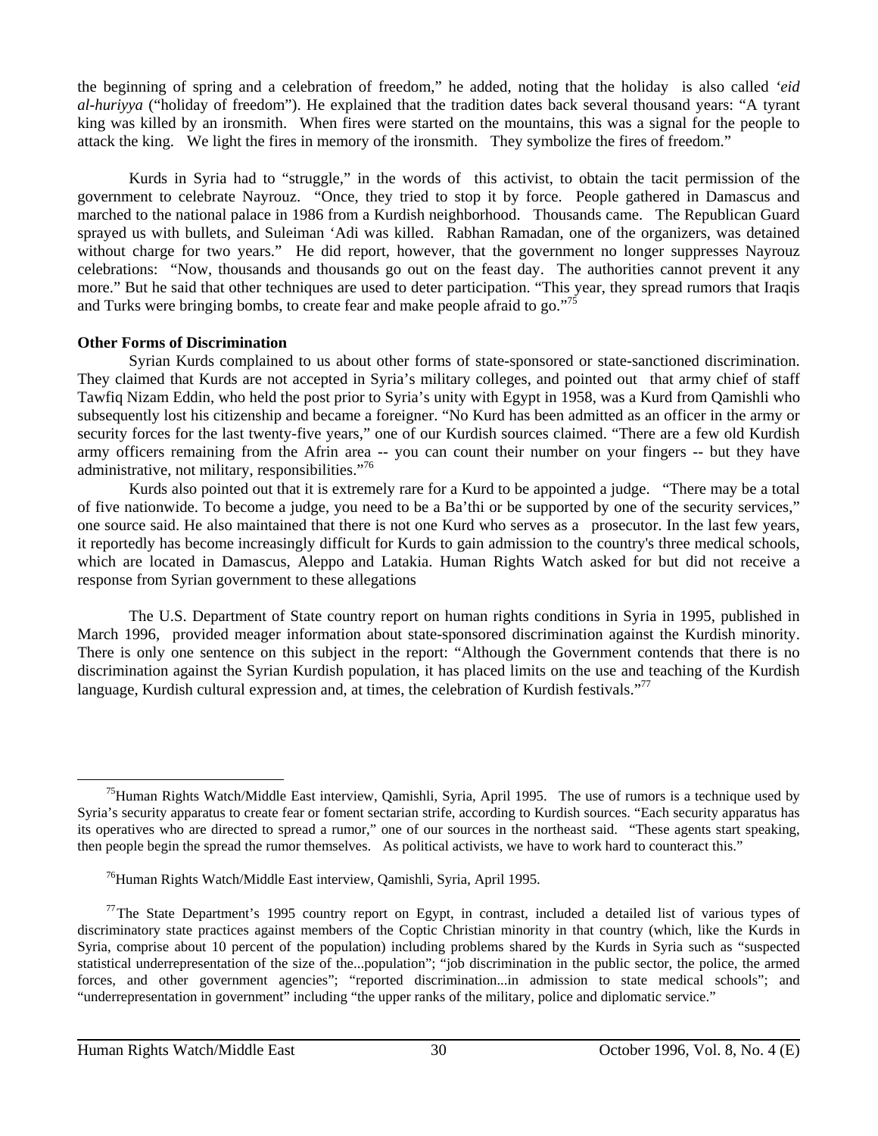the beginning of spring and a celebration of freedom," he added, noting that the holiday is also called *'eid al-huriyya* ("holiday of freedom"). He explained that the tradition dates back several thousand years: "A tyrant king was killed by an ironsmith. When fires were started on the mountains, this was a signal for the people to attack the king. We light the fires in memory of the ironsmith. They symbolize the fires of freedom."

Kurds in Syria had to "struggle," in the words of this activist, to obtain the tacit permission of the government to celebrate Nayrouz. "Once, they tried to stop it by force. People gathered in Damascus and marched to the national palace in 1986 from a Kurdish neighborhood. Thousands came. The Republican Guard sprayed us with bullets, and Suleiman 'Adi was killed. Rabhan Ramadan, one of the organizers, was detained without charge for two years." He did report, however, that the government no longer suppresses Nayrouz celebrations: "Now, thousands and thousands go out on the feast day. The authorities cannot prevent it any more." But he said that other techniques are used to deter participation. "This year, they spread rumors that Iraqis and Turks were bringing bombs, to create fear and make people afraid to go."<sup>75</sup>

#### **Other Forms of Discrimination**

Syrian Kurds complained to us about other forms of state-sponsored or state-sanctioned discrimination. They claimed that Kurds are not accepted in Syria's military colleges, and pointed out that army chief of staff Tawfiq Nizam Eddin, who held the post prior to Syria's unity with Egypt in 1958, was a Kurd from Qamishli who subsequently lost his citizenship and became a foreigner. "No Kurd has been admitted as an officer in the army or security forces for the last twenty-five years," one of our Kurdish sources claimed. "There are a few old Kurdish army officers remaining from the Afrin area -- you can count their number on your fingers -- but they have administrative, not military, responsibilities."76

Kurds also pointed out that it is extremely rare for a Kurd to be appointed a judge. "There may be a total of five nationwide. To become a judge, you need to be a Ba'thi or be supported by one of the security services," one source said. He also maintained that there is not one Kurd who serves as a prosecutor. In the last few years, it reportedly has become increasingly difficult for Kurds to gain admission to the country's three medical schools, which are located in Damascus, Aleppo and Latakia. Human Rights Watch asked for but did not receive a response from Syrian government to these allegations

The U.S. Department of State country report on human rights conditions in Syria in 1995, published in March 1996, provided meager information about state-sponsored discrimination against the Kurdish minority. There is only one sentence on this subject in the report: "Although the Government contends that there is no discrimination against the Syrian Kurdish population, it has placed limits on the use and teaching of the Kurdish language, Kurdish cultural expression and, at times, the celebration of Kurdish festivals."<sup>77</sup>

 $75$ Human Rights Watch/Middle East interview, Qamishli, Syria, April 1995. The use of rumors is a technique used by Syria's security apparatus to create fear or foment sectarian strife, according to Kurdish sources. "Each security apparatus has its operatives who are directed to spread a rumor," one of our sources in the northeast said. "These agents start speaking, then people begin the spread the rumor themselves. As political activists, we have to work hard to counteract this."

76Human Rights Watch/Middle East interview, Qamishli, Syria, April 1995.

<sup>&</sup>lt;sup>77</sup>The State Department's 1995 country report on Egypt, in contrast, included a detailed list of various types of discriminatory state practices against members of the Coptic Christian minority in that country (which, like the Kurds in Syria, comprise about 10 percent of the population) including problems shared by the Kurds in Syria such as "suspected statistical underrepresentation of the size of the...population"; "job discrimination in the public sector, the police, the armed forces, and other government agencies"; "reported discrimination...in admission to state medical schools"; and "underrepresentation in government" including "the upper ranks of the military, police and diplomatic service."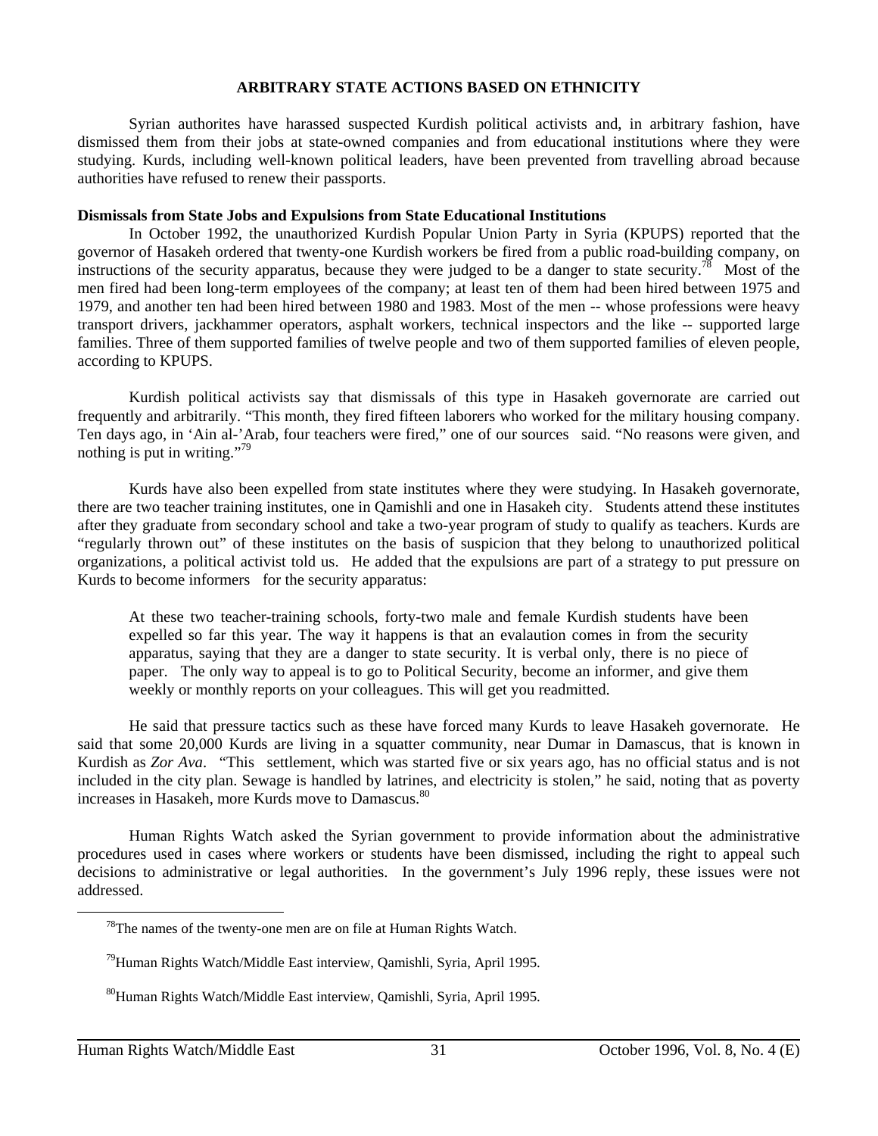#### **ARBITRARY STATE ACTIONS BASED ON ETHNICITY**

Syrian authorites have harassed suspected Kurdish political activists and, in arbitrary fashion, have dismissed them from their jobs at state-owned companies and from educational institutions where they were studying. Kurds, including well-known political leaders, have been prevented from travelling abroad because authorities have refused to renew their passports.

#### **Dismissals from State Jobs and Expulsions from State Educational Institutions**

In October 1992, the unauthorized Kurdish Popular Union Party in Syria (KPUPS) reported that the governor of Hasakeh ordered that twenty-one Kurdish workers be fired from a public road-building company, on instructions of the security apparatus, because they were judged to be a danger to state security.<sup>78</sup> Most of the men fired had been long-term employees of the company; at least ten of them had been hired between 1975 and 1979, and another ten had been hired between 1980 and 1983. Most of the men -- whose professions were heavy transport drivers, jackhammer operators, asphalt workers, technical inspectors and the like -- supported large families. Three of them supported families of twelve people and two of them supported families of eleven people, according to KPUPS.

Kurdish political activists say that dismissals of this type in Hasakeh governorate are carried out frequently and arbitrarily. "This month, they fired fifteen laborers who worked for the military housing company. Ten days ago, in 'Ain al-'Arab, four teachers were fired," one of our sources said. "No reasons were given, and nothing is put in writing." $79$ 

Kurds have also been expelled from state institutes where they were studying. In Hasakeh governorate, there are two teacher training institutes, one in Qamishli and one in Hasakeh city. Students attend these institutes after they graduate from secondary school and take a two-year program of study to qualify as teachers. Kurds are "regularly thrown out" of these institutes on the basis of suspicion that they belong to unauthorized political organizations, a political activist told us. He added that the expulsions are part of a strategy to put pressure on Kurds to become informers for the security apparatus:

At these two teacher-training schools, forty-two male and female Kurdish students have been expelled so far this year. The way it happens is that an evalaution comes in from the security apparatus, saying that they are a danger to state security. It is verbal only, there is no piece of paper. The only way to appeal is to go to Political Security, become an informer, and give them weekly or monthly reports on your colleagues. This will get you readmitted.

He said that pressure tactics such as these have forced many Kurds to leave Hasakeh governorate. He said that some 20,000 Kurds are living in a squatter community, near Dumar in Damascus, that is known in Kurdish as *Zor Ava*. "This settlement, which was started five or six years ago, has no official status and is not included in the city plan. Sewage is handled by latrines, and electricity is stolen," he said, noting that as poverty increases in Hasakeh, more Kurds move to Damascus.<sup>80</sup>

Human Rights Watch asked the Syrian government to provide information about the administrative procedures used in cases where workers or students have been dismissed, including the right to appeal such decisions to administrative or legal authorities. In the government's July 1996 reply, these issues were not addressed.

 $78$ The names of the twenty-one men are on file at Human Rights Watch.

79Human Rights Watch/Middle East interview, Qamishli, Syria, April 1995.

80Human Rights Watch/Middle East interview, Qamishli, Syria, April 1995.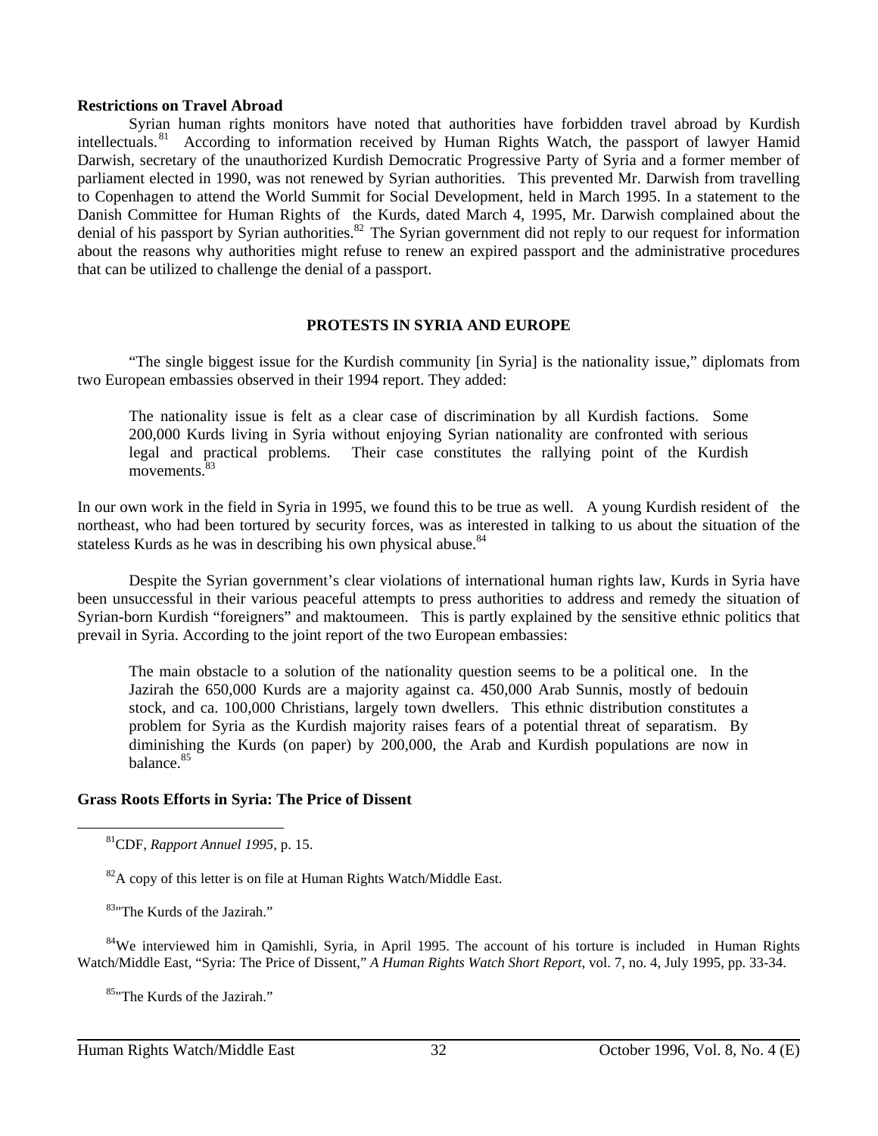#### **Restrictions on Travel Abroad**

Syrian human rights monitors have noted that authorities have forbidden travel abroad by Kurdish intellectuals.<sup>81</sup> According to information received by Human Rights Watch, the passport of lawyer Hamid Darwish, secretary of the unauthorized Kurdish Democratic Progressive Party of Syria and a former member of parliament elected in 1990, was not renewed by Syrian authorities. This prevented Mr. Darwish from travelling to Copenhagen to attend the World Summit for Social Development, held in March 1995. In a statement to the Danish Committee for Human Rights of the Kurds, dated March 4, 1995, Mr. Darwish complained about the denial of his passport by Syrian authorities.<sup>82</sup> The Syrian government did not reply to our request for information about the reasons why authorities might refuse to renew an expired passport and the administrative procedures that can be utilized to challenge the denial of a passport.

#### **PROTESTS IN SYRIA AND EUROPE**

"The single biggest issue for the Kurdish community [in Syria] is the nationality issue," diplomats from two European embassies observed in their 1994 report. They added:

The nationality issue is felt as a clear case of discrimination by all Kurdish factions. Some 200,000 Kurds living in Syria without enjoying Syrian nationality are confronted with serious legal and practical problems. Their case constitutes the rallying point of the Kurdish movements.<sup>83</sup>

In our own work in the field in Syria in 1995, we found this to be true as well. A young Kurdish resident of the northeast, who had been tortured by security forces, was as interested in talking to us about the situation of the stateless Kurds as he was in describing his own physical abuse.<sup>84</sup>

Despite the Syrian government's clear violations of international human rights law, Kurds in Syria have been unsuccessful in their various peaceful attempts to press authorities to address and remedy the situation of Syrian-born Kurdish "foreigners" and maktoumeen. This is partly explained by the sensitive ethnic politics that prevail in Syria. According to the joint report of the two European embassies:

The main obstacle to a solution of the nationality question seems to be a political one. In the Jazirah the 650,000 Kurds are a majority against ca. 450,000 Arab Sunnis, mostly of bedouin stock, and ca. 100,000 Christians, largely town dwellers. This ethnic distribution constitutes a problem for Syria as the Kurdish majority raises fears of a potential threat of separatism. By diminishing the Kurds (on paper) by 200,000, the Arab and Kurdish populations are now in balance.85

#### **Grass Roots Efforts in Syria: The Price of Dissent**

81CDF, *Rapport Annuel 1995*, p. 15.

 $82A$  copy of this letter is on file at Human Rights Watch/Middle East.

83"The Kurds of the Jazirah."

 $\overline{a}$ 

<sup>84</sup>We interviewed him in Qamishli, Syria, in April 1995. The account of his torture is included in Human Rights Watch/Middle East, "Syria: The Price of Dissent," *A Human Rights Watch Short Report*, vol. 7, no. 4, July 1995, pp. 33-34.

85"The Kurds of the Jazirah."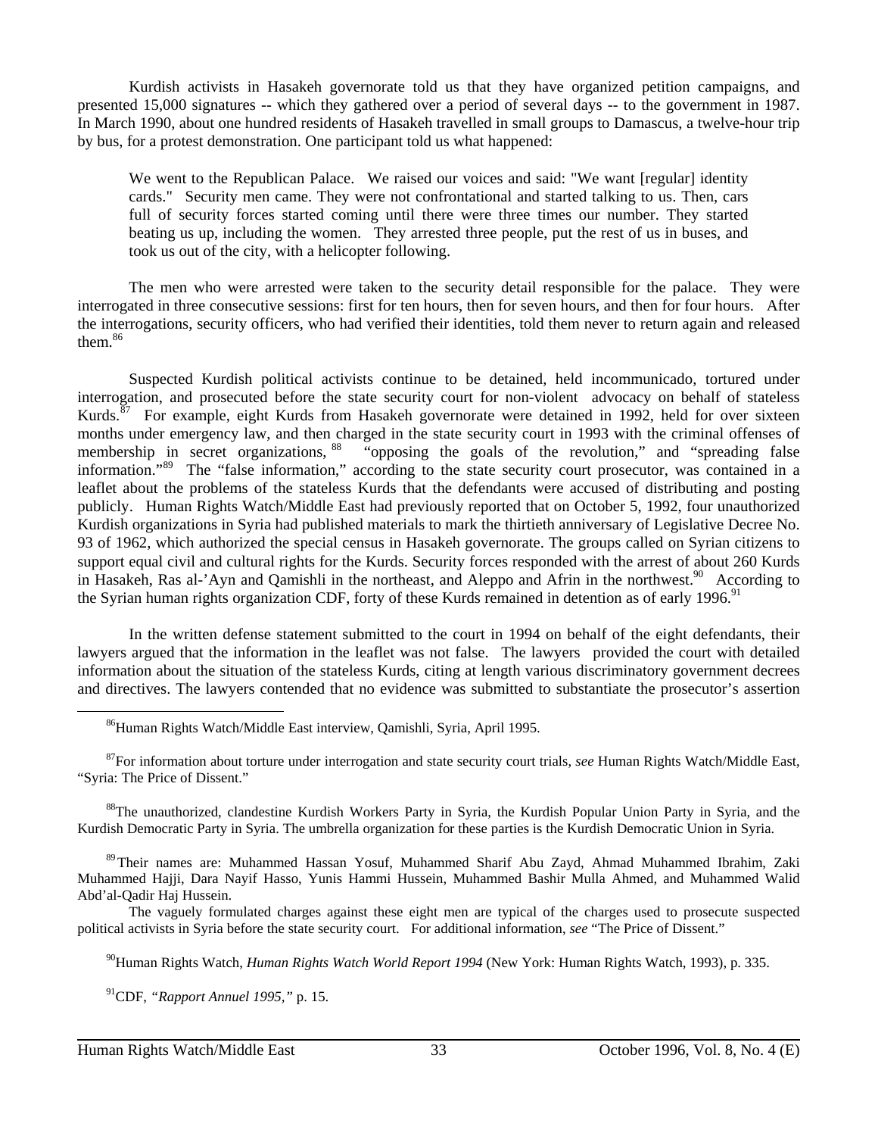Kurdish activists in Hasakeh governorate told us that they have organized petition campaigns, and presented 15,000 signatures -- which they gathered over a period of several days -- to the government in 1987. In March 1990, about one hundred residents of Hasakeh travelled in small groups to Damascus, a twelve-hour trip by bus, for a protest demonstration. One participant told us what happened:

We went to the Republican Palace. We raised our voices and said: "We want [regular] identity cards." Security men came. They were not confrontational and started talking to us. Then, cars full of security forces started coming until there were three times our number. They started beating us up, including the women. They arrested three people, put the rest of us in buses, and took us out of the city, with a helicopter following.

The men who were arrested were taken to the security detail responsible for the palace. They were interrogated in three consecutive sessions: first for ten hours, then for seven hours, and then for four hours. After the interrogations, security officers, who had verified their identities, told them never to return again and released them.<sup>86</sup>

Suspected Kurdish political activists continue to be detained, held incommunicado, tortured under interrogation, and prosecuted before the state security court for non-violent advocacy on behalf of stateless Kurds.<sup>87</sup> For example, eight Kurds from Hasakeh governorate were detained in 1992, held for over sixteen months under emergency law, and then charged in the state security court in 1993 with the criminal offenses of membership in secret organizations, <sup>88</sup> "opposing the goals of the revolution," and "spreading false information."89 The "false information," according to the state security court prosecutor, was contained in a leaflet about the problems of the stateless Kurds that the defendants were accused of distributing and posting publicly. Human Rights Watch/Middle East had previously reported that on October 5, 1992, four unauthorized Kurdish organizations in Syria had published materials to mark the thirtieth anniversary of Legislative Decree No. 93 of 1962, which authorized the special census in Hasakeh governorate. The groups called on Syrian citizens to support equal civil and cultural rights for the Kurds. Security forces responded with the arrest of about 260 Kurds in Hasakeh, Ras al-'Ayn and Qamishli in the northeast, and Aleppo and Afrin in the northwest.<sup>90</sup> According to the Syrian human rights organization CDF, forty of these Kurds remained in detention as of early 1996.<sup>91</sup>

In the written defense statement submitted to the court in 1994 on behalf of the eight defendants, their lawyers argued that the information in the leaflet was not false. The lawyers provided the court with detailed information about the situation of the stateless Kurds, citing at length various discriminatory government decrees and directives. The lawyers contended that no evidence was submitted to substantiate the prosecutor's assertion

<sup>88</sup>The unauthorized, clandestine Kurdish Workers Party in Syria, the Kurdish Popular Union Party in Syria, and the Kurdish Democratic Party in Syria. The umbrella organization for these parties is the Kurdish Democratic Union in Syria.

 89Their names are: Muhammed Hassan Yosuf, Muhammed Sharif Abu Zayd, Ahmad Muhammed Ibrahim, Zaki Muhammed Hajji, Dara Nayif Hasso, Yunis Hammi Hussein, Muhammed Bashir Mulla Ahmed, and Muhammed Walid Abd'al-Qadir Haj Hussein.

The vaguely formulated charges against these eight men are typical of the charges used to prosecute suspected political activists in Syria before the state security court. For additional information, *see* "The Price of Dissent."

90Human Rights Watch, *Human Rights Watch World Report 1994* (New York: Human Rights Watch, 1993), p. 335.

91CDF, *"Rapport Annuel 1995,"* p. 15.

86Human Rights Watch/Middle East interview, Qamishli, Syria, April 1995.

87For information about torture under interrogation and state security court trials, *see* Human Rights Watch/Middle East, "Syria: The Price of Dissent."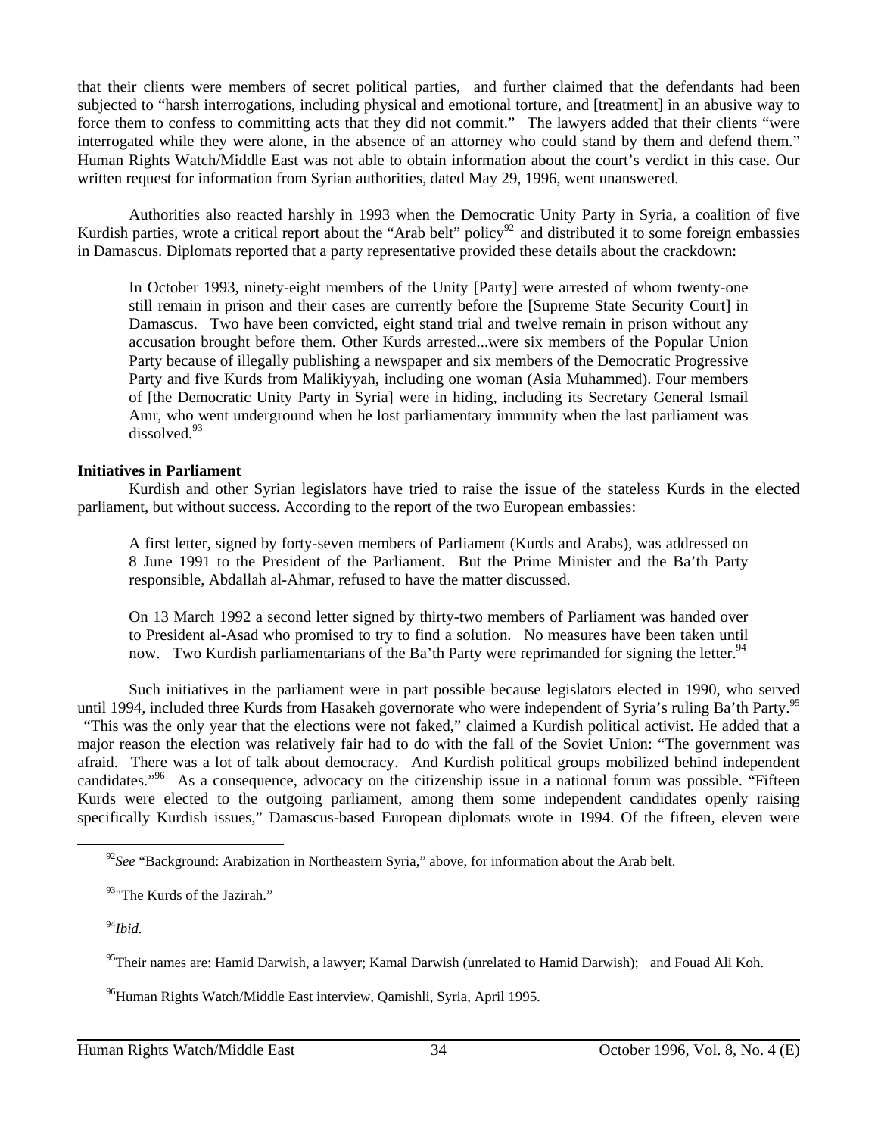that their clients were members of secret political parties, and further claimed that the defendants had been subjected to "harsh interrogations, including physical and emotional torture, and [treatment] in an abusive way to force them to confess to committing acts that they did not commit." The lawyers added that their clients "were interrogated while they were alone, in the absence of an attorney who could stand by them and defend them." Human Rights Watch/Middle East was not able to obtain information about the court's verdict in this case. Our written request for information from Syrian authorities, dated May 29, 1996, went unanswered.

Authorities also reacted harshly in 1993 when the Democratic Unity Party in Syria, a coalition of five Kurdish parties, wrote a critical report about the "Arab belt" policy<sup>92</sup> and distributed it to some foreign embassies in Damascus. Diplomats reported that a party representative provided these details about the crackdown:

In October 1993, ninety-eight members of the Unity [Party] were arrested of whom twenty-one still remain in prison and their cases are currently before the [Supreme State Security Court] in Damascus. Two have been convicted, eight stand trial and twelve remain in prison without any accusation brought before them. Other Kurds arrested...were six members of the Popular Union Party because of illegally publishing a newspaper and six members of the Democratic Progressive Party and five Kurds from Malikiyyah, including one woman (Asia Muhammed). Four members of [the Democratic Unity Party in Syria] were in hiding, including its Secretary General Ismail Amr, who went underground when he lost parliamentary immunity when the last parliament was dissolved. $93$ 

#### **Initiatives in Parliament**

Kurdish and other Syrian legislators have tried to raise the issue of the stateless Kurds in the elected parliament, but without success. According to the report of the two European embassies:

A first letter, signed by forty-seven members of Parliament (Kurds and Arabs), was addressed on 8 June 1991 to the President of the Parliament. But the Prime Minister and the Ba'th Party responsible, Abdallah al-Ahmar, refused to have the matter discussed.

On 13 March 1992 a second letter signed by thirty-two members of Parliament was handed over to President al-Asad who promised to try to find a solution. No measures have been taken until now. Two Kurdish parliamentarians of the Ba'th Party were reprimanded for signing the letter.<sup>94</sup>

Such initiatives in the parliament were in part possible because legislators elected in 1990, who served until 1994, included three Kurds from Hasakeh governorate who were independent of Syria's ruling Ba'th Party.<sup>95</sup>

 "This was the only year that the elections were not faked," claimed a Kurdish political activist. He added that a major reason the election was relatively fair had to do with the fall of the Soviet Union: "The government was afraid. There was a lot of talk about democracy. And Kurdish political groups mobilized behind independent candidates."<sup>96</sup> As a consequence, advocacy on the citizenship issue in a national forum was possible. "Fifteen Kurds were elected to the outgoing parliament, among them some independent candidates openly raising specifically Kurdish issues," Damascus-based European diplomats wrote in 1994. Of the fifteen, eleven were

<sup>&</sup>lt;sup>92</sup>See "Background: Arabization in Northeastern Syria," above, for information about the Arab belt.

<sup>93&</sup>quot;The Kurds of the Jazirah."

<sup>94</sup>*Ibid.* 

<sup>&</sup>lt;sup>95</sup>Their names are: Hamid Darwish, a lawyer; Kamal Darwish (unrelated to Hamid Darwish); and Fouad Ali Koh.

<sup>&</sup>lt;sup>96</sup>Human Rights Watch/Middle East interview, Qamishli, Syria, April 1995.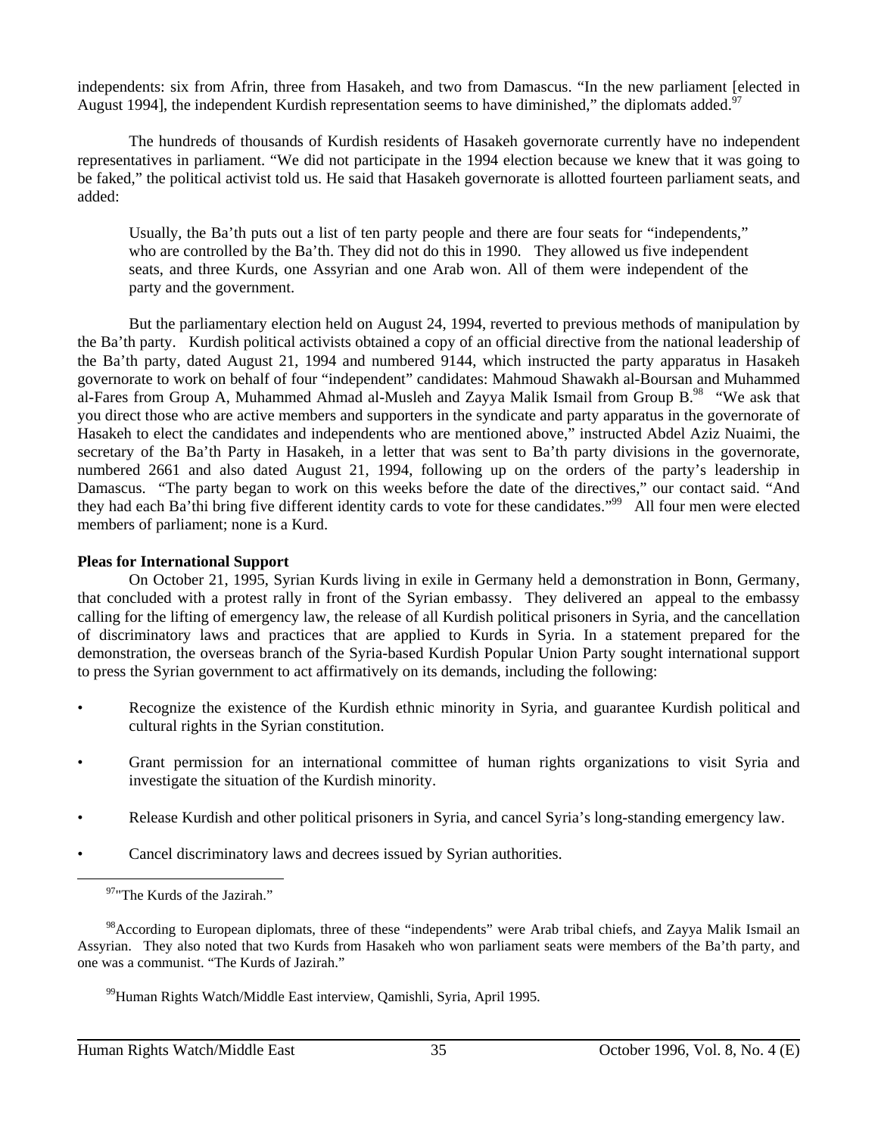independents: six from Afrin, three from Hasakeh, and two from Damascus. "In the new parliament [elected in August 1994], the independent Kurdish representation seems to have diminished," the diplomats added.

The hundreds of thousands of Kurdish residents of Hasakeh governorate currently have no independent representatives in parliament. "We did not participate in the 1994 election because we knew that it was going to be faked," the political activist told us. He said that Hasakeh governorate is allotted fourteen parliament seats, and added:

Usually, the Ba'th puts out a list of ten party people and there are four seats for "independents," who are controlled by the Ba'th. They did not do this in 1990. They allowed us five independent seats, and three Kurds, one Assyrian and one Arab won. All of them were independent of the party and the government.

But the parliamentary election held on August 24, 1994, reverted to previous methods of manipulation by the Ba'th party. Kurdish political activists obtained a copy of an official directive from the national leadership of the Ba'th party, dated August 21, 1994 and numbered 9144, which instructed the party apparatus in Hasakeh governorate to work on behalf of four "independent" candidates: Mahmoud Shawakh al-Boursan and Muhammed al-Fares from Group A, Muhammed Ahmad al-Musleh and Zayya Malik Ismail from Group B.<sup>98</sup> "We ask that you direct those who are active members and supporters in the syndicate and party apparatus in the governorate of Hasakeh to elect the candidates and independents who are mentioned above," instructed Abdel Aziz Nuaimi, the secretary of the Ba'th Party in Hasakeh, in a letter that was sent to Ba'th party divisions in the governorate, numbered 2661 and also dated August 21, 1994, following up on the orders of the party's leadership in Damascus. "The party began to work on this weeks before the date of the directives," our contact said. "And they had each Ba'thi bring five different identity cards to vote for these candidates."<sup>99</sup> All four men were elected members of parliament; none is a Kurd.

#### **Pleas for International Support**

On October 21, 1995, Syrian Kurds living in exile in Germany held a demonstration in Bonn, Germany, that concluded with a protest rally in front of the Syrian embassy. They delivered an appeal to the embassy calling for the lifting of emergency law, the release of all Kurdish political prisoners in Syria, and the cancellation of discriminatory laws and practices that are applied to Kurds in Syria. In a statement prepared for the demonstration, the overseas branch of the Syria-based Kurdish Popular Union Party sought international support to press the Syrian government to act affirmatively on its demands, including the following:

- Recognize the existence of the Kurdish ethnic minority in Syria, and guarantee Kurdish political and cultural rights in the Syrian constitution.
- Grant permission for an international committee of human rights organizations to visit Syria and investigate the situation of the Kurdish minority.
- Release Kurdish and other political prisoners in Syria, and cancel Syria's long-standing emergency law.
- Cancel discriminatory laws and decrees issued by Syrian authorities.

 $\overline{a}$ 

99Human Rights Watch/Middle East interview, Qamishli, Syria, April 1995.

<sup>&</sup>lt;sup>97</sup>"The Kurds of the Jazirah."

<sup>&</sup>lt;sup>98</sup>According to European diplomats, three of these "independents" were Arab tribal chiefs, and Zayya Malik Ismail an Assyrian. They also noted that two Kurds from Hasakeh who won parliament seats were members of the Ba'th party, and one was a communist. "The Kurds of Jazirah."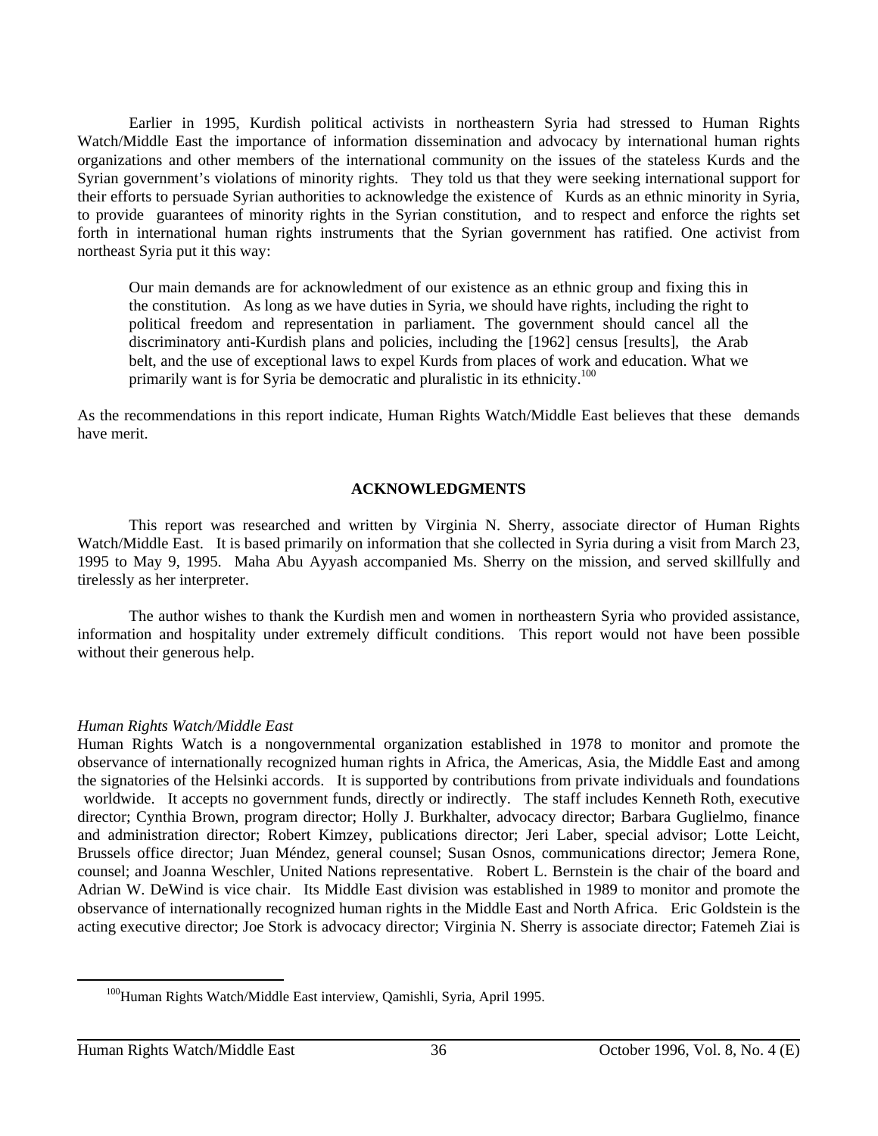Earlier in 1995, Kurdish political activists in northeastern Syria had stressed to Human Rights Watch/Middle East the importance of information dissemination and advocacy by international human rights organizations and other members of the international community on the issues of the stateless Kurds and the Syrian government's violations of minority rights. They told us that they were seeking international support for their efforts to persuade Syrian authorities to acknowledge the existence of Kurds as an ethnic minority in Syria, to provide guarantees of minority rights in the Syrian constitution, and to respect and enforce the rights set forth in international human rights instruments that the Syrian government has ratified. One activist from northeast Syria put it this way:

Our main demands are for acknowledment of our existence as an ethnic group and fixing this in the constitution. As long as we have duties in Syria, we should have rights, including the right to political freedom and representation in parliament. The government should cancel all the discriminatory anti-Kurdish plans and policies, including the [1962] census [results], the Arab belt, and the use of exceptional laws to expel Kurds from places of work and education. What we primarily want is for Syria be democratic and pluralistic in its ethnicity.<sup>100</sup>

As the recommendations in this report indicate, Human Rights Watch/Middle East believes that these demands have merit.

#### **ACKNOWLEDGMENTS**

This report was researched and written by Virginia N. Sherry, associate director of Human Rights Watch/Middle East. It is based primarily on information that she collected in Syria during a visit from March 23, 1995 to May 9, 1995. Maha Abu Ayyash accompanied Ms. Sherry on the mission, and served skillfully and tirelessly as her interpreter.

The author wishes to thank the Kurdish men and women in northeastern Syria who provided assistance, information and hospitality under extremely difficult conditions. This report would not have been possible without their generous help.

#### *Human Rights Watch/Middle East*

Human Rights Watch is a nongovernmental organization established in 1978 to monitor and promote the observance of internationally recognized human rights in Africa, the Americas, Asia, the Middle East and among the signatories of the Helsinki accords. It is supported by contributions from private individuals and foundations worldwide. It accepts no government funds, directly or indirectly. The staff includes Kenneth Roth, executive director; Cynthia Brown, program director; Holly J. Burkhalter, advocacy director; Barbara Guglielmo, finance and administration director; Robert Kimzey, publications director; Jeri Laber, special advisor; Lotte Leicht, Brussels office director; Juan Méndez, general counsel; Susan Osnos, communications director; Jemera Rone, counsel; and Joanna Weschler, United Nations representative. Robert L. Bernstein is the chair of the board and Adrian W. DeWind is vice chair. Its Middle East division was established in 1989 to monitor and promote the observance of internationally recognized human rights in the Middle East and North Africa. Eric Goldstein is the acting executive director; Joe Stork is advocacy director; Virginia N. Sherry is associate director; Fatemeh Ziai is

<sup>&</sup>lt;sup>100</sup>Human Rights Watch/Middle East interview, Qamishli, Syria, April 1995.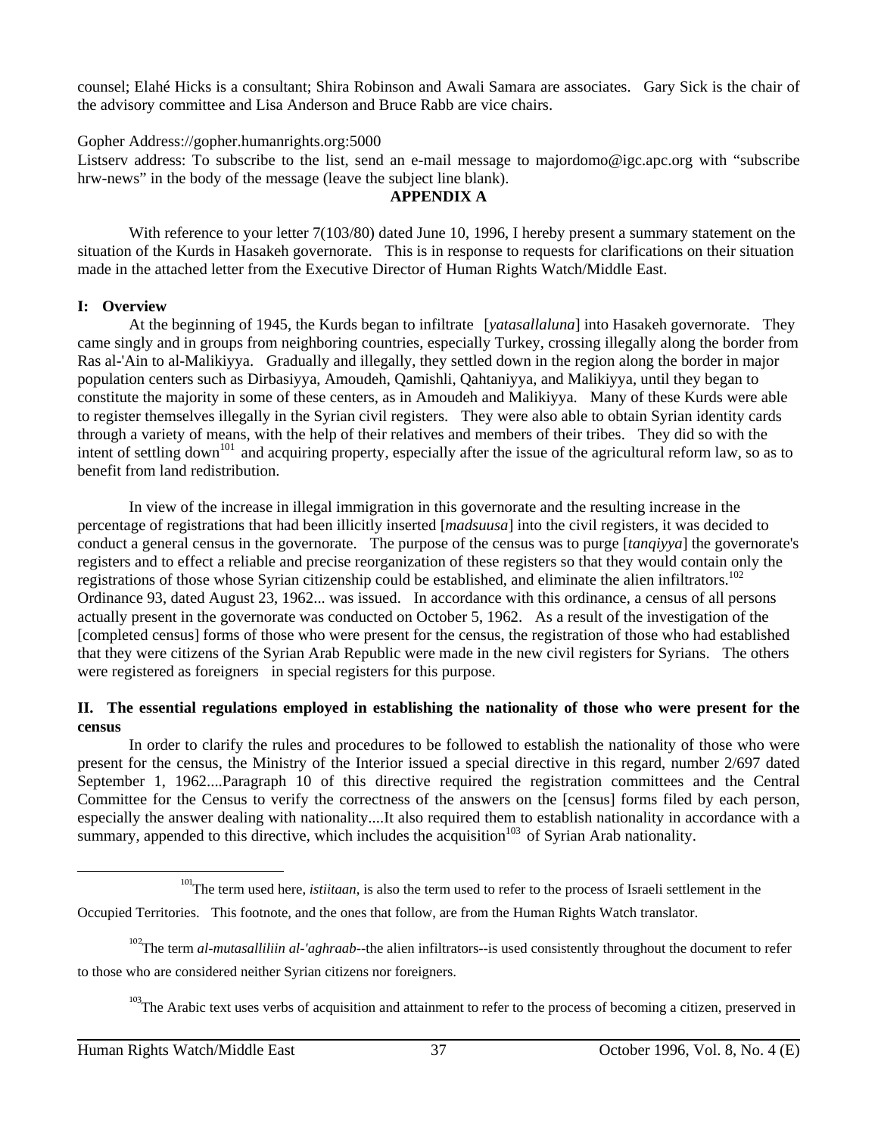counsel; Elahé Hicks is a consultant; Shira Robinson and Awali Samara are associates. Gary Sick is the chair of the advisory committee and Lisa Anderson and Bruce Rabb are vice chairs.

#### Gopher Address://gopher.humanrights.org:5000

Listserv address: To subscribe to the list, send an e-mail message to majordomo@igc.apc.org with "subscribe hrw-news" in the body of the message (leave the subject line blank).

#### **APPENDIX A**

With reference to your letter 7(103/80) dated June 10, 1996, I hereby present a summary statement on the situation of the Kurds in Hasakeh governorate. This is in response to requests for clarifications on their situation made in the attached letter from the Executive Director of Human Rights Watch/Middle East.

#### **I: Overview**

At the beginning of 1945, the Kurds began to infiltrate [*yatasallaluna*] into Hasakeh governorate. They came singly and in groups from neighboring countries, especially Turkey, crossing illegally along the border from Ras al-'Ain to al-Malikiyya. Gradually and illegally, they settled down in the region along the border in major population centers such as Dirbasiyya, Amoudeh, Qamishli, Qahtaniyya, and Malikiyya, until they began to constitute the majority in some of these centers, as in Amoudeh and Malikiyya. Many of these Kurds were able to register themselves illegally in the Syrian civil registers. They were also able to obtain Syrian identity cards through a variety of means, with the help of their relatives and members of their tribes. They did so with the intent of settling down<sup>101</sup> and acquiring property, especially after the issue of the agricultural reform law, so as to benefit from land redistribution.

In view of the increase in illegal immigration in this governorate and the resulting increase in the percentage of registrations that had been illicitly inserted [*madsuusa*] into the civil registers, it was decided to conduct a general census in the governorate. The purpose of the census was to purge [*tanqiyya*] the governorate's registers and to effect a reliable and precise reorganization of these registers so that they would contain only the registrations of those whose Syrian citizenship could be established, and eliminate the alien infiltrators.<sup>102</sup> Ordinance 93, dated August 23, 1962... was issued. In accordance with this ordinance, a census of all persons actually present in the governorate was conducted on October 5, 1962. As a result of the investigation of the [completed census] forms of those who were present for the census, the registration of those who had established that they were citizens of the Syrian Arab Republic were made in the new civil registers for Syrians. The others were registered as foreigners in special registers for this purpose.

#### **II. The essential regulations employed in establishing the nationality of those who were present for the census**

In order to clarify the rules and procedures to be followed to establish the nationality of those who were present for the census, the Ministry of the Interior issued a special directive in this regard, number 2/697 dated September 1, 1962....Paragraph 10 of this directive required the registration committees and the Central Committee for the Census to verify the correctness of the answers on the [census] forms filed by each person, especially the answer dealing with nationality....It also required them to establish nationality in accordance with a summary, appended to this directive, which includes the acquisition<sup> $103$ </sup> of Syrian Arab nationality.

<sup>&</sup>lt;sup>101</sup>The term used here, *istiitaan*, is also the term used to refer to the process of Israeli settlement in the

Occupied Territories. This footnote, and the ones that follow, are from the Human Rights Watch translator.

<sup>&</sup>lt;sup>102</sup>The term *al-mutasalliliin al-'aghraab*--the alien infiltrators--is used consistently throughout the document to refer to those who are considered neither Syrian citizens nor foreigners.

<sup>&</sup>lt;sup>103</sup>The Arabic text uses verbs of acquisition and attainment to refer to the process of becoming a citizen, preserved in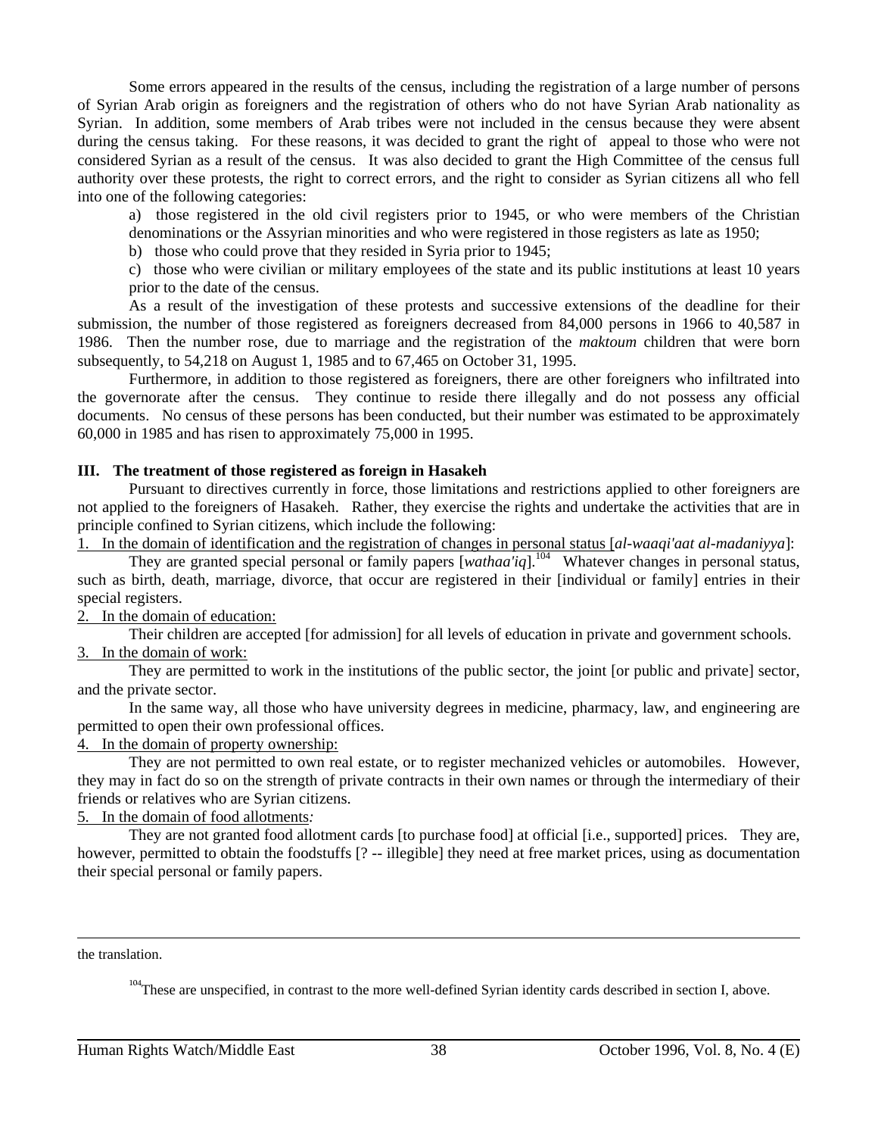Some errors appeared in the results of the census, including the registration of a large number of persons of Syrian Arab origin as foreigners and the registration of others who do not have Syrian Arab nationality as Syrian. In addition, some members of Arab tribes were not included in the census because they were absent during the census taking. For these reasons, it was decided to grant the right of appeal to those who were not considered Syrian as a result of the census. It was also decided to grant the High Committee of the census full authority over these protests, the right to correct errors, and the right to consider as Syrian citizens all who fell into one of the following categories:

a) those registered in the old civil registers prior to 1945, or who were members of the Christian

denominations or the Assyrian minorities and who were registered in those registers as late as 1950;

b) those who could prove that they resided in Syria prior to 1945;

c) those who were civilian or military employees of the state and its public institutions at least 10 years prior to the date of the census.

As a result of the investigation of these protests and successive extensions of the deadline for their submission, the number of those registered as foreigners decreased from 84,000 persons in 1966 to 40,587 in 1986. Then the number rose, due to marriage and the registration of the *maktoum* children that were born subsequently, to 54,218 on August 1, 1985 and to 67,465 on October 31, 1995.

Furthermore, in addition to those registered as foreigners, there are other foreigners who infiltrated into the governorate after the census. They continue to reside there illegally and do not possess any official documents. No census of these persons has been conducted, but their number was estimated to be approximately 60,000 in 1985 and has risen to approximately 75,000 in 1995.

#### **III. The treatment of those registered as foreign in Hasakeh**

Pursuant to directives currently in force, those limitations and restrictions applied to other foreigners are not applied to the foreigners of Hasakeh. Rather, they exercise the rights and undertake the activities that are in principle confined to Syrian citizens, which include the following:

1. In the domain of identification and the registration of changes in personal status [*al-waaqi'aat al-madaniyya*]:

They are granted special personal or family papers [*wathaa'iq*].104 Whatever changes in personal status, such as birth, death, marriage, divorce, that occur are registered in their [individual or family] entries in their special registers.

# 2. In the domain of education:

Their children are accepted [for admission] for all levels of education in private and government schools.

### 3. In the domain of work:

They are permitted to work in the institutions of the public sector, the joint [or public and private] sector, and the private sector.

In the same way, all those who have university degrees in medicine, pharmacy, law, and engineering are permitted to open their own professional offices.

4. In the domain of property ownership:

They are not permitted to own real estate, or to register mechanized vehicles or automobiles. However, they may in fact do so on the strength of private contracts in their own names or through the intermediary of their friends or relatives who are Syrian citizens.

5. In the domain of food allotments*:*

They are not granted food allotment cards [to purchase food] at official [i.e., supported] prices. They are, however, permitted to obtain the foodstuffs [? -- illegible] they need at free market prices, using as documentation their special personal or family papers.

the translation.

 $\overline{a}$ 

<sup>104</sup>These are unspecified, in contrast to the more well-defined Syrian identity cards described in section I, above.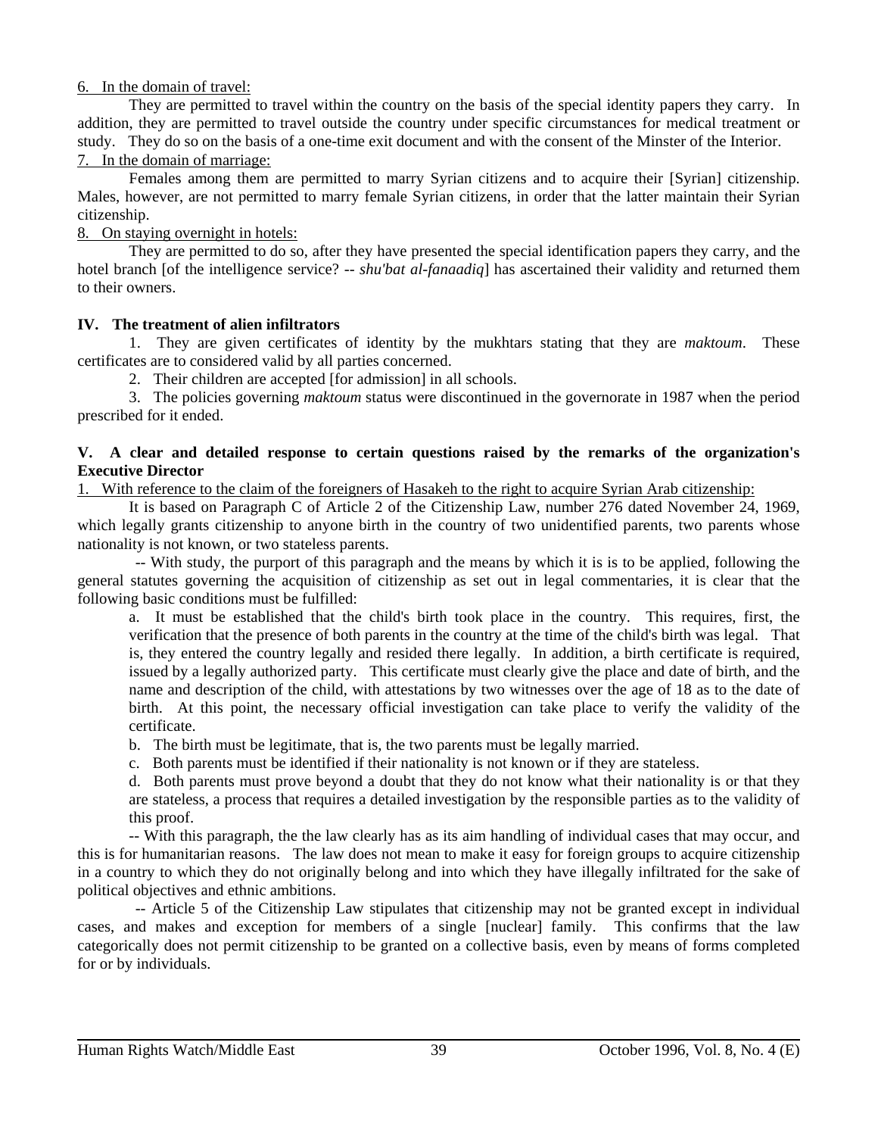### 6. In the domain of travel:

They are permitted to travel within the country on the basis of the special identity papers they carry. In addition, they are permitted to travel outside the country under specific circumstances for medical treatment or study. They do so on the basis of a one-time exit document and with the consent of the Minster of the Interior. 7. In the domain of marriage:

Females among them are permitted to marry Syrian citizens and to acquire their [Syrian] citizenship. Males, however, are not permitted to marry female Syrian citizens, in order that the latter maintain their Syrian citizenship.

# 8. On staying overnight in hotels:

They are permitted to do so, after they have presented the special identification papers they carry, and the hotel branch [of the intelligence service? -- *shu'bat al-fanaadiq*] has ascertained their validity and returned them to their owners.

# **IV. The treatment of alien infiltrators**

1. They are given certificates of identity by the mukhtars stating that they are *maktoum*. These certificates are to considered valid by all parties concerned.

2. Their children are accepted [for admission] in all schools.

3. The policies governing *maktoum* status were discontinued in the governorate in 1987 when the period prescribed for it ended.

### **V. A clear and detailed response to certain questions raised by the remarks of the organization's Executive Director**

1. With reference to the claim of the foreigners of Hasakeh to the right to acquire Syrian Arab citizenship:

It is based on Paragraph C of Article 2 of the Citizenship Law, number 276 dated November 24, 1969, which legally grants citizenship to anyone birth in the country of two unidentified parents, two parents whose nationality is not known, or two stateless parents.

 -- With study, the purport of this paragraph and the means by which it is is to be applied, following the general statutes governing the acquisition of citizenship as set out in legal commentaries, it is clear that the following basic conditions must be fulfilled:

a. It must be established that the child's birth took place in the country. This requires, first, the verification that the presence of both parents in the country at the time of the child's birth was legal. That is, they entered the country legally and resided there legally. In addition, a birth certificate is required, issued by a legally authorized party. This certificate must clearly give the place and date of birth, and the name and description of the child, with attestations by two witnesses over the age of 18 as to the date of birth. At this point, the necessary official investigation can take place to verify the validity of the certificate.

b. The birth must be legitimate, that is, the two parents must be legally married.

c. Both parents must be identified if their nationality is not known or if they are stateless.

d. Both parents must prove beyond a doubt that they do not know what their nationality is or that they are stateless, a process that requires a detailed investigation by the responsible parties as to the validity of this proof.

-- With this paragraph, the the law clearly has as its aim handling of individual cases that may occur, and this is for humanitarian reasons. The law does not mean to make it easy for foreign groups to acquire citizenship in a country to which they do not originally belong and into which they have illegally infiltrated for the sake of political objectives and ethnic ambitions.

 -- Article 5 of the Citizenship Law stipulates that citizenship may not be granted except in individual cases, and makes and exception for members of a single [nuclear] family. This confirms that the law categorically does not permit citizenship to be granted on a collective basis, even by means of forms completed for or by individuals.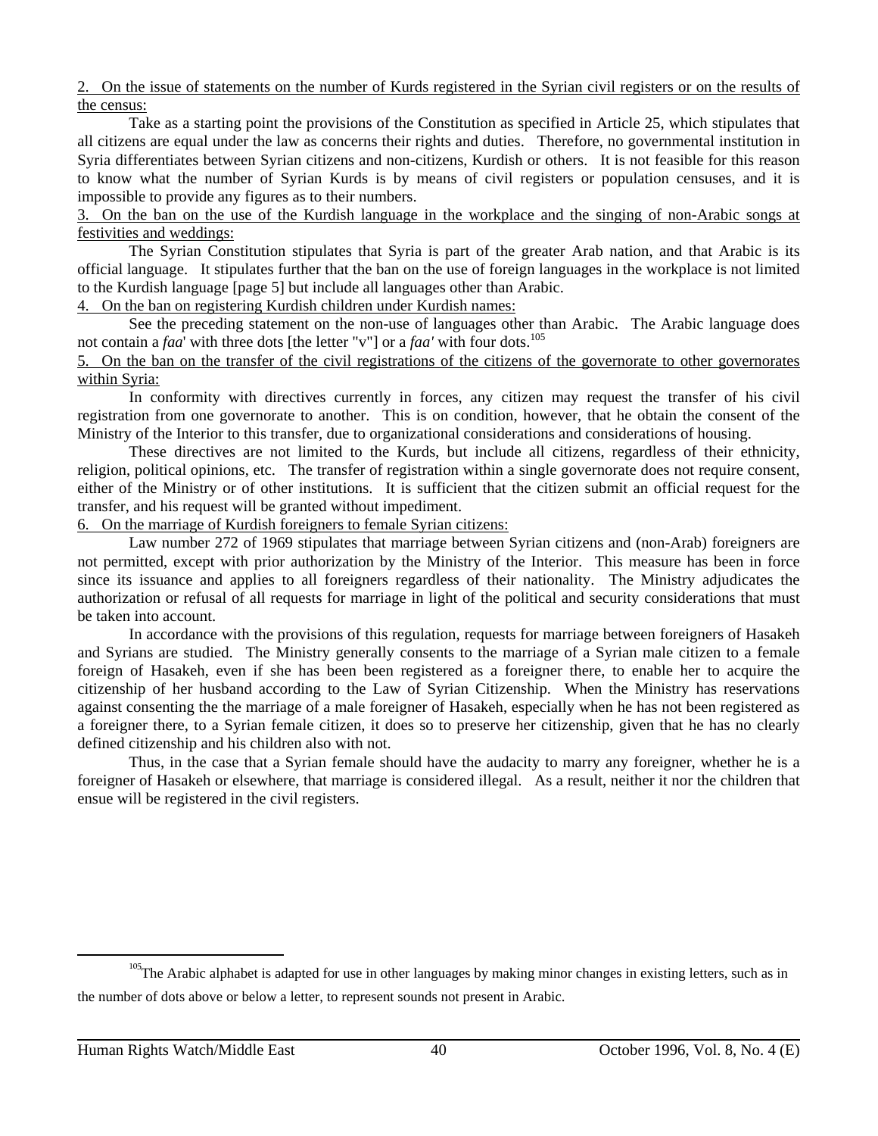2. On the issue of statements on the number of Kurds registered in the Syrian civil registers or on the results of the census:

Take as a starting point the provisions of the Constitution as specified in Article 25, which stipulates that all citizens are equal under the law as concerns their rights and duties. Therefore, no governmental institution in Syria differentiates between Syrian citizens and non-citizens, Kurdish or others. It is not feasible for this reason to know what the number of Syrian Kurds is by means of civil registers or population censuses, and it is impossible to provide any figures as to their numbers.

3. On the ban on the use of the Kurdish language in the workplace and the singing of non-Arabic songs at festivities and weddings:

The Syrian Constitution stipulates that Syria is part of the greater Arab nation, and that Arabic is its official language. It stipulates further that the ban on the use of foreign languages in the workplace is not limited to the Kurdish language [page 5] but include all languages other than Arabic.

4. On the ban on registering Kurdish children under Kurdish names:

See the preceding statement on the non-use of languages other than Arabic. The Arabic language does not contain a *faa*' with three dots [the letter "v"] or a *faa'* with four dots.<sup>105</sup>

5. On the ban on the transfer of the civil registrations of the citizens of the governorate to other governorates within Syria:

In conformity with directives currently in forces, any citizen may request the transfer of his civil registration from one governorate to another. This is on condition, however, that he obtain the consent of the Ministry of the Interior to this transfer, due to organizational considerations and considerations of housing.

These directives are not limited to the Kurds, but include all citizens, regardless of their ethnicity, religion, political opinions, etc. The transfer of registration within a single governorate does not require consent, either of the Ministry or of other institutions. It is sufficient that the citizen submit an official request for the transfer, and his request will be granted without impediment.

6. On the marriage of Kurdish foreigners to female Syrian citizens:

Law number 272 of 1969 stipulates that marriage between Syrian citizens and (non-Arab) foreigners are not permitted, except with prior authorization by the Ministry of the Interior. This measure has been in force since its issuance and applies to all foreigners regardless of their nationality. The Ministry adjudicates the authorization or refusal of all requests for marriage in light of the political and security considerations that must be taken into account.

In accordance with the provisions of this regulation, requests for marriage between foreigners of Hasakeh and Syrians are studied. The Ministry generally consents to the marriage of a Syrian male citizen to a female foreign of Hasakeh, even if she has been been registered as a foreigner there, to enable her to acquire the citizenship of her husband according to the Law of Syrian Citizenship. When the Ministry has reservations against consenting the the marriage of a male foreigner of Hasakeh, especially when he has not been registered as a foreigner there, to a Syrian female citizen, it does so to preserve her citizenship, given that he has no clearly defined citizenship and his children also with not.

Thus, in the case that a Syrian female should have the audacity to marry any foreigner, whether he is a foreigner of Hasakeh or elsewhere, that marriage is considered illegal. As a result, neither it nor the children that ensue will be registered in the civil registers.

<sup>&</sup>lt;sup>105</sup>The Arabic alphabet is adapted for use in other languages by making minor changes in existing letters, such as in the number of dots above or below a letter, to represent sounds not present in Arabic.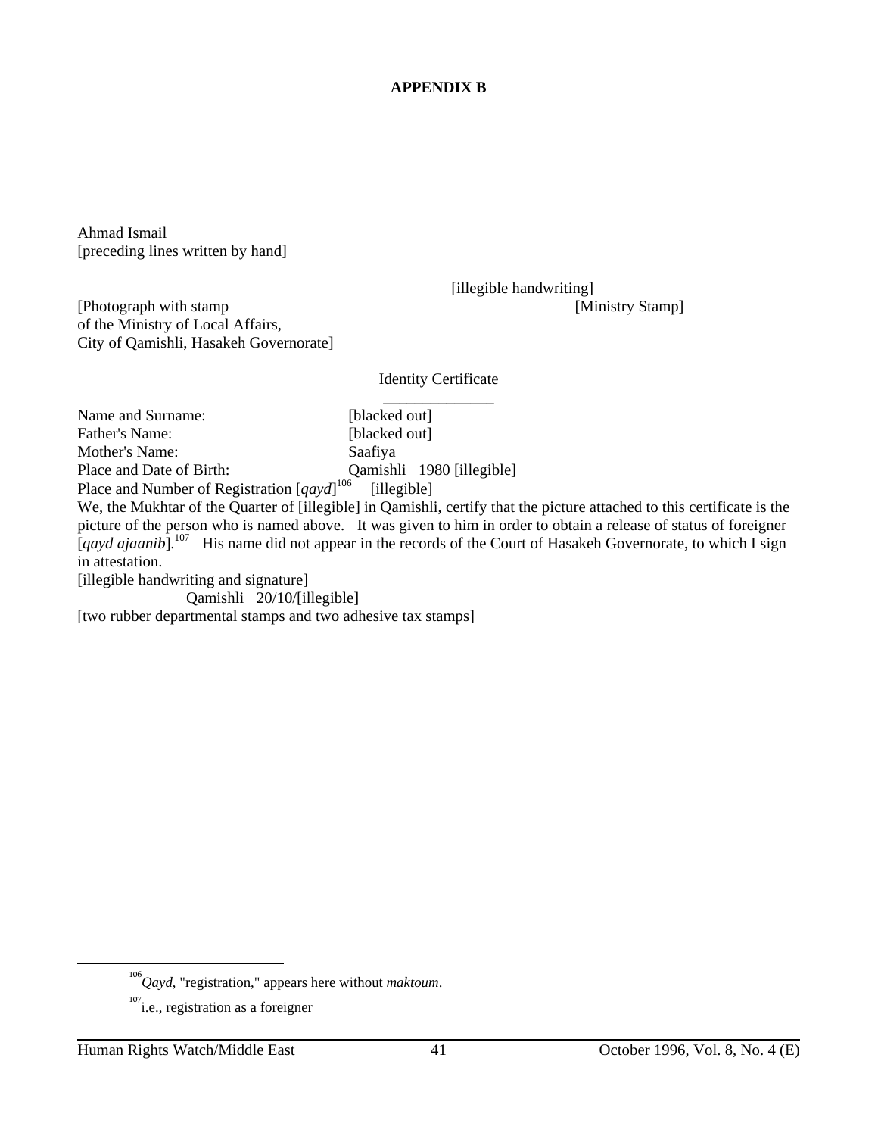# **APPENDIX B**

Ahmad Ismail [preceding lines written by hand]

[illegible handwriting]

[Photograph with stamp [Ministry Stamp] of the Ministry of Local Affairs, City of Qamishli, Hasakeh Governorate]

Identity Certificate

\_\_\_\_\_\_\_\_\_\_\_\_\_\_ Name and Surname: [blacked out] Father's Name: [blacked out] Mother's Name: Saafiya Place and Date of Birth: Qamishli 1980 [illegible] Place and Number of Registration [*qayd*]<sup>106</sup> [illegible]

We, the Mukhtar of the Quarter of [illegible] in Qamishli, certify that the picture attached to this certificate is the picture of the person who is named above. It was given to him in order to obtain a release of status of foreigner [*qayd ajaanib*].<sup>107</sup> His name did not appear in the records of the Court of Hasakeh Governorate, to which I sign in attestation.

[illegible handwriting and signature]

Qamishli 20/10/[illegible]

[two rubber departmental stamps and two adhesive tax stamps]

<sup>106</sup>*Qayd*, "registration," appears here without *maktoum*.

 $107$ <sub>i.e., registration as a foreigner</sub>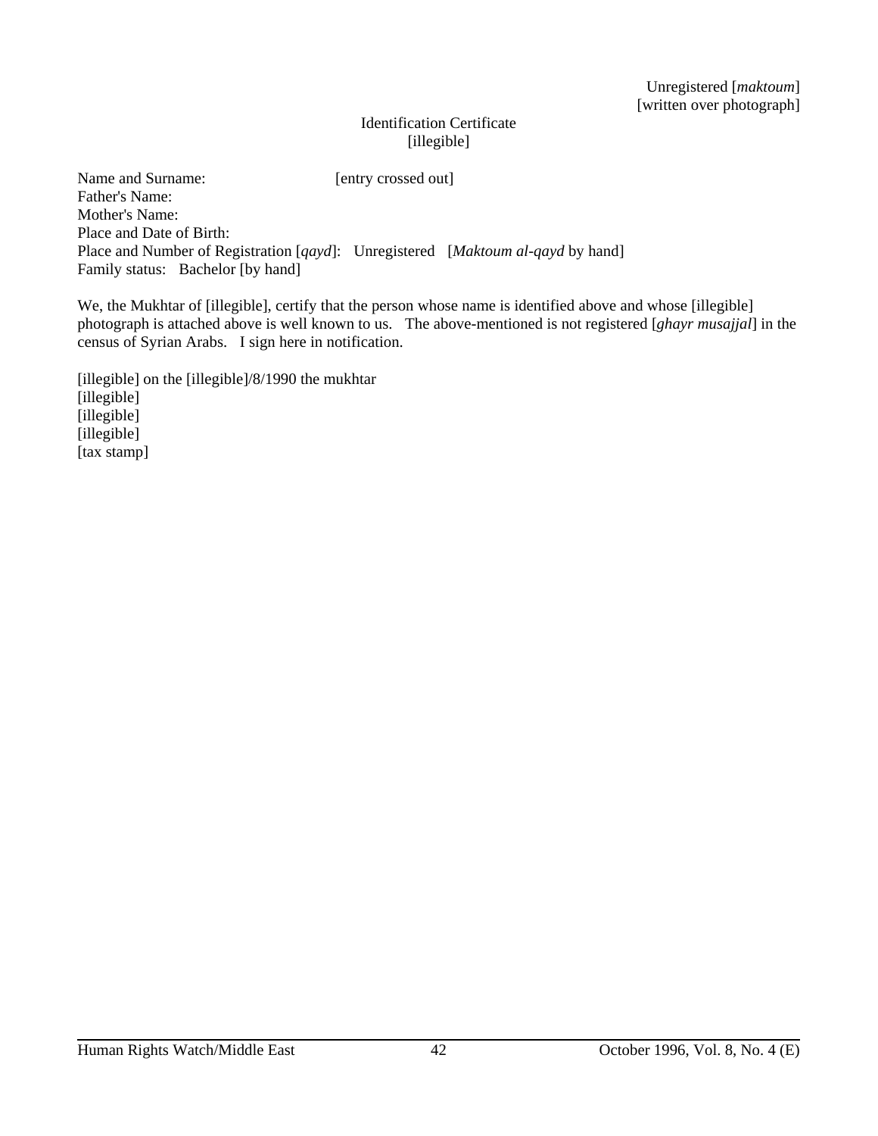Unregistered [*maktoum*] [written over photograph]

# Identification Certificate [illegible]

Name and Surname: [entry crossed out] Father's Name: Mother's Name: Place and Date of Birth: Place and Number of Registration [*qayd*]: Unregistered [*Maktoum al-qayd* by hand] Family status: Bachelor [by hand]

We, the Mukhtar of [illegible], certify that the person whose name is identified above and whose [illegible] photograph is attached above is well known to us. The above-mentioned is not registered [*ghayr musajjal*] in the census of Syrian Arabs. I sign here in notification.

[illegible] on the [illegible]/8/1990 the mukhtar [illegible] [illegible] [illegible] [tax stamp]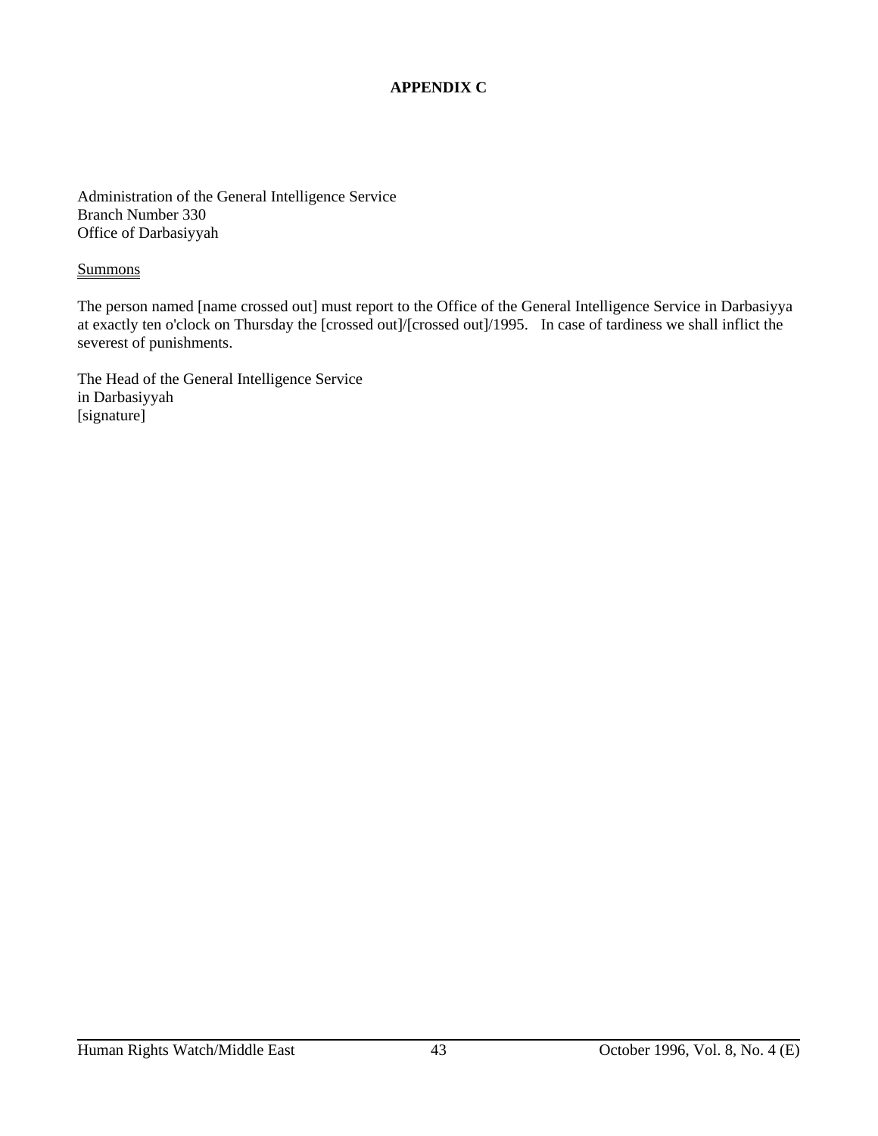# **APPENDIX C**

Administration of the General Intelligence Service Branch Number 330 Office of Darbasiyyah

#### **Summons**

The person named [name crossed out] must report to the Office of the General Intelligence Service in Darbasiyya at exactly ten o'clock on Thursday the [crossed out]/[crossed out]/1995. In case of tardiness we shall inflict the severest of punishments.

The Head of the General Intelligence Service in Darbasiyyah [signature]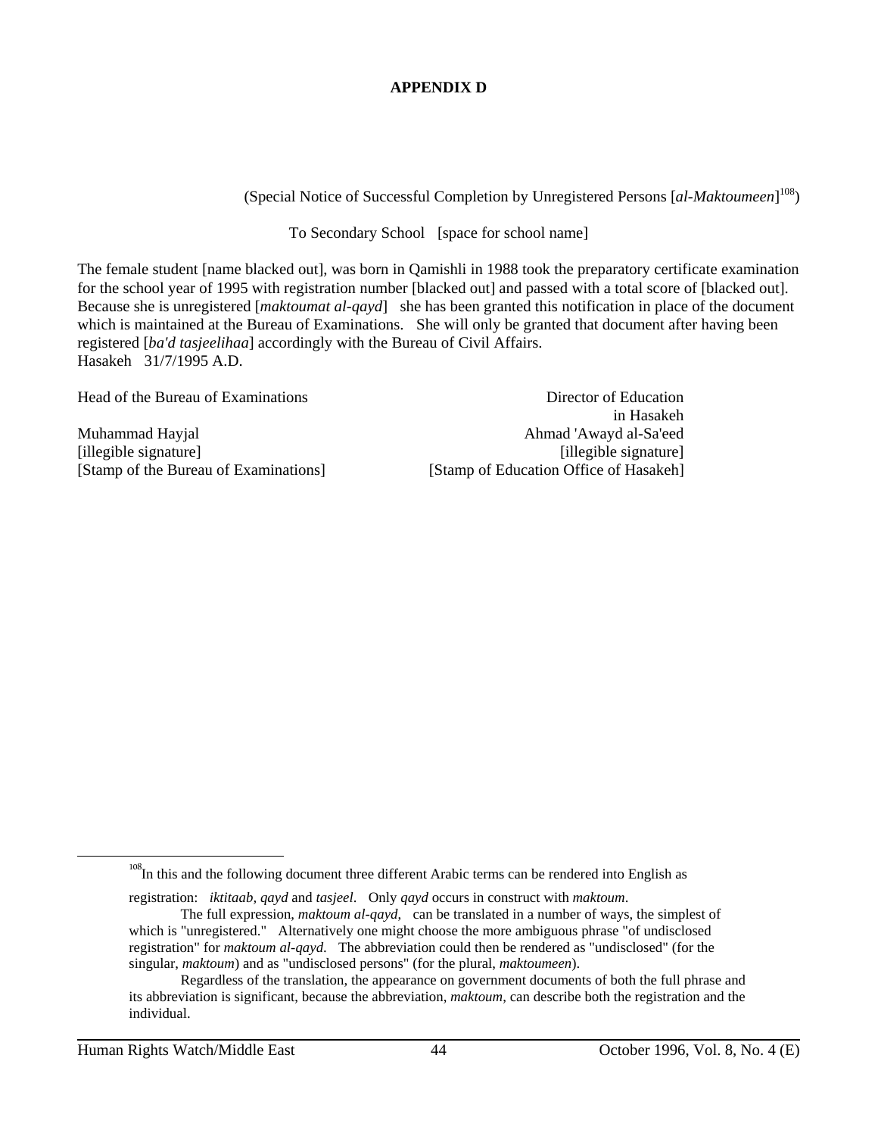# **APPENDIX D**

(Special Notice of Successful Completion by Unregistered Persons [*al-Maktoumeen*] 108)

To Secondary School [space for school name]

The female student [name blacked out], was born in Qamishli in 1988 took the preparatory certificate examination for the school year of 1995 with registration number [blacked out] and passed with a total score of [blacked out]. Because she is unregistered [*maktoumat al-qayd*] she has been granted this notification in place of the document which is maintained at the Bureau of Examinations. She will only be granted that document after having been registered [*ba'd tasjeelihaa*] accordingly with the Bureau of Civil Affairs. Hasakeh 31/7/1995 A.D.

| Head of the Bureau of Examinations    | Director of Education                  |
|---------------------------------------|----------------------------------------|
|                                       | in Hasakeh                             |
| Muhammad Hayjal                       | Ahmad 'Awayd al-Sa'eed                 |
| [illegible signature]                 | [illegible signature]                  |
| [Stamp of the Bureau of Examinations] | [Stamp of Education Office of Hasakeh] |

<sup>108</sup>In this and the following document three different Arabic terms can be rendered into English as

registration: *iktitaab, qayd* and *tasjeel*. Only *qayd* occurs in construct with *maktoum*.

The full expression, *maktoum al-qayd*, can be translated in a number of ways, the simplest of which is "unregistered." Alternatively one might choose the more ambiguous phrase "of undisclosed registration" for *maktoum al-qayd*. The abbreviation could then be rendered as "undisclosed" (for the singular, *maktoum*) and as "undisclosed persons" (for the plural, *maktoumeen*).

Regardless of the translation, the appearance on government documents of both the full phrase and its abbreviation is significant, because the abbreviation, *maktoum*, can describe both the registration and the individual.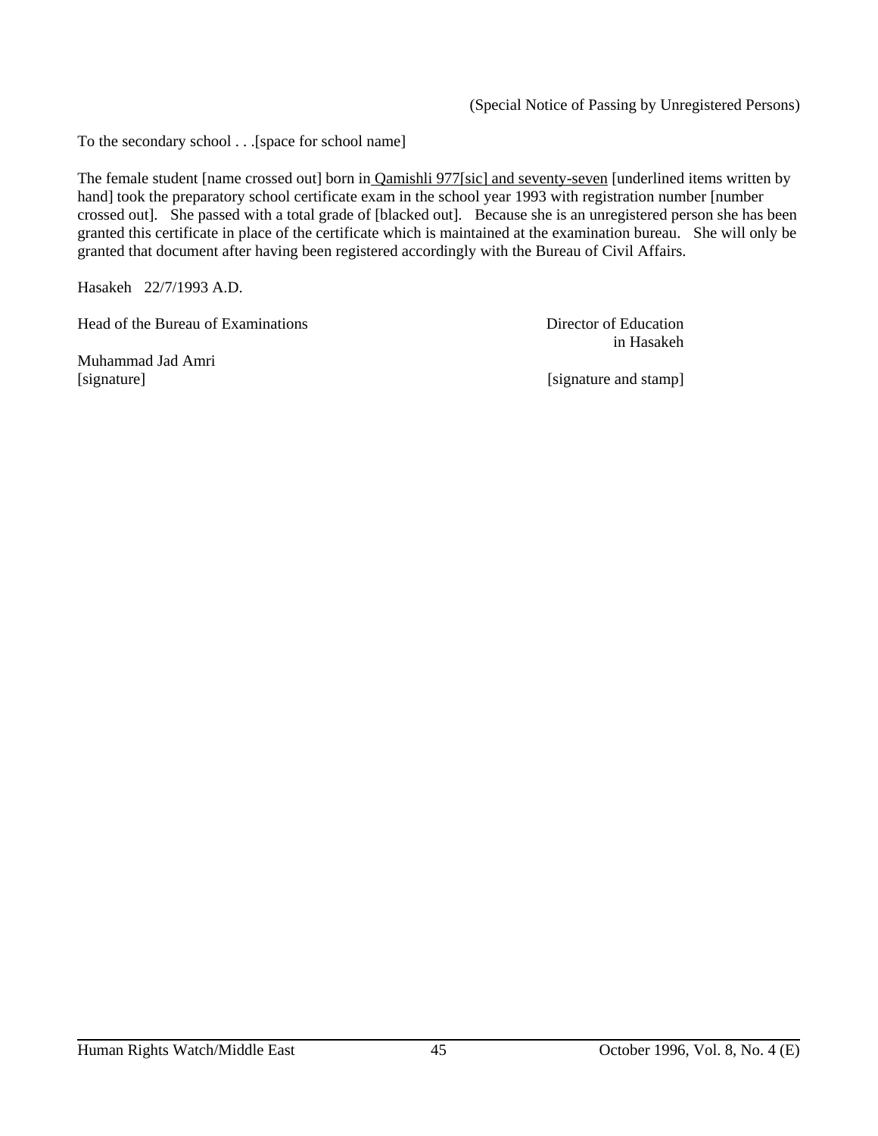(Special Notice of Passing by Unregistered Persons)

To the secondary school . . .[space for school name]

The female student [name crossed out] born in Qamishli 977[sic] and seventy-seven [underlined items written by hand] took the preparatory school certificate exam in the school year 1993 with registration number [number crossed out]. She passed with a total grade of [blacked out]. Because she is an unregistered person she has been granted this certificate in place of the certificate which is maintained at the examination bureau. She will only be granted that document after having been registered accordingly with the Bureau of Civil Affairs.

Hasakeh 22/7/1993 A.D.

Head of the Bureau of Examinations **Director of Education** 

Muhammad Jad Amri

in Hasakeh

[signature] [signature and stamp]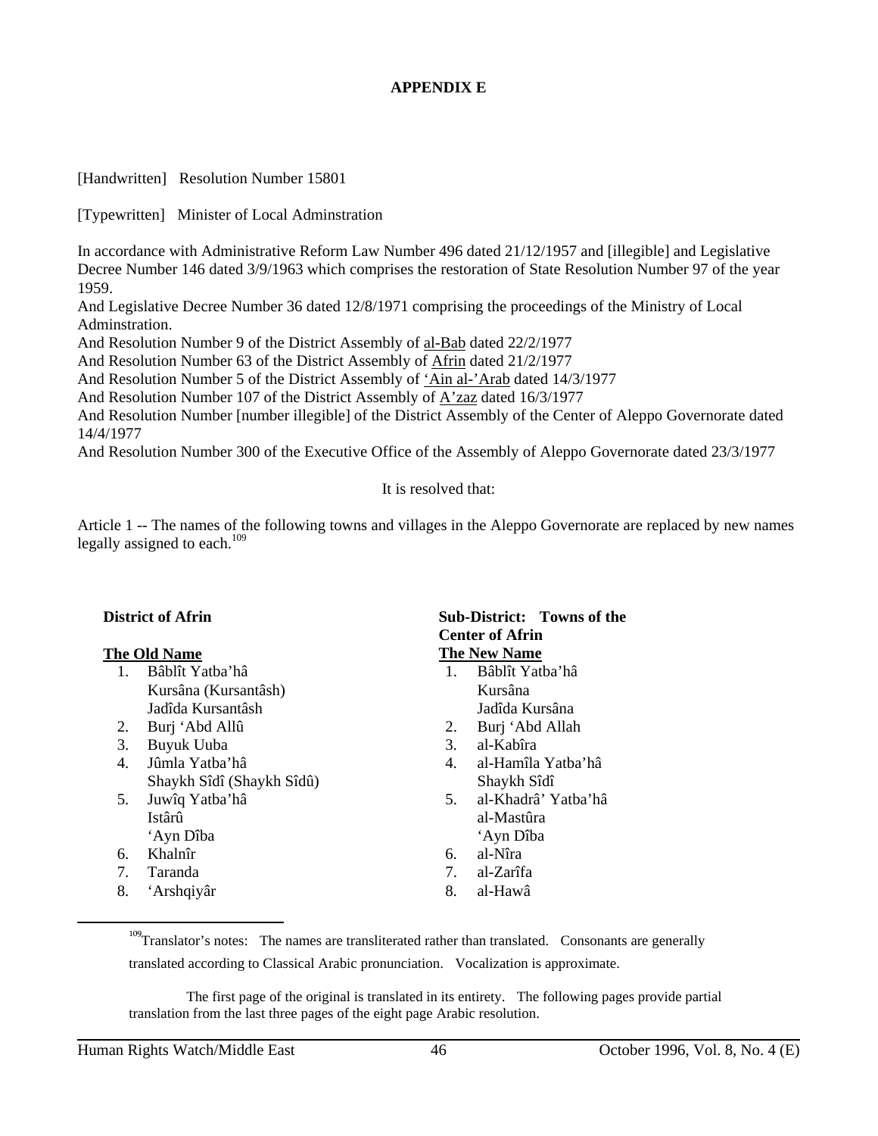# **APPENDIX E**

[Handwritten] Resolution Number 15801

[Typewritten] Minister of Local Adminstration

In accordance with Administrative Reform Law Number 496 dated 21/12/1957 and [illegible] and Legislative Decree Number 146 dated 3/9/1963 which comprises the restoration of State Resolution Number 97 of the year 1959.

And Legislative Decree Number 36 dated 12/8/1971 comprising the proceedings of the Ministry of Local Adminstration.

And Resolution Number 9 of the District Assembly of al-Bab dated 22/2/1977

And Resolution Number 63 of the District Assembly of Afrin dated 21/2/1977

And Resolution Number 5 of the District Assembly of 'Ain al-'Arab dated 14/3/1977

And Resolution Number 107 of the District Assembly of A'zaz dated 16/3/1977

And Resolution Number [number illegible] of the District Assembly of the Center of Aleppo Governorate dated 14/4/1977

And Resolution Number 300 of the Executive Office of the Assembly of Aleppo Governorate dated 23/3/1977

It is resolved that:

Article 1 -- The names of the following towns and villages in the Aleppo Governorate are replaced by new names legally assigned to each. $109$ 

- 1. Bâblît Yatba'hâ 1. Bâblît Yatba'hâ Kursâna (Kursantâsh) Kursâna Jadîda Kursantâsh Jadîda Kursâna
- 2. Burj 'Abd Allû 2. Burj 'Abd Allah
- 3. Buyuk Uuba 3. al-Kabîra
- 4. Jûmla Yatba'hâ 4. al-Hamîla Yatba'hâ Shaykh Sîdî (Shaykh Sîdû) Shaykh Sîdî
- Istârû al-Mastûra 'Ayn Dîba 'Ayn Dîba
- 6. Khalnîr 6. al-Nîra
- 7. Taranda 7. al-Zarîfa
- 8. 'Arshqiyâr 8. al-Hawâ

#### **District of Afrin** Sub-District: Towns of the **Sub-District:** Towns of the **Center of Afrin The Old Name The New Name**

- 
- 
- 
- 
- 
- 5. Juwîq Yatba'hâ 5. al-Khadrâ' Yatba'hâ
	-
	-
	-

 The first page of the original is translated in its entirety. The following pages provide partial translation from the last three pages of the eight page Arabic resolution.

<sup>&</sup>lt;sup>109</sup>Translator's notes: The names are transliterated rather than translated. Consonants are generally translated according to Classical Arabic pronunciation. Vocalization is approximate.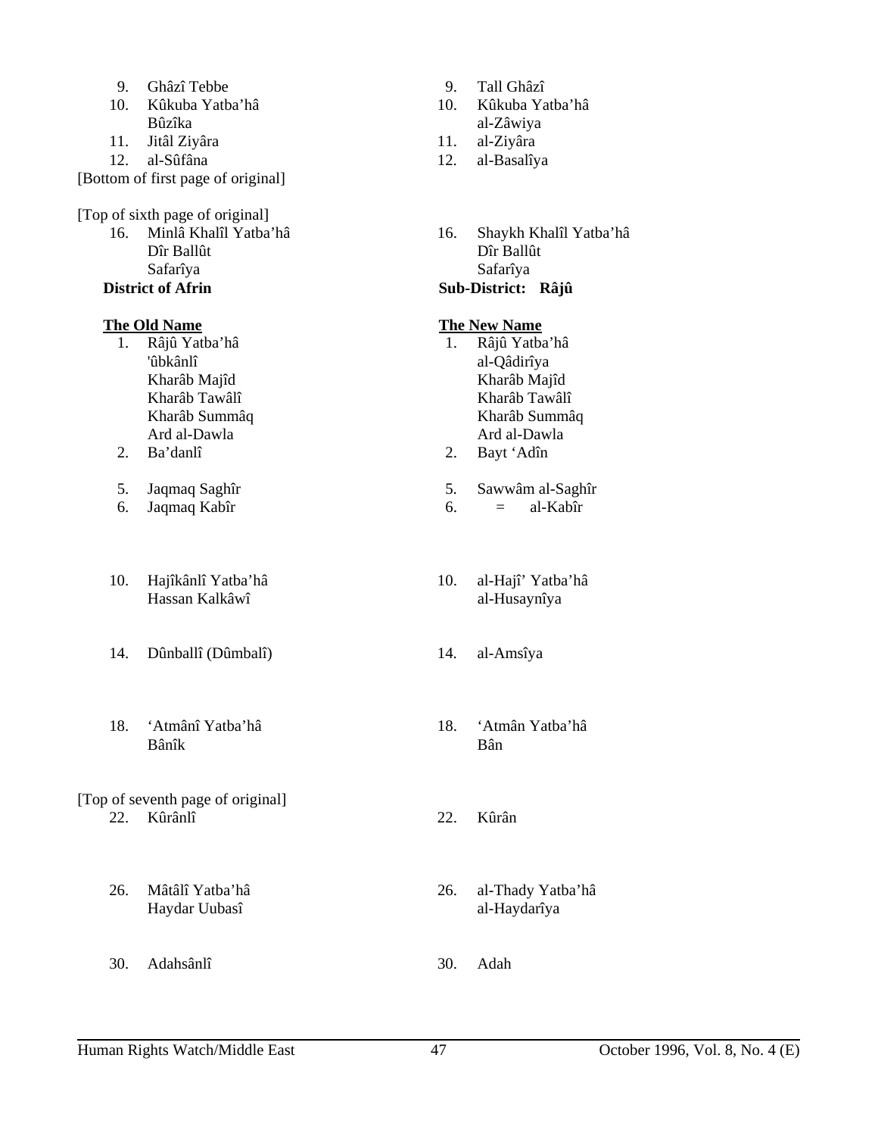| 9. | Ghâzî Tebbe |
|----|-------------|
|    |             |

- 10. Kûkuba Yatba'hâ 10. Kûkuba Yatba'hâ Bûzîka al-Zâwiya
- 11. Jitâl Ziyâra 11. al-Ziyâra
- 12. al-Sûfâna 12. al-Basalîya

[Bottom of first page of original]

### [Top of sixth page of original]

 Dîr Ballût Dîr Ballût Safarîya Safarîya

# **District of Afrin Sub-District: Râjû**

- 1. Râjû Yatba'hâ 1. Râjû Yatba'hâ 'ûbkânlî al-Qâdirîya
- 
- 
- 6. Jaqmaq Kabîr 6.
- 10. Hajîkânlî Yatba'hâ 10. al-Hajî' Yatba'hâ Hassan Kalkâwî **al-Husaynîya**
- 14. Dûnballî (Dûmbalî) 14. al-Amsîya
- 18. 'Atmânî Yatba'hâ 18. 'Atmân Yatba'hâ Bânîk Bân

#### [Top of seventh page of original] 22. Kûrânlî 22. Kûrân

- 
- 30. Adahsânlî 30. Adah
- 9. Tall Ghâzî
- 
- 
- 
- 16. Minlâ Khalîl Yatba'hâ 16. Shaykh Khalîl Yatba'hâ

# **The Old Name** The New Name

- Kharâb Majîd Kharâb Majîd Kharâb Tawâlî **Kharâb Tawâlî**  Kharâb Summâq Kharâb Summâq Ard al-Dawla Ard al-Dawla
- 2. Ba'danlî 2. Bayt 'Adîn
- 5. Jaqmaq Saghîr 5. Sawwâm al-Saghîr 5. Sawwâm al-Saghîr 6. Jaqmaq Kabîr 6.  $=$  al-Kabîr
	-
	-
	-
	-
	-
- 26. Mâtâlî Yatba'hâ 26. al-Thady Yatba'hâ Haydar Uubasî al-Haydarîya
	-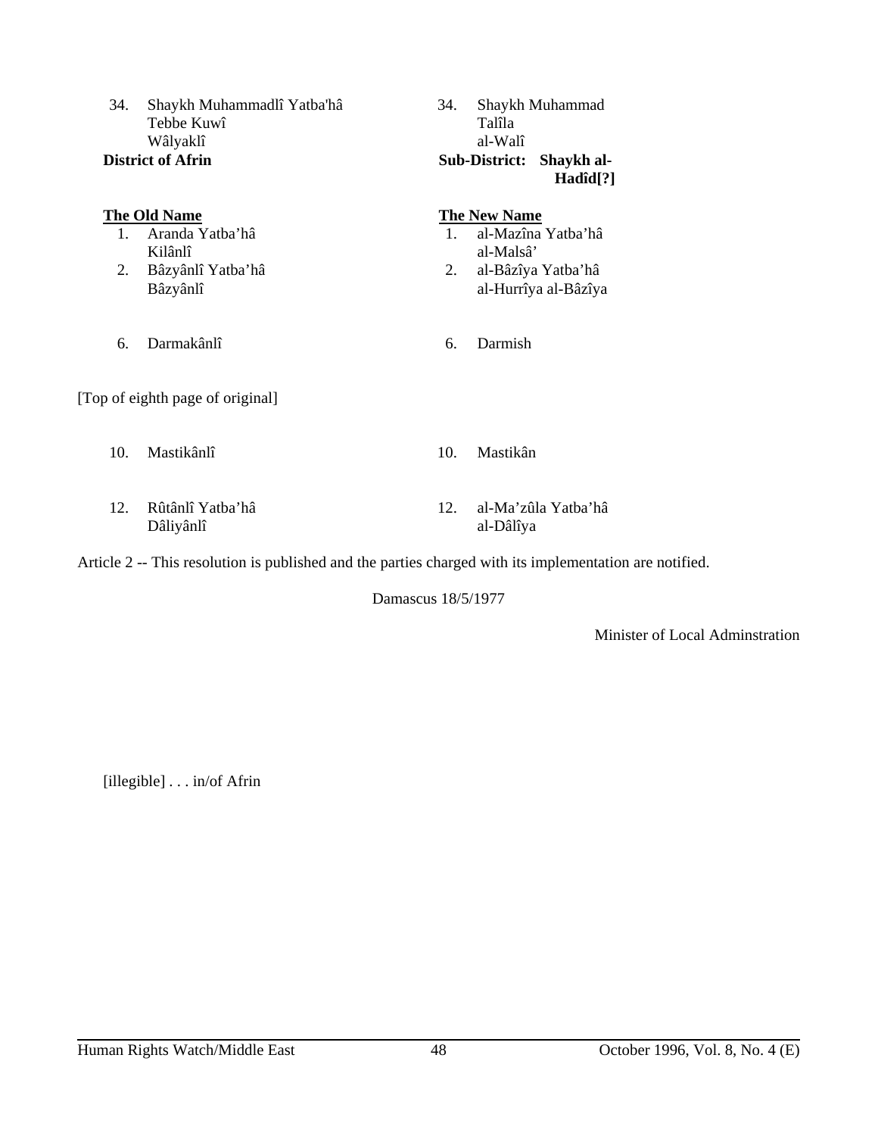| 34.                                                                                                     | Shaykh Muhammadlî Yatba'hâ<br>Tebbe Kuwî<br>Wâlyaklî<br><b>District of Afrin</b>   | 34.           | Shaykh Muhammad<br>Talîla<br>al-Walî<br><b>Sub-District:</b><br>Shaykh al-<br>Hadîd[?]               |  |
|---------------------------------------------------------------------------------------------------------|------------------------------------------------------------------------------------|---------------|------------------------------------------------------------------------------------------------------|--|
| 1.<br>2.                                                                                                | <b>The Old Name</b><br>Aranda Yatba'hâ<br>Kilânlî<br>Bâzyânlî Yatba'hâ<br>Bâzyânlî | $1_{-}$<br>2. | <b>The New Name</b><br>al-Mazîna Yatba'hâ<br>al-Malsâ'<br>al-Bâzîya Yatba'hâ<br>al-Hurrîya al-Bâzîya |  |
| 6.                                                                                                      | Darmakânlî                                                                         | 6.            | Darmish                                                                                              |  |
|                                                                                                         | [Top of eighth page of original]                                                   |               |                                                                                                      |  |
| 10.                                                                                                     | Mastikânlî                                                                         | 10.           | Mastikân                                                                                             |  |
| 12.                                                                                                     | Rûtânlî Yatba'hâ<br>Dâliyânlî                                                      | 12.           | al-Ma'zûla Yatba'hâ<br>al-Dâlîya                                                                     |  |
| Article 2 -- This resolution is published and the parties charged with its implementation are notified. |                                                                                    |               |                                                                                                      |  |

Damascus 18/5/1977

Minister of Local Adminstration

[illegible] . . . in/of Afrin